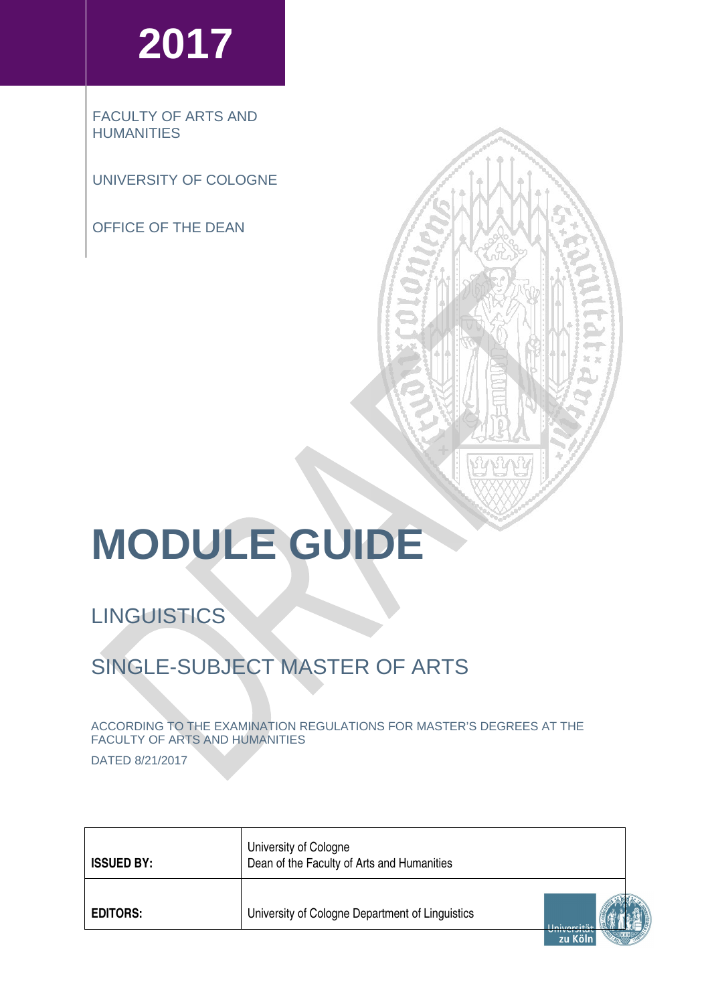# **2017**

FACULTY OF ARTS AND **HUMANITIES** 

UNIVERSITY OF COLOGNE

OFFICE OF THE DEAN

# **MODULE GUIDE**

# **LINGUISTICS**

# SINGLE-SUBJECT MASTER OF ARTS

ACCORDING TO THE EXAMINATION REGULATIONS FOR MASTER'S DEGREES AT THE FACULTY OF ARTS AND HUMANITIES

DATED 8/21/2017

| <b>ISSUED BY:</b> | University of Cologne<br>Dean of the Faculty of Arts and Humanities |  |
|-------------------|---------------------------------------------------------------------|--|
| <b>EDITORS:</b>   | University of Cologne Department of Linguistics<br>zu Köln          |  |

VQ N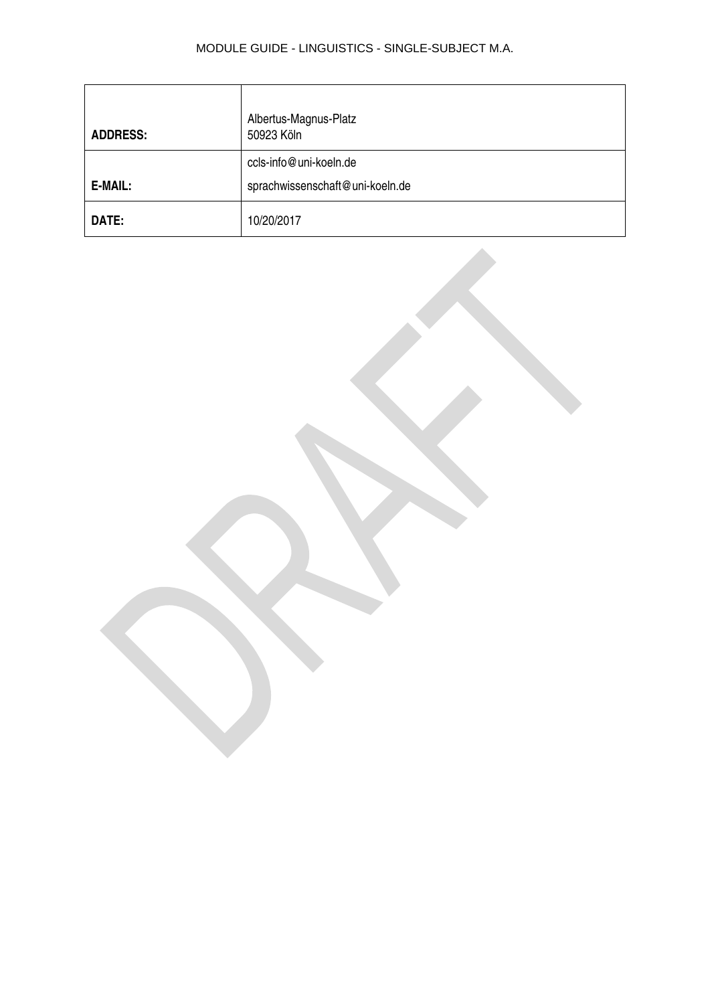| <b>ADDRESS:</b> | Albertus-Magnus-Platz<br>50923 Köln                       |
|-----------------|-----------------------------------------------------------|
| E-MAIL:         | ccls-info@uni-koeln.de<br>sprachwissenschaft@uni-koeln.de |
| DATE:           | 10/20/2017                                                |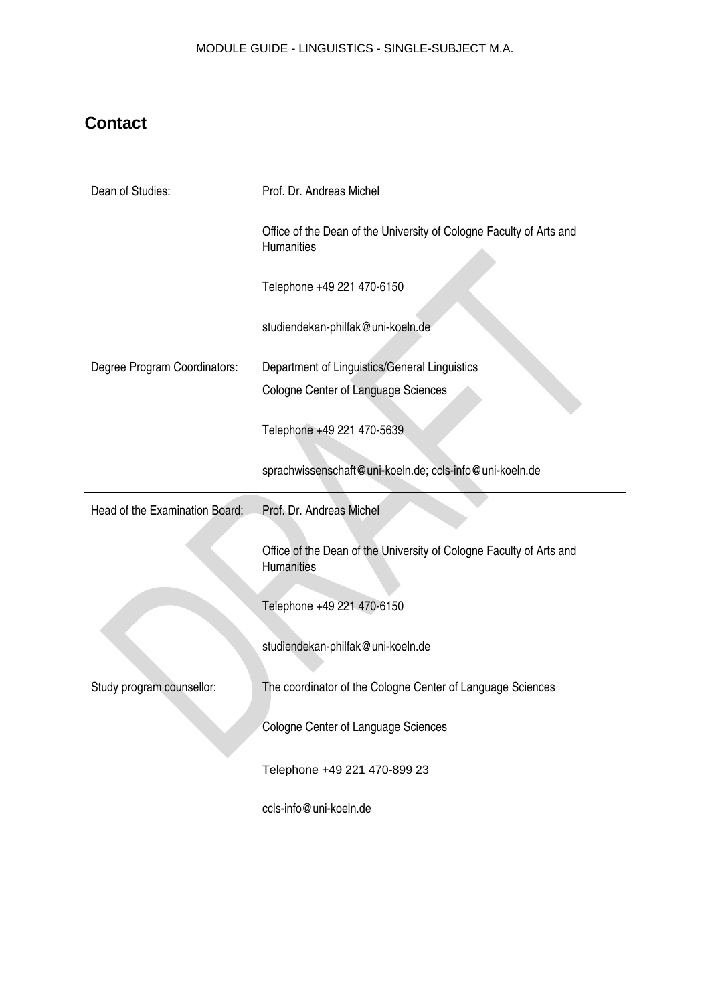# <span id="page-2-0"></span>**Contact**

| Dean of Studies:               | Prof. Dr. Andreas Michel                                                                    |
|--------------------------------|---------------------------------------------------------------------------------------------|
|                                | Office of the Dean of the University of Cologne Faculty of Arts and<br>Humanities           |
|                                | Telephone +49 221 470-6150                                                                  |
|                                | studiendekan-philfak@uni-koeln.de                                                           |
| Degree Program Coordinators:   | Department of Linguistics/General Linguistics<br><b>Cologne Center of Language Sciences</b> |
|                                | Telephone +49 221 470-5639                                                                  |
|                                | sprachwissenschaft@uni-koeln.de; ccls-info@uni-koeln.de                                     |
| Head of the Examination Board: | Prof. Dr. Andreas Michel                                                                    |
|                                | Office of the Dean of the University of Cologne Faculty of Arts and<br>Humanities           |
|                                | Telephone +49 221 470-6150                                                                  |
|                                | studiendekan-philfak@uni-koeln.de                                                           |
| Study program counsellor:      | The coordinator of the Cologne Center of Language Sciences                                  |
|                                | Cologne Center of Language Sciences                                                         |
|                                |                                                                                             |
|                                | Telephone +49 221 470-899 23                                                                |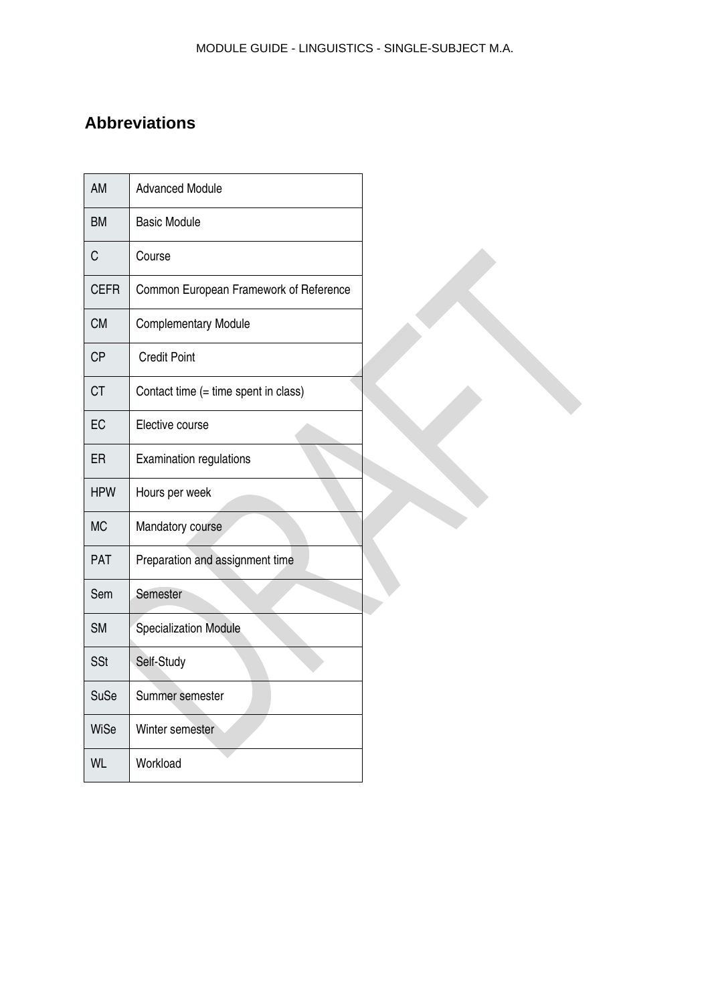# <span id="page-3-0"></span>**Abbreviations**

| AM          | <b>Advanced Module</b>                 |
|-------------|----------------------------------------|
| ВM          | <b>Basic Module</b>                    |
| C           | Course                                 |
| <b>CEFR</b> | Common European Framework of Reference |
| <b>CM</b>   | <b>Complementary Module</b>            |
| <b>CP</b>   | <b>Credit Point</b>                    |
| <b>CT</b>   | Contact time (= time spent in class)   |
| EC          | Elective course                        |
| ER          | <b>Examination regulations</b>         |
| <b>HPW</b>  | Hours per week                         |
| <b>MC</b>   | Mandatory course                       |
| PAT         | Preparation and assignment time        |
| Sem         | Semester                               |
| <b>SM</b>   | Specialization Module                  |
| <b>SSt</b>  | Self-Study                             |
| <b>SuSe</b> | Summer semester                        |
| WiSe        | Winter semester                        |
| <b>WL</b>   | Workload                               |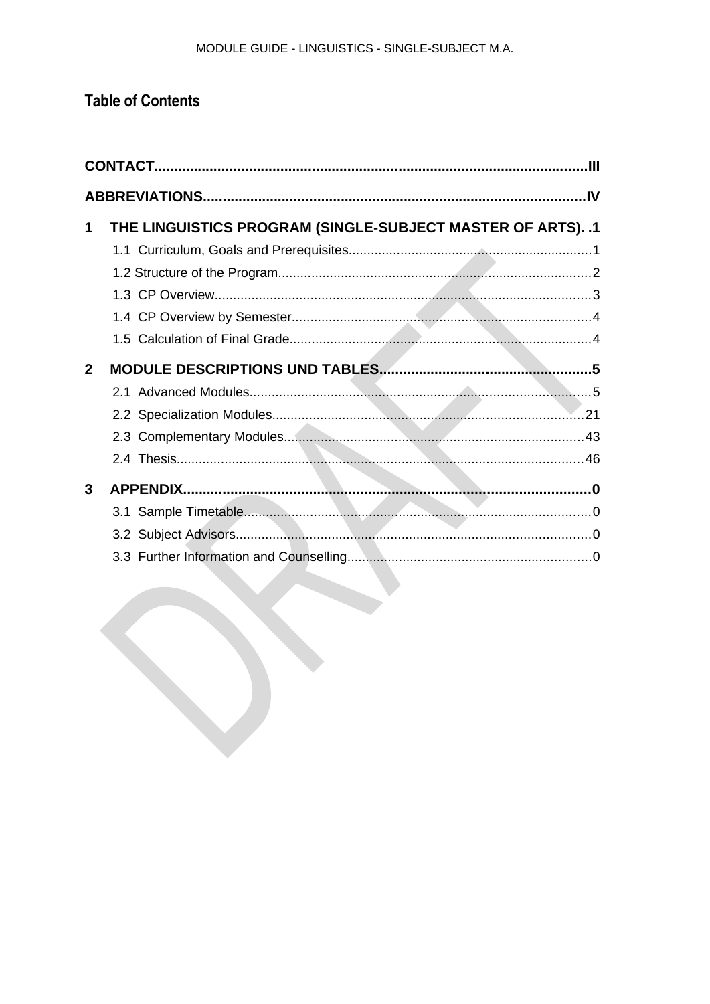# **Table of Contents**

| 1              | THE LINGUISTICS PROGRAM (SINGLE-SUBJECT MASTER OF ARTS). .1 |  |
|----------------|-------------------------------------------------------------|--|
|                |                                                             |  |
|                |                                                             |  |
|                |                                                             |  |
|                |                                                             |  |
|                |                                                             |  |
| $\overline{2}$ |                                                             |  |
|                |                                                             |  |
|                |                                                             |  |
|                |                                                             |  |
|                |                                                             |  |
| $\mathbf{3}$   |                                                             |  |
|                |                                                             |  |
|                |                                                             |  |
|                |                                                             |  |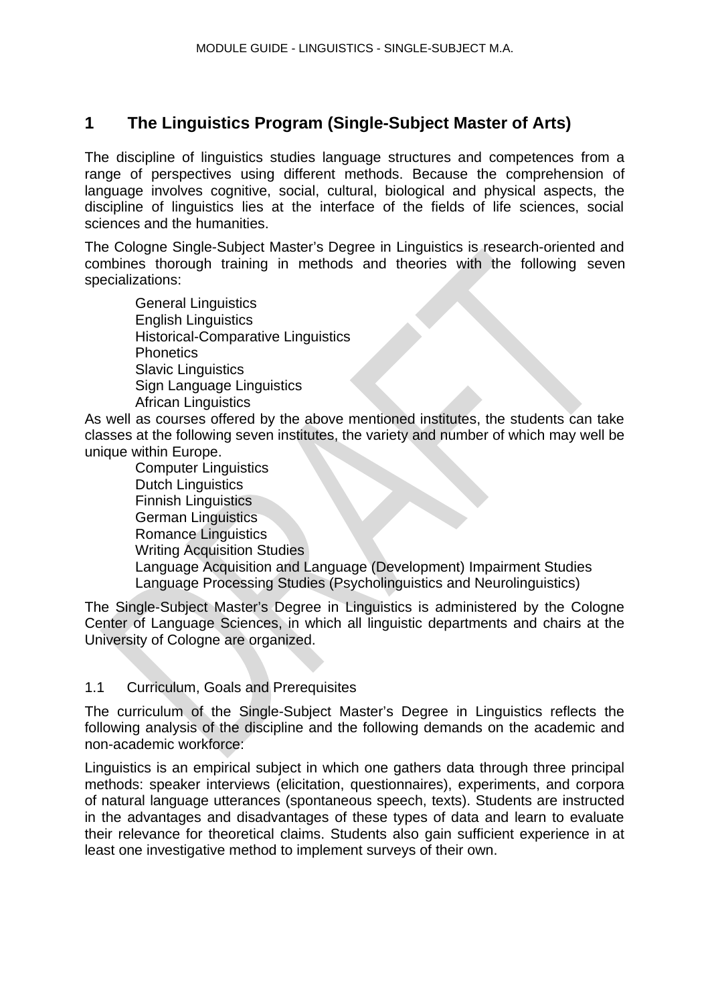# <span id="page-5-1"></span>**1 The Linguistics Program (Single-Subject Master of Arts)**

The discipline of linguistics studies language structures and competences from a range of perspectives using different methods. Because the comprehension of language involves cognitive, social, cultural, biological and physical aspects, the discipline of linguistics lies at the interface of the fields of life sciences, social sciences and the humanities.

The Cologne Single-Subject Master's Degree in Linguistics is research-oriented and combines thorough training in methods and theories with the following seven specializations:

General Linguistics English Linguistics Historical-Comparative Linguistics **Phonetics** Slavic Linguistics Sign Language Linguistics African Linguistics

As well as courses offered by the above mentioned institutes, the students can take classes at the following seven institutes, the variety and number of which may well be unique within Europe.

Computer Linguistics Dutch Linguistics Finnish Linguistics German Linguistics Romance Linguistics Writing Acquisition Studies Language Acquisition and Language (Development) Impairment Studies Language Processing Studies (Psycholinguistics and Neurolinguistics)

The Single-Subject Master's Degree in Linguistics is administered by the Cologne Center of Language Sciences, in which all linguistic departments and chairs at the University of Cologne are organized.

## <span id="page-5-0"></span>1.1 Curriculum, Goals and Prerequisites

The curriculum of the Single-Subject Master's Degree in Linguistics reflects the following analysis of the discipline and the following demands on the academic and non-academic workforce:

Linguistics is an empirical subject in which one gathers data through three principal methods: speaker interviews (elicitation, questionnaires), experiments, and corpora of natural language utterances (spontaneous speech, texts). Students are instructed in the advantages and disadvantages of these types of data and learn to evaluate their relevance for theoretical claims. Students also gain sufficient experience in at least one investigative method to implement surveys of their own.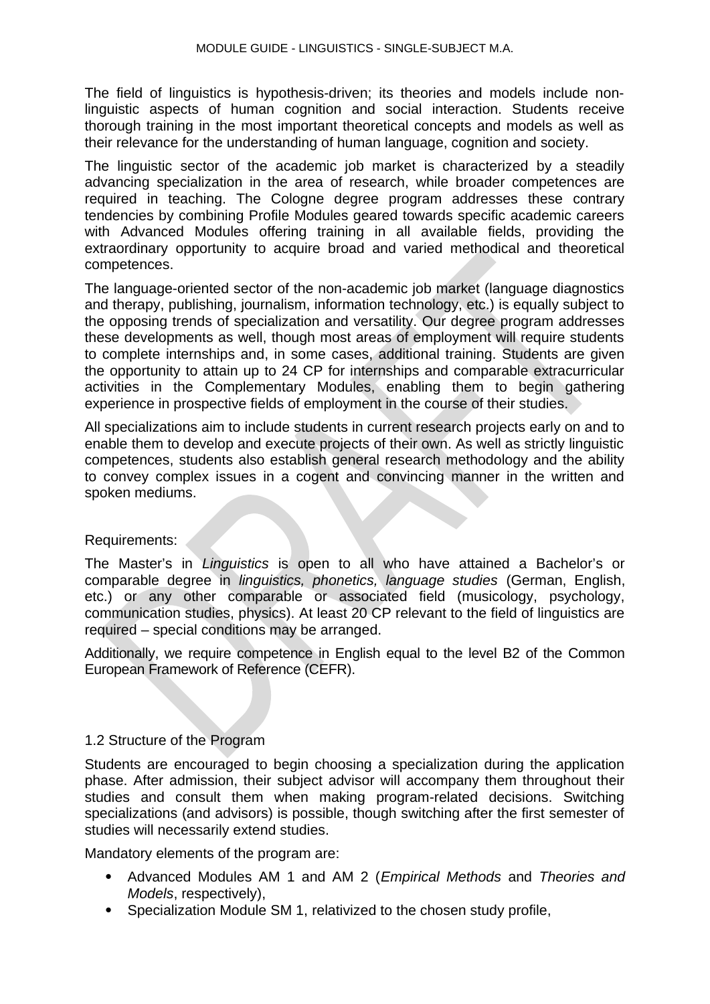The field of linguistics is hypothesis-driven; its theories and models include nonlinguistic aspects of human cognition and social interaction. Students receive thorough training in the most important theoretical concepts and models as well as their relevance for the understanding of human language, cognition and society.

The linguistic sector of the academic job market is characterized by a steadily advancing specialization in the area of research, while broader competences are required in teaching. The Cologne degree program addresses these contrary tendencies by combining Profile Modules geared towards specific academic careers with Advanced Modules offering training in all available fields, providing the extraordinary opportunity to acquire broad and varied methodical and theoretical competences.

The language-oriented sector of the non-academic job market (language diagnostics and therapy, publishing, journalism, information technology, etc.) is equally subject to the opposing trends of specialization and versatility. Our degree program addresses these developments as well, though most areas of employment will require students to complete internships and, in some cases, additional training. Students are given the opportunity to attain up to 24 CP for internships and comparable extracurricular activities in the Complementary Modules, enabling them to begin gathering experience in prospective fields of employment in the course of their studies.

All specializations aim to include students in current research projects early on and to enable them to develop and execute projects of their own. As well as strictly linguistic competences, students also establish general research methodology and the ability to convey complex issues in a cogent and convincing manner in the written and spoken mediums.

## Requirements:

The Master's in *Linguistics* is open to all who have attained a Bachelor's or comparable degree in *linguistics, phonetics, language studies* (German, English, etc.) or any other comparable or associated field (musicology, psychology, communication studies, physics). At least 20 CP relevant to the field of linguistics are required – special conditions may be arranged.

Additionally, we require competence in English equal to the level B2 of the Common European Framework of Reference (CEFR).

## <span id="page-6-0"></span>1.2 Structure of the Program

Students are encouraged to begin choosing a specialization during the application phase. After admission, their subject advisor will accompany them throughout their studies and consult them when making program-related decisions. Switching specializations (and advisors) is possible, though switching after the first semester of studies will necessarily extend studies.

Mandatory elements of the program are:

- Advanced Modules AM 1 and AM 2 (*Empirical Methods* and *Theories and Models*, respectively),
- Specialization Module SM 1, relativized to the chosen study profile,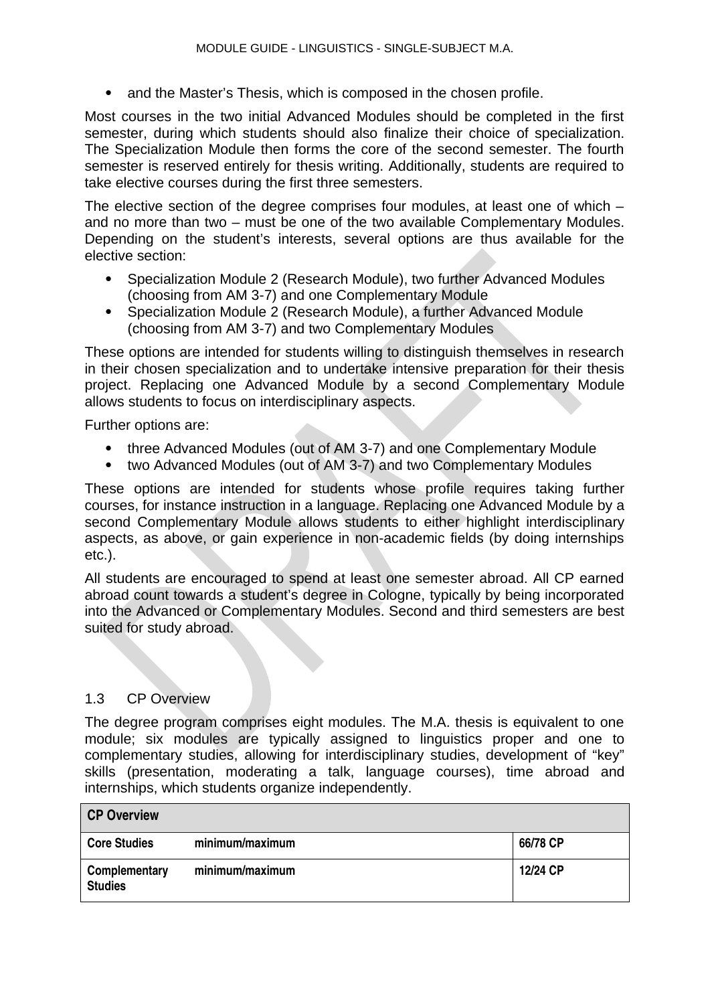• and the Master's Thesis, which is composed in the chosen profile.

Most courses in the two initial Advanced Modules should be completed in the first semester, during which students should also finalize their choice of specialization. The Specialization Module then forms the core of the second semester. The fourth semester is reserved entirely for thesis writing. Additionally, students are required to take elective courses during the first three semesters.

The elective section of the degree comprises four modules, at least one of which – and no more than two – must be one of the two available Complementary Modules. Depending on the student's interests, several options are thus available for the elective section:

- Specialization Module 2 (Research Module), two further Advanced Modules (choosing from AM 3-7) and one Complementary Module
- Specialization Module 2 (Research Module), a further Advanced Module (choosing from AM 3-7) and two Complementary Modules

These options are intended for students willing to distinguish themselves in research in their chosen specialization and to undertake intensive preparation for their thesis project. Replacing one Advanced Module by a second Complementary Module allows students to focus on interdisciplinary aspects.

Further options are:

- three Advanced Modules (out of AM 3-7) and one Complementary Module
- two Advanced Modules (out of AM 3-7) and two Complementary Modules

These options are intended for students whose profile requires taking further courses, for instance instruction in a language. Replacing one Advanced Module by a second Complementary Module allows students to either highlight interdisciplinary aspects, as above, or gain experience in non-academic fields (by doing internships etc.).

All students are encouraged to spend at least one semester abroad. All CP earned abroad count towards a student's degree in Cologne, typically by being incorporated into the Advanced or Complementary Modules. Second and third semesters are best suited for study abroad.

## <span id="page-7-0"></span>1.3 CP Overview

The degree program comprises eight modules. The M.A. thesis is equivalent to one module; six modules are typically assigned to linguistics proper and one to complementary studies, allowing for interdisciplinary studies, development of "key" skills (presentation, moderating a talk, language courses), time abroad and internships, which students organize independently.

| <b>CP Overview</b>              |                 |          |
|---------------------------------|-----------------|----------|
| <b>Core Studies</b>             | minimum/maximum | 66/78 CP |
| Complementary<br><b>Studies</b> | minimum/maximum | 12/24 CP |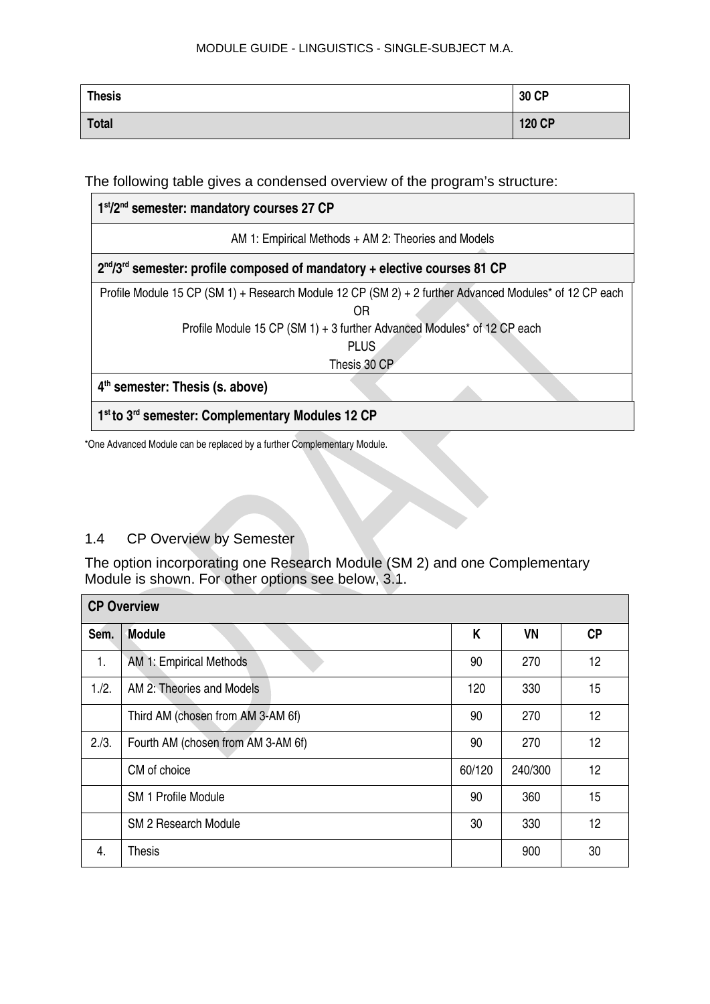| Thesis       | 30 CP  |
|--------------|--------|
| <b>Total</b> | 120 CP |

The following table gives a condensed overview of the program's structure:

| 1st/2 <sup>nd</sup> semester: mandatory courses 27 CP                                                                                                                                                  |  |  |  |  |  |
|--------------------------------------------------------------------------------------------------------------------------------------------------------------------------------------------------------|--|--|--|--|--|
| AM 1: Empirical Methods + AM 2: Theories and Models                                                                                                                                                    |  |  |  |  |  |
| $2^{nd}/3^{rd}$ semester: profile composed of mandatory + elective courses 81 CP                                                                                                                       |  |  |  |  |  |
| Profile Module 15 CP (SM 1) + Research Module 12 CP (SM 2) + 2 further Advanced Modules* of 12 CP each<br>0R<br>Profile Module 15 CP (SM 1) + 3 further Advanced Modules* of 12 CP each<br><b>PLUS</b> |  |  |  |  |  |
| Thesis 30 CP                                                                                                                                                                                           |  |  |  |  |  |
| $4th$ semester: Thesis (s. above)                                                                                                                                                                      |  |  |  |  |  |
| 1 <sup>st</sup> to 3 <sup>rd</sup> semester: Complementary Modules 12 CP                                                                                                                               |  |  |  |  |  |

\*One Advanced Module can be replaced by a further Complementary Module.

# <span id="page-8-0"></span>1.4 CP Overview by Semester

The option incorporating one Research Module (SM 2) and one Complementary Module is shown. For other options see below, 3.1.

| <b>CP Overview</b> |                                    |        |           |           |  |
|--------------------|------------------------------------|--------|-----------|-----------|--|
| Sem.               | <b>Module</b>                      | K      | <b>VN</b> | <b>CP</b> |  |
| 1.                 | AM 1: Empirical Methods            | 90     | 270       | 12        |  |
| 1./2.              | AM 2: Theories and Models          | 120    | 330       | 15        |  |
|                    | Third AM (chosen from AM 3-AM 6f)  | 90     | 270       | 12        |  |
| 2/3.               | Fourth AM (chosen from AM 3-AM 6f) | 90     | 270       | 12        |  |
|                    | CM of choice                       | 60/120 | 240/300   | 12        |  |
|                    | <b>SM 1 Profile Module</b>         | 90     | 360       | 15        |  |
|                    | SM 2 Research Module               | 30     | 330       | 12        |  |
| 4.                 | <b>Thesis</b>                      |        | 900       | 30        |  |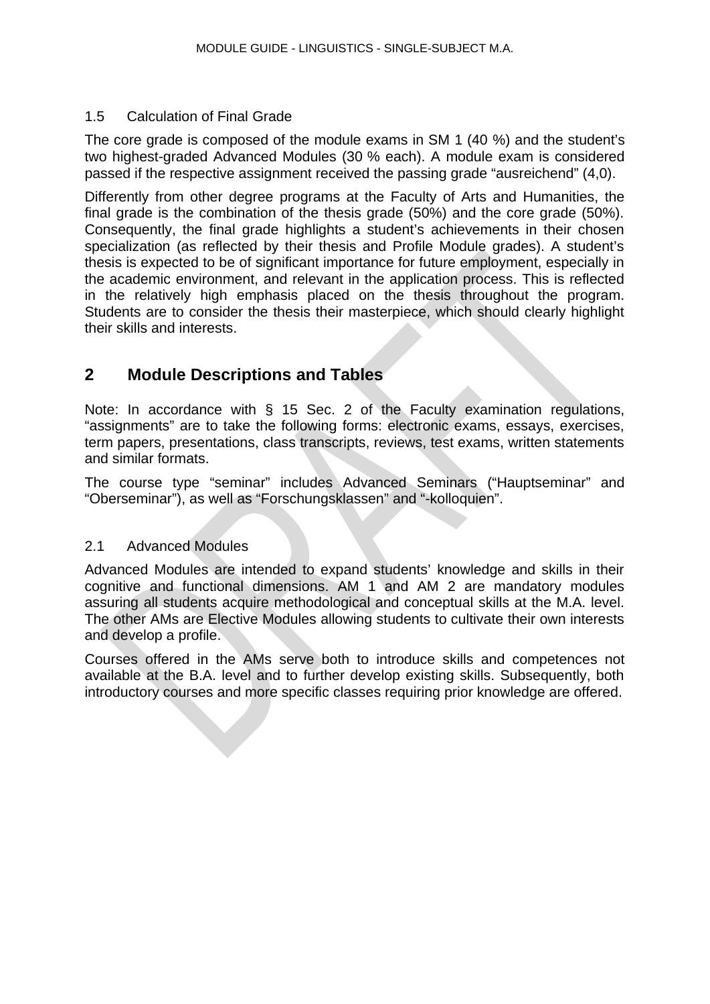# <span id="page-9-2"></span>1.5 Calculation of Final Grade

The core grade is composed of the module exams in SM 1 (40 %) and the student's two highest-graded Advanced Modules (30 % each). A module exam is considered passed if the respective assignment received the passing grade "ausreichend" (4,0).

Differently from other degree programs at the Faculty of Arts and Humanities, the final grade is the combination of the thesis grade (50%) and the core grade (50%). Consequently, the final grade highlights a student's achievements in their chosen specialization (as reflected by their thesis and Profile Module grades). A student's thesis is expected to be of significant importance for future employment, especially in the academic environment, and relevant in the application process. This is reflected in the relatively high emphasis placed on the thesis throughout the program. Students are to consider the thesis their masterpiece, which should clearly highlight their skills and interests.

# <span id="page-9-1"></span>**2 Module Descriptions and Tables**

Note: In accordance with § 15 Sec. 2 of the Faculty examination regulations, "assignments" are to take the following forms: electronic exams, essays, exercises, term papers, presentations, class transcripts, reviews, test exams, written statements and similar formats.

The course type "seminar" includes Advanced Seminars ("Hauptseminar" and "Oberseminar"), as well as "Forschungsklassen" and "-kolloquien".

## <span id="page-9-0"></span>2.1 Advanced Modules

Advanced Modules are intended to expand students' knowledge and skills in their cognitive and functional dimensions. AM 1 and AM 2 are mandatory modules assuring all students acquire methodological and conceptual skills at the M.A. level. The other AMs are Elective Modules allowing students to cultivate their own interests and develop a profile.

Courses offered in the AMs serve both to introduce skills and competences not available at the B.A. level and to further develop existing skills. Subsequently, both introductory courses and more specific classes requiring prior knowledge are offered.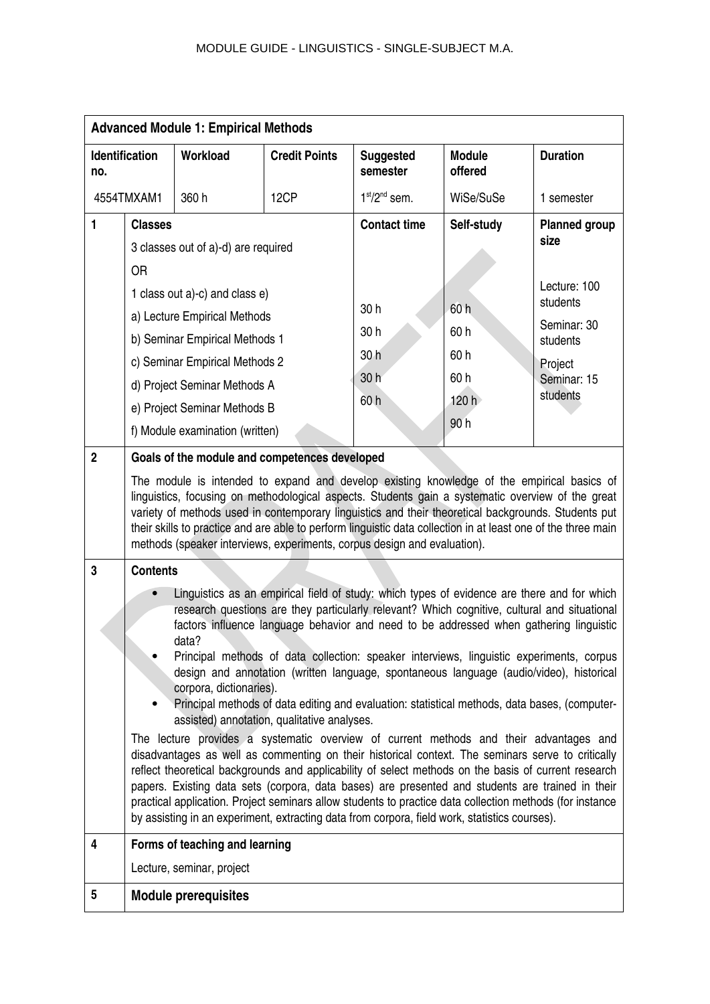| <b>Advanced Module 1: Empirical Methods</b> |                                                                                                                                                                                                                                                                                                                                                                                                                                                                                                                                                                                                                                                                                                                                                                                                                                                                                                                                                                                                                                                                                                                                                                                         |                                                                 |                                                                                               |                              |                          |                              |
|---------------------------------------------|-----------------------------------------------------------------------------------------------------------------------------------------------------------------------------------------------------------------------------------------------------------------------------------------------------------------------------------------------------------------------------------------------------------------------------------------------------------------------------------------------------------------------------------------------------------------------------------------------------------------------------------------------------------------------------------------------------------------------------------------------------------------------------------------------------------------------------------------------------------------------------------------------------------------------------------------------------------------------------------------------------------------------------------------------------------------------------------------------------------------------------------------------------------------------------------------|-----------------------------------------------------------------|-----------------------------------------------------------------------------------------------|------------------------------|--------------------------|------------------------------|
| <b>Identification</b><br>no.                |                                                                                                                                                                                                                                                                                                                                                                                                                                                                                                                                                                                                                                                                                                                                                                                                                                                                                                                                                                                                                                                                                                                                                                                         | Workload                                                        | <b>Credit Points</b>                                                                          | <b>Suggested</b><br>semester | <b>Module</b><br>offered | <b>Duration</b>              |
| 4554TMXAM1                                  |                                                                                                                                                                                                                                                                                                                                                                                                                                                                                                                                                                                                                                                                                                                                                                                                                                                                                                                                                                                                                                                                                                                                                                                         | 360 h                                                           | 12CP                                                                                          | $1st/2nd$ sem.               | WiSe/SuSe                | 1 semester                   |
| 1                                           | <b>Classes</b>                                                                                                                                                                                                                                                                                                                                                                                                                                                                                                                                                                                                                                                                                                                                                                                                                                                                                                                                                                                                                                                                                                                                                                          |                                                                 |                                                                                               | <b>Contact time</b>          | Self-study               | <b>Planned group</b><br>size |
|                                             |                                                                                                                                                                                                                                                                                                                                                                                                                                                                                                                                                                                                                                                                                                                                                                                                                                                                                                                                                                                                                                                                                                                                                                                         | 3 classes out of a)-d) are required                             |                                                                                               |                              |                          |                              |
|                                             | 0R                                                                                                                                                                                                                                                                                                                                                                                                                                                                                                                                                                                                                                                                                                                                                                                                                                                                                                                                                                                                                                                                                                                                                                                      |                                                                 |                                                                                               |                              |                          | Lecture: 100                 |
|                                             |                                                                                                                                                                                                                                                                                                                                                                                                                                                                                                                                                                                                                                                                                                                                                                                                                                                                                                                                                                                                                                                                                                                                                                                         | 1 class out a)-c) and class e)                                  |                                                                                               | 30h                          | 60h                      | students                     |
|                                             |                                                                                                                                                                                                                                                                                                                                                                                                                                                                                                                                                                                                                                                                                                                                                                                                                                                                                                                                                                                                                                                                                                                                                                                         | a) Lecture Empirical Methods                                    |                                                                                               | 30h                          | 60 h                     | Seminar: 30                  |
|                                             |                                                                                                                                                                                                                                                                                                                                                                                                                                                                                                                                                                                                                                                                                                                                                                                                                                                                                                                                                                                                                                                                                                                                                                                         | b) Seminar Empirical Methods 1                                  |                                                                                               | 30h                          | 60 h                     | students                     |
|                                             |                                                                                                                                                                                                                                                                                                                                                                                                                                                                                                                                                                                                                                                                                                                                                                                                                                                                                                                                                                                                                                                                                                                                                                                         | c) Seminar Empirical Methods 2                                  |                                                                                               | 30 h                         | 60 h                     | Project<br>Seminar: 15       |
|                                             |                                                                                                                                                                                                                                                                                                                                                                                                                                                                                                                                                                                                                                                                                                                                                                                                                                                                                                                                                                                                                                                                                                                                                                                         | d) Project Seminar Methods A                                    |                                                                                               | 60h                          | 120 h                    | students                     |
|                                             |                                                                                                                                                                                                                                                                                                                                                                                                                                                                                                                                                                                                                                                                                                                                                                                                                                                                                                                                                                                                                                                                                                                                                                                         | e) Project Seminar Methods B<br>f) Module examination (written) |                                                                                               |                              | 90h                      |                              |
| $\overline{2}$                              |                                                                                                                                                                                                                                                                                                                                                                                                                                                                                                                                                                                                                                                                                                                                                                                                                                                                                                                                                                                                                                                                                                                                                                                         |                                                                 | Goals of the module and competences developed                                                 |                              |                          |                              |
|                                             | The module is intended to expand and develop existing knowledge of the empirical basics of<br>linguistics, focusing on methodological aspects. Students gain a systematic overview of the great<br>variety of methods used in contemporary linguistics and their theoretical backgrounds. Students put<br>their skills to practice and are able to perform linguistic data collection in at least one of the three main<br>methods (speaker interviews, experiments, corpus design and evaluation).                                                                                                                                                                                                                                                                                                                                                                                                                                                                                                                                                                                                                                                                                     |                                                                 |                                                                                               |                              |                          |                              |
| 3                                           | <b>Contents</b>                                                                                                                                                                                                                                                                                                                                                                                                                                                                                                                                                                                                                                                                                                                                                                                                                                                                                                                                                                                                                                                                                                                                                                         |                                                                 |                                                                                               |                              |                          |                              |
|                                             | Linguistics as an empirical field of study: which types of evidence are there and for which<br>research questions are they particularly relevant? Which cognitive, cultural and situational<br>factors influence language behavior and need to be addressed when gathering linguistic<br>data?<br>Principal methods of data collection: speaker interviews, linguistic experiments, corpus<br>design and annotation (written language, spontaneous language (audio/video), historical<br>corpora, dictionaries).<br>Principal methods of data editing and evaluation: statistical methods, data bases, (computer-<br>assisted) annotation, qualitative analyses.<br>The lecture provides a systematic overview of current methods and their advantages and<br>disadvantages as well as commenting on their historical context. The seminars serve to critically<br>reflect theoretical backgrounds and applicability of select methods on the basis of current research<br>papers. Existing data sets (corpora, data bases) are presented and students are trained in their<br>practical application. Project seminars allow students to practice data collection methods (for instance |                                                                 |                                                                                               |                              |                          |                              |
| 4                                           |                                                                                                                                                                                                                                                                                                                                                                                                                                                                                                                                                                                                                                                                                                                                                                                                                                                                                                                                                                                                                                                                                                                                                                                         | Forms of teaching and learning                                  | by assisting in an experiment, extracting data from corpora, field work, statistics courses). |                              |                          |                              |
|                                             |                                                                                                                                                                                                                                                                                                                                                                                                                                                                                                                                                                                                                                                                                                                                                                                                                                                                                                                                                                                                                                                                                                                                                                                         | Lecture, seminar, project                                       |                                                                                               |                              |                          |                              |
| 5                                           | <b>Module prerequisites</b>                                                                                                                                                                                                                                                                                                                                                                                                                                                                                                                                                                                                                                                                                                                                                                                                                                                                                                                                                                                                                                                                                                                                                             |                                                                 |                                                                                               |                              |                          |                              |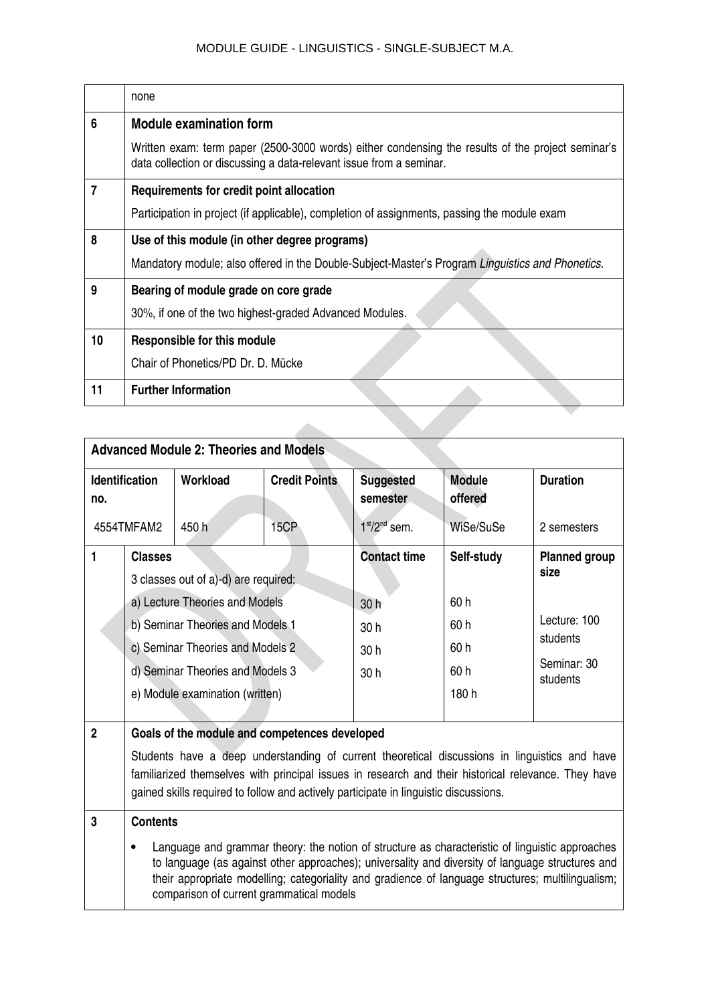|    | none                                                                                                                                                                     |  |  |  |
|----|--------------------------------------------------------------------------------------------------------------------------------------------------------------------------|--|--|--|
| 6  | <b>Module examination form</b>                                                                                                                                           |  |  |  |
|    | Written exam: term paper (2500-3000 words) either condensing the results of the project seminar's<br>data collection or discussing a data-relevant issue from a seminar. |  |  |  |
| 7  | Requirements for credit point allocation                                                                                                                                 |  |  |  |
|    | Participation in project (if applicable), completion of assignments, passing the module exam                                                                             |  |  |  |
| 8  | Use of this module (in other degree programs)                                                                                                                            |  |  |  |
|    | Mandatory module; also offered in the Double-Subject-Master's Program Linguistics and Phonetics.                                                                         |  |  |  |
| 9  | Bearing of module grade on core grade                                                                                                                                    |  |  |  |
|    | 30%, if one of the two highest-graded Advanced Modules.                                                                                                                  |  |  |  |
| 10 | <b>Responsible for this module</b>                                                                                                                                       |  |  |  |
|    | Chair of Phonetics/PD Dr. D. Mücke                                                                                                                                       |  |  |  |
| 11 | <b>Further Information</b>                                                                                                                                               |  |  |  |
|    |                                                                                                                                                                          |  |  |  |

|                                                                                                                                                                                                                                              | <b>Advanced Module 2: Theories and Models</b>                                                                                                                                                                                                                                                                                                                           |                                                  |                                                     |                                                                                     |                          |                 |
|----------------------------------------------------------------------------------------------------------------------------------------------------------------------------------------------------------------------------------------------|-------------------------------------------------------------------------------------------------------------------------------------------------------------------------------------------------------------------------------------------------------------------------------------------------------------------------------------------------------------------------|--------------------------------------------------|-----------------------------------------------------|-------------------------------------------------------------------------------------|--------------------------|-----------------|
| no.                                                                                                                                                                                                                                          | <b>Identification</b>                                                                                                                                                                                                                                                                                                                                                   | Workload                                         | <b>Credit Points</b>                                | <b>Suggested</b><br>semester                                                        | <b>Module</b><br>offered | <b>Duration</b> |
| 4554TMFAM2                                                                                                                                                                                                                                   |                                                                                                                                                                                                                                                                                                                                                                         | 450 h                                            | 15CP                                                | $1st/2nd$ sem.                                                                      | WiSe/SuSe                | 2 semesters     |
| 1<br><b>Classes</b><br>3 classes out of a)-d) are required:<br>a) Lecture Theories and Models<br>b) Seminar Theories and Models 1<br>c) Seminar Theories and Models 2<br>d) Seminar Theories and Models 3<br>e) Module examination (written) |                                                                                                                                                                                                                                                                                                                                                                         | <b>Contact time</b><br>30h<br>30h<br>30 h<br>30h | Self-study<br>60 h<br>60 h<br>60 h<br>60 h<br>180 h | <b>Planned group</b><br>size<br>Lecture: 100<br>students<br>Seminar: 30<br>students |                          |                 |
| $\overline{2}$                                                                                                                                                                                                                               |                                                                                                                                                                                                                                                                                                                                                                         |                                                  |                                                     |                                                                                     |                          |                 |
|                                                                                                                                                                                                                                              | Goals of the module and competences developed<br>Students have a deep understanding of current theoretical discussions in linguistics and have<br>familiarized themselves with principal issues in research and their historical relevance. They have<br>gained skills required to follow and actively participate in linguistic discussions.                           |                                                  |                                                     |                                                                                     |                          |                 |
| 3                                                                                                                                                                                                                                            | <b>Contents</b><br>Language and grammar theory: the notion of structure as characteristic of linguistic approaches<br>to language (as against other approaches); universality and diversity of language structures and<br>their appropriate modelling; categoriality and gradience of language structures; multilingualism;<br>comparison of current grammatical models |                                                  |                                                     |                                                                                     |                          |                 |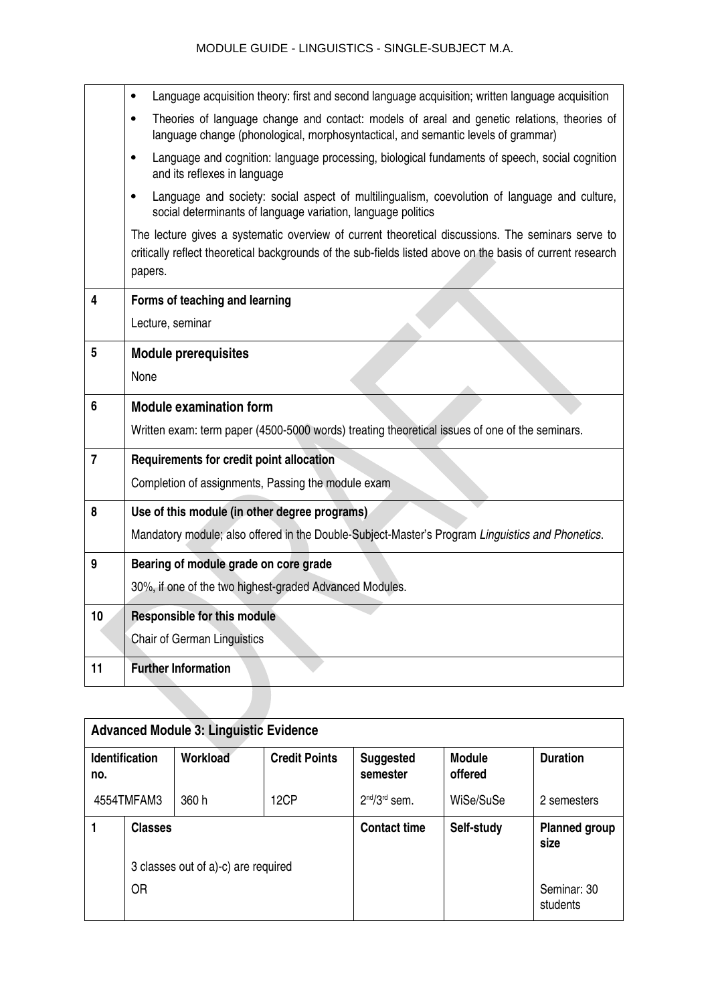|                | Language acquisition theory: first and second language acquisition; written language acquisition<br>$\bullet$                                                                                                              |
|----------------|----------------------------------------------------------------------------------------------------------------------------------------------------------------------------------------------------------------------------|
|                | Theories of language change and contact: models of areal and genetic relations, theories of<br>$\bullet$<br>language change (phonological, morphosyntactical, and semantic levels of grammar)                              |
|                | Language and cognition: language processing, biological fundaments of speech, social cognition<br>$\bullet$<br>and its reflexes in language                                                                                |
|                | Language and society: social aspect of multilingualism, coevolution of language and culture,<br>$\bullet$<br>social determinants of language variation, language politics                                                  |
|                | The lecture gives a systematic overview of current theoretical discussions. The seminars serve to<br>critically reflect theoretical backgrounds of the sub-fields listed above on the basis of current research<br>papers. |
| 4              | Forms of teaching and learning                                                                                                                                                                                             |
|                | Lecture, seminar                                                                                                                                                                                                           |
| 5              | <b>Module prerequisites</b>                                                                                                                                                                                                |
|                | None                                                                                                                                                                                                                       |
|                |                                                                                                                                                                                                                            |
| 6              | <b>Module examination form</b>                                                                                                                                                                                             |
|                | Written exam: term paper (4500-5000 words) treating theoretical issues of one of the seminars.                                                                                                                             |
| $\overline{7}$ | Requirements for credit point allocation                                                                                                                                                                                   |
|                | Completion of assignments, Passing the module exam                                                                                                                                                                         |
| 8              | Use of this module (in other degree programs)                                                                                                                                                                              |
|                | Mandatory module; also offered in the Double-Subject-Master's Program Linguistics and Phonetics.                                                                                                                           |
| 9              | Bearing of module grade on core grade                                                                                                                                                                                      |
|                | 30%, if one of the two highest-graded Advanced Modules.                                                                                                                                                                    |
| 10             | <b>Responsible for this module</b>                                                                                                                                                                                         |
|                | <b>Chair of German Linguistics</b>                                                                                                                                                                                         |
| 11             | <b>Further Information</b>                                                                                                                                                                                                 |
|                |                                                                                                                                                                                                                            |

|                              | <b>Advanced Module 3: Linguistic Evidence</b> |          |                      |                              |                          |                              |
|------------------------------|-----------------------------------------------|----------|----------------------|------------------------------|--------------------------|------------------------------|
| <b>Identification</b><br>no. |                                               | Workload | <b>Credit Points</b> | <b>Suggested</b><br>semester | <b>Module</b><br>offered | <b>Duration</b>              |
| 4554TMFAM3                   |                                               | 360 h    | 12CP                 | $2nd/3rd$ sem.               | WiSe/SuSe                | 2 semesters                  |
|                              | <b>Classes</b>                                |          |                      | <b>Contact time</b>          | Self-study               | <b>Planned group</b><br>size |
|                              | 3 classes out of a)-c) are required           |          |                      |                              |                          |                              |
|                              | <b>OR</b>                                     |          |                      |                              |                          | Seminar: 30<br>students      |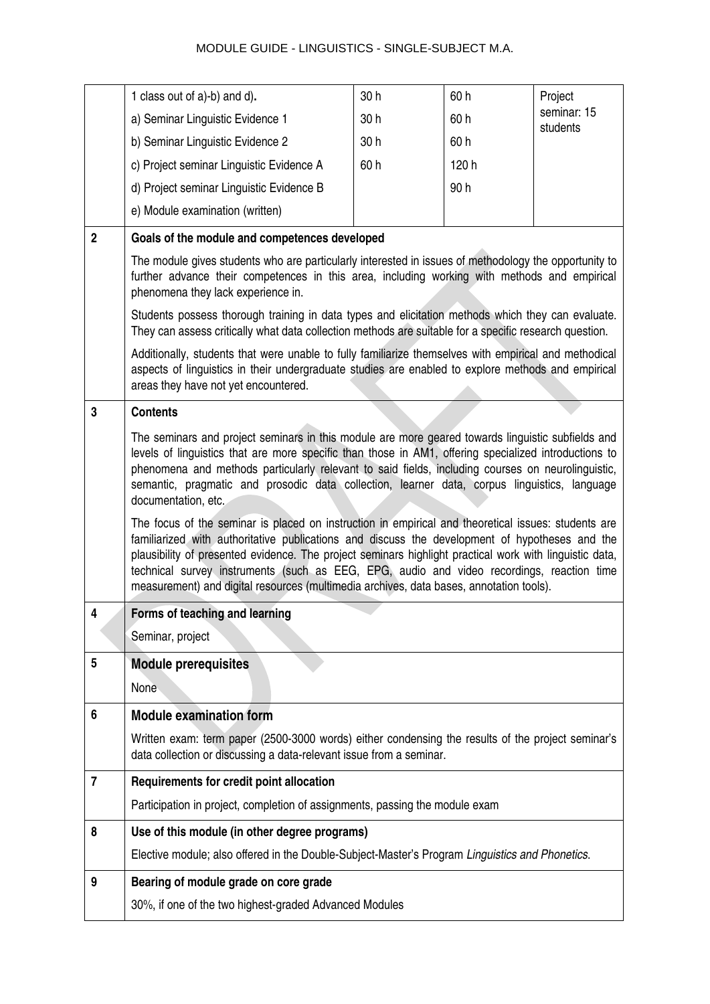|                | 1 class out of a)-b) and d).                                                                                                                                                                                                                                                                                                                                                                                                                                                                                                                                                                                                                                                                                                                                                                                                                                                                                                                       | 30h | 60 h  | Project                 |  |  |  |
|----------------|----------------------------------------------------------------------------------------------------------------------------------------------------------------------------------------------------------------------------------------------------------------------------------------------------------------------------------------------------------------------------------------------------------------------------------------------------------------------------------------------------------------------------------------------------------------------------------------------------------------------------------------------------------------------------------------------------------------------------------------------------------------------------------------------------------------------------------------------------------------------------------------------------------------------------------------------------|-----|-------|-------------------------|--|--|--|
|                | a) Seminar Linguistic Evidence 1                                                                                                                                                                                                                                                                                                                                                                                                                                                                                                                                                                                                                                                                                                                                                                                                                                                                                                                   | 30h | 60 h  | seminar: 15<br>students |  |  |  |
|                | b) Seminar Linguistic Evidence 2                                                                                                                                                                                                                                                                                                                                                                                                                                                                                                                                                                                                                                                                                                                                                                                                                                                                                                                   | 30h | 60 h  |                         |  |  |  |
|                | c) Project seminar Linguistic Evidence A                                                                                                                                                                                                                                                                                                                                                                                                                                                                                                                                                                                                                                                                                                                                                                                                                                                                                                           | 60h | 120 h |                         |  |  |  |
|                | d) Project seminar Linguistic Evidence B                                                                                                                                                                                                                                                                                                                                                                                                                                                                                                                                                                                                                                                                                                                                                                                                                                                                                                           |     | 90h   |                         |  |  |  |
|                | e) Module examination (written)                                                                                                                                                                                                                                                                                                                                                                                                                                                                                                                                                                                                                                                                                                                                                                                                                                                                                                                    |     |       |                         |  |  |  |
| $\overline{2}$ | Goals of the module and competences developed                                                                                                                                                                                                                                                                                                                                                                                                                                                                                                                                                                                                                                                                                                                                                                                                                                                                                                      |     |       |                         |  |  |  |
|                | The module gives students who are particularly interested in issues of methodology the opportunity to<br>further advance their competences in this area, including working with methods and empirical<br>phenomena they lack experience in.                                                                                                                                                                                                                                                                                                                                                                                                                                                                                                                                                                                                                                                                                                        |     |       |                         |  |  |  |
|                | Students possess thorough training in data types and elicitation methods which they can evaluate.<br>They can assess critically what data collection methods are suitable for a specific research question.                                                                                                                                                                                                                                                                                                                                                                                                                                                                                                                                                                                                                                                                                                                                        |     |       |                         |  |  |  |
|                | Additionally, students that were unable to fully familiarize themselves with empirical and methodical<br>aspects of linguistics in their undergraduate studies are enabled to explore methods and empirical<br>areas they have not yet encountered.                                                                                                                                                                                                                                                                                                                                                                                                                                                                                                                                                                                                                                                                                                |     |       |                         |  |  |  |
| 3              | <b>Contents</b>                                                                                                                                                                                                                                                                                                                                                                                                                                                                                                                                                                                                                                                                                                                                                                                                                                                                                                                                    |     |       |                         |  |  |  |
|                | The seminars and project seminars in this module are more geared towards linguistic subfields and<br>levels of linguistics that are more specific than those in AM1, offering specialized introductions to<br>phenomena and methods particularly relevant to said fields, including courses on neurolinguistic,<br>semantic, pragmatic and prosodic data collection, learner data, corpus linguistics, language<br>documentation, etc.<br>The focus of the seminar is placed on instruction in empirical and theoretical issues: students are<br>familiarized with authoritative publications and discuss the development of hypotheses and the<br>plausibility of presented evidence. The project seminars highlight practical work with linguistic data,<br>technical survey instruments (such as EEG, EPG, audio and video recordings, reaction time<br>measurement) and digital resources (multimedia archives, data bases, annotation tools). |     |       |                         |  |  |  |
|                | Forms of teaching and learning                                                                                                                                                                                                                                                                                                                                                                                                                                                                                                                                                                                                                                                                                                                                                                                                                                                                                                                     |     |       |                         |  |  |  |
|                | Seminar, project                                                                                                                                                                                                                                                                                                                                                                                                                                                                                                                                                                                                                                                                                                                                                                                                                                                                                                                                   |     |       |                         |  |  |  |
| 5              | <b>Module prerequisites</b><br>None                                                                                                                                                                                                                                                                                                                                                                                                                                                                                                                                                                                                                                                                                                                                                                                                                                                                                                                |     |       |                         |  |  |  |
| 6              | <b>Module examination form</b>                                                                                                                                                                                                                                                                                                                                                                                                                                                                                                                                                                                                                                                                                                                                                                                                                                                                                                                     |     |       |                         |  |  |  |
|                | Written exam: term paper (2500-3000 words) either condensing the results of the project seminar's<br>data collection or discussing a data-relevant issue from a seminar.                                                                                                                                                                                                                                                                                                                                                                                                                                                                                                                                                                                                                                                                                                                                                                           |     |       |                         |  |  |  |
| 7              | Requirements for credit point allocation                                                                                                                                                                                                                                                                                                                                                                                                                                                                                                                                                                                                                                                                                                                                                                                                                                                                                                           |     |       |                         |  |  |  |
|                | Participation in project, completion of assignments, passing the module exam                                                                                                                                                                                                                                                                                                                                                                                                                                                                                                                                                                                                                                                                                                                                                                                                                                                                       |     |       |                         |  |  |  |
| 8              | Use of this module (in other degree programs)                                                                                                                                                                                                                                                                                                                                                                                                                                                                                                                                                                                                                                                                                                                                                                                                                                                                                                      |     |       |                         |  |  |  |
|                | Elective module; also offered in the Double-Subject-Master's Program Linguistics and Phonetics.                                                                                                                                                                                                                                                                                                                                                                                                                                                                                                                                                                                                                                                                                                                                                                                                                                                    |     |       |                         |  |  |  |
|                | Bearing of module grade on core grade                                                                                                                                                                                                                                                                                                                                                                                                                                                                                                                                                                                                                                                                                                                                                                                                                                                                                                              |     |       |                         |  |  |  |
| 9              |                                                                                                                                                                                                                                                                                                                                                                                                                                                                                                                                                                                                                                                                                                                                                                                                                                                                                                                                                    |     |       |                         |  |  |  |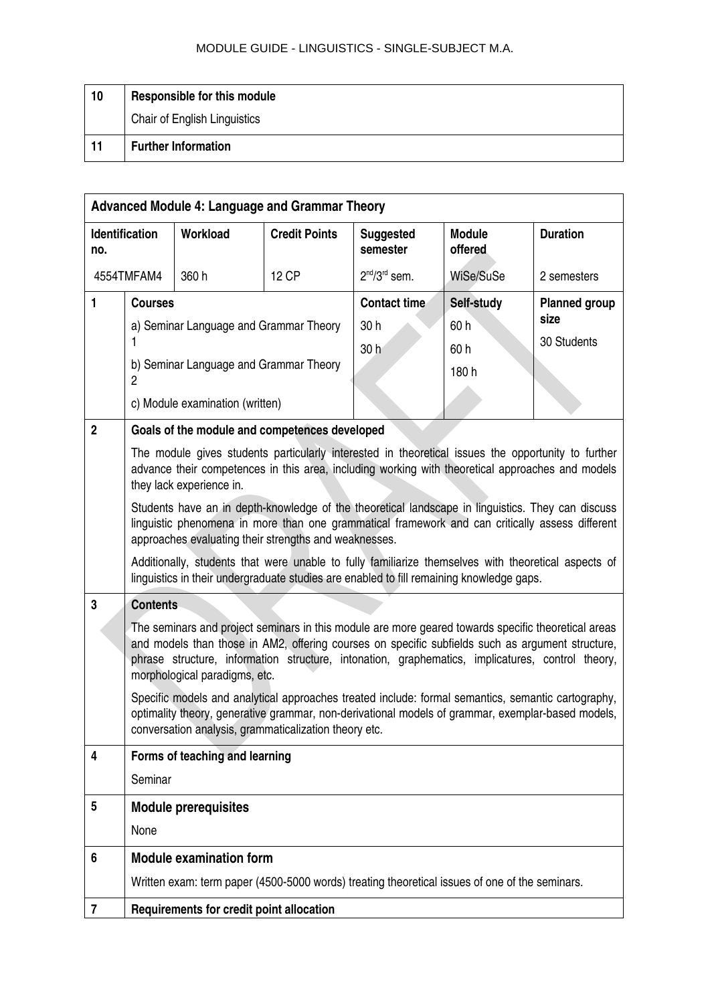| 10 | Responsible for this module  |
|----|------------------------------|
|    | Chair of English Linguistics |
| 11 | <b>Further Information</b>   |

|              | <b>Advanced Module 4: Language and Grammar Theory</b>                                                                                                                                                                                                                                                                                        |                                                       |                      |                              |                                                                                                                                                                                                         |                              |
|--------------|----------------------------------------------------------------------------------------------------------------------------------------------------------------------------------------------------------------------------------------------------------------------------------------------------------------------------------------------|-------------------------------------------------------|----------------------|------------------------------|---------------------------------------------------------------------------------------------------------------------------------------------------------------------------------------------------------|------------------------------|
| no.          | Identification                                                                                                                                                                                                                                                                                                                               | Workload                                              | <b>Credit Points</b> | <b>Suggested</b><br>semester | <b>Module</b><br>offered                                                                                                                                                                                | <b>Duration</b>              |
|              | 4554TMFAM4                                                                                                                                                                                                                                                                                                                                   | 360 h                                                 | <b>12 CP</b>         | $2nd/3rd$ sem.               | WiSe/SuSe                                                                                                                                                                                               | 2 semesters                  |
| $\mathbf{1}$ | <b>Courses</b>                                                                                                                                                                                                                                                                                                                               |                                                       |                      | <b>Contact time</b>          | Self-study                                                                                                                                                                                              | <b>Planned group</b><br>size |
|              |                                                                                                                                                                                                                                                                                                                                              | a) Seminar Language and Grammar Theory                |                      | 30 h<br>30 <sub>h</sub>      | 60h<br>60 h                                                                                                                                                                                             | 30 Students                  |
|              | $\overline{2}$                                                                                                                                                                                                                                                                                                                               | b) Seminar Language and Grammar Theory                |                      |                              | 180 h                                                                                                                                                                                                   |                              |
|              |                                                                                                                                                                                                                                                                                                                                              | c) Module examination (written)                       |                      |                              |                                                                                                                                                                                                         |                              |
| $\mathbf 2$  |                                                                                                                                                                                                                                                                                                                                              | Goals of the module and competences developed         |                      |                              |                                                                                                                                                                                                         |                              |
|              |                                                                                                                                                                                                                                                                                                                                              | they lack experience in.                              |                      |                              | The module gives students particularly interested in theoretical issues the opportunity to further<br>advance their competences in this area, including working with theoretical approaches and models  |                              |
|              |                                                                                                                                                                                                                                                                                                                                              | approaches evaluating their strengths and weaknesses. |                      |                              | Students have an in depth-knowledge of the theoretical landscape in linguistics. They can discuss<br>linguistic phenomena in more than one grammatical framework and can critically assess different    |                              |
|              |                                                                                                                                                                                                                                                                                                                                              |                                                       |                      |                              | Additionally, students that were unable to fully familiarize themselves with theoretical aspects of<br>linguistics in their undergraduate studies are enabled to fill remaining knowledge gaps.         |                              |
| 3            | <b>Contents</b>                                                                                                                                                                                                                                                                                                                              |                                                       |                      |                              |                                                                                                                                                                                                         |                              |
|              | The seminars and project seminars in this module are more geared towards specific theoretical areas<br>and models than those in AM2, offering courses on specific subfields such as argument structure,<br>phrase structure, information structure, intonation, graphematics, implicatures, control theory,<br>morphological paradigms, etc. |                                                       |                      |                              |                                                                                                                                                                                                         |                              |
|              |                                                                                                                                                                                                                                                                                                                                              | conversation analysis, grammaticalization theory etc. |                      |                              | Specific models and analytical approaches treated include: formal semantics, semantic cartography,<br>optimality theory, generative grammar, non-derivational models of grammar, exemplar-based models, |                              |
| 4            |                                                                                                                                                                                                                                                                                                                                              | Forms of teaching and learning                        |                      |                              |                                                                                                                                                                                                         |                              |
|              | Seminar                                                                                                                                                                                                                                                                                                                                      |                                                       |                      |                              |                                                                                                                                                                                                         |                              |
| 5            |                                                                                                                                                                                                                                                                                                                                              | <b>Module prerequisites</b>                           |                      |                              |                                                                                                                                                                                                         |                              |
|              | None                                                                                                                                                                                                                                                                                                                                         |                                                       |                      |                              |                                                                                                                                                                                                         |                              |
| 6            |                                                                                                                                                                                                                                                                                                                                              | <b>Module examination form</b>                        |                      |                              |                                                                                                                                                                                                         |                              |
|              |                                                                                                                                                                                                                                                                                                                                              |                                                       |                      |                              | Written exam: term paper (4500-5000 words) treating theoretical issues of one of the seminars.                                                                                                          |                              |
| 7            | Requirements for credit point allocation                                                                                                                                                                                                                                                                                                     |                                                       |                      |                              |                                                                                                                                                                                                         |                              |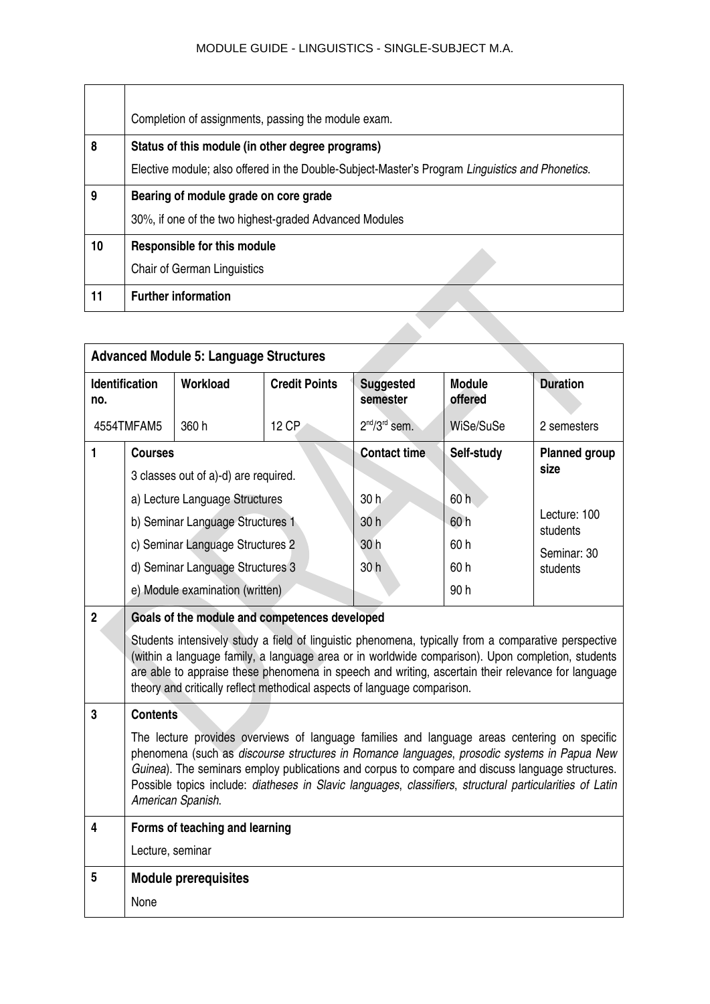| Completion of assignments, passing the module exam.                                             |  |  |  |  |
|-------------------------------------------------------------------------------------------------|--|--|--|--|
| Status of this module (in other degree programs)                                                |  |  |  |  |
| Elective module; also offered in the Double-Subject-Master's Program Linguistics and Phonetics. |  |  |  |  |
| Bearing of module grade on core grade                                                           |  |  |  |  |
| 30%, if one of the two highest-graded Advanced Modules                                          |  |  |  |  |
| <b>Responsible for this module</b>                                                              |  |  |  |  |
| Chair of German Linguistics                                                                     |  |  |  |  |
| <b>Further information</b>                                                                      |  |  |  |  |
|                                                                                                 |  |  |  |  |
|                                                                                                 |  |  |  |  |

| <b>Advanced Module 5: Language Structures</b> |                                                                                                                                                                                                                                                                                                                                                                                                                                  |                                               |                      |                              |                          |                              |
|-----------------------------------------------|----------------------------------------------------------------------------------------------------------------------------------------------------------------------------------------------------------------------------------------------------------------------------------------------------------------------------------------------------------------------------------------------------------------------------------|-----------------------------------------------|----------------------|------------------------------|--------------------------|------------------------------|
| no.                                           | <b>Identification</b>                                                                                                                                                                                                                                                                                                                                                                                                            | Workload                                      | <b>Credit Points</b> | <b>Suggested</b><br>semester | <b>Module</b><br>offered | <b>Duration</b>              |
|                                               | 4554TMFAM5                                                                                                                                                                                                                                                                                                                                                                                                                       | 360 h                                         | 12 CP                | $2nd/3rd$ sem.               | WiSe/SuSe                | 2 semesters                  |
| 1                                             | <b>Courses</b>                                                                                                                                                                                                                                                                                                                                                                                                                   |                                               |                      | <b>Contact time</b>          | Self-study               | <b>Planned group</b><br>size |
|                                               |                                                                                                                                                                                                                                                                                                                                                                                                                                  | 3 classes out of a)-d) are required.          |                      |                              |                          |                              |
|                                               |                                                                                                                                                                                                                                                                                                                                                                                                                                  | a) Lecture Language Structures                |                      | 30h                          | 60h                      |                              |
|                                               |                                                                                                                                                                                                                                                                                                                                                                                                                                  | b) Seminar Language Structures 1              |                      | 30 h                         | 60h                      | Lecture: 100<br>students     |
|                                               |                                                                                                                                                                                                                                                                                                                                                                                                                                  | c) Seminar Language Structures 2              |                      | 30 h                         | 60h                      | Seminar: 30                  |
|                                               |                                                                                                                                                                                                                                                                                                                                                                                                                                  | d) Seminar Language Structures 3              |                      | 30 h                         | 60h                      | students                     |
|                                               |                                                                                                                                                                                                                                                                                                                                                                                                                                  | e) Module examination (written)               |                      |                              | 90h                      |                              |
| $\overline{2}$                                |                                                                                                                                                                                                                                                                                                                                                                                                                                  | Goals of the module and competences developed |                      |                              |                          |                              |
|                                               | Students intensively study a field of linguistic phenomena, typically from a comparative perspective<br>(within a language family, a language area or in worldwide comparison). Upon completion, students<br>are able to appraise these phenomena in speech and writing, ascertain their relevance for language<br>theory and critically reflect methodical aspects of language comparison.                                      |                                               |                      |                              |                          |                              |
| 3                                             | <b>Contents</b>                                                                                                                                                                                                                                                                                                                                                                                                                  |                                               |                      |                              |                          |                              |
|                                               | The lecture provides overviews of language families and language areas centering on specific<br>phenomena (such as discourse structures in Romance languages, prosodic systems in Papua New<br>Guinea). The seminars employ publications and corpus to compare and discuss language structures.<br>Possible topics include: diatheses in Slavic languages, classifiers, structural particularities of Latin<br>American Spanish. |                                               |                      |                              |                          |                              |
| $\overline{\mathbf{4}}$                       |                                                                                                                                                                                                                                                                                                                                                                                                                                  | Forms of teaching and learning                |                      |                              |                          |                              |
|                                               | Lecture, seminar                                                                                                                                                                                                                                                                                                                                                                                                                 |                                               |                      |                              |                          |                              |
| 5                                             |                                                                                                                                                                                                                                                                                                                                                                                                                                  | <b>Module prerequisites</b>                   |                      |                              |                          |                              |
|                                               | None                                                                                                                                                                                                                                                                                                                                                                                                                             |                                               |                      |                              |                          |                              |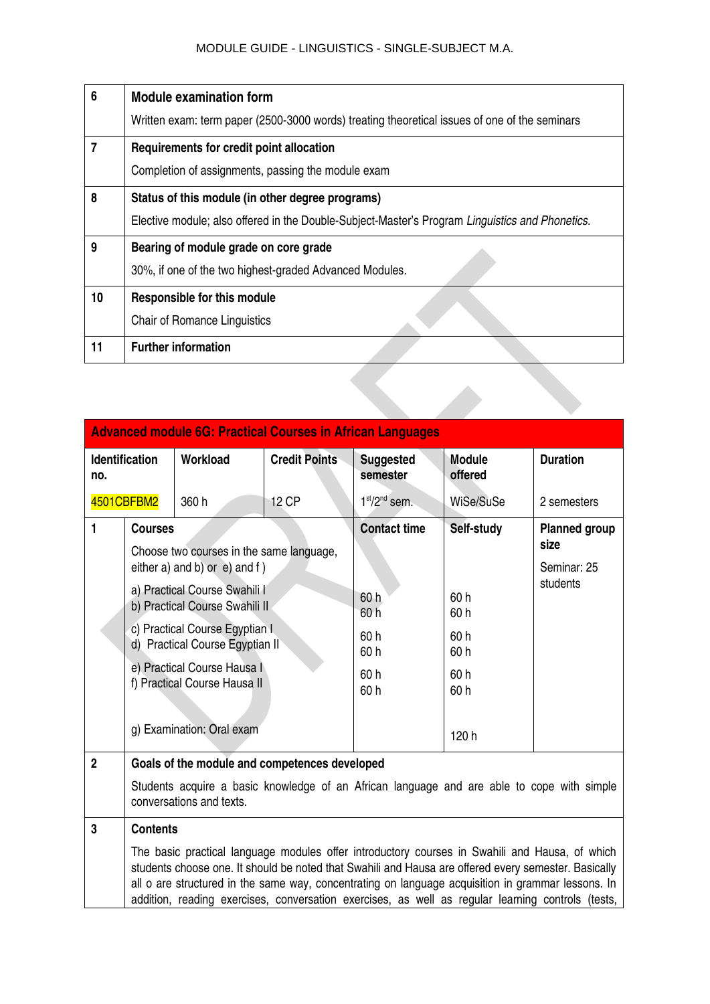| 6              | <b>Module examination form</b>                                                                  |
|----------------|-------------------------------------------------------------------------------------------------|
|                | Written exam: term paper (2500-3000 words) treating theoretical issues of one of the seminars   |
| $\overline{7}$ | Requirements for credit point allocation                                                        |
|                | Completion of assignments, passing the module exam                                              |
| 8              | Status of this module (in other degree programs)                                                |
|                | Elective module; also offered in the Double-Subject-Master's Program Linguistics and Phonetics. |
| 9              | Bearing of module grade on core grade                                                           |
|                | 30%, if one of the two highest-graded Advanced Modules.                                         |
| 10             | <b>Responsible for this module</b>                                                              |
|                | <b>Chair of Romance Linguistics</b>                                                             |
| 11             | <b>Further information</b>                                                                      |
|                |                                                                                                 |
|                |                                                                                                 |

|              | <b>Advanced module 6G: Practical Courses in African Languages</b>                                                                                                                                                                                                                                                                                                                                                 |          |                      |                                                                     |                                                                 |                                                         |
|--------------|-------------------------------------------------------------------------------------------------------------------------------------------------------------------------------------------------------------------------------------------------------------------------------------------------------------------------------------------------------------------------------------------------------------------|----------|----------------------|---------------------------------------------------------------------|-----------------------------------------------------------------|---------------------------------------------------------|
| no.          | <b>Identification</b>                                                                                                                                                                                                                                                                                                                                                                                             | Workload | <b>Credit Points</b> | <b>Suggested</b><br>semester                                        | <b>Module</b><br>offered                                        | <b>Duration</b>                                         |
|              | 4501CBFBM2                                                                                                                                                                                                                                                                                                                                                                                                        | 360 h    | 12 CP                | $1st/2nd$ sem.                                                      | WiSe/SuSe                                                       | 2 semesters                                             |
| 1            | <b>Courses</b><br>Choose two courses in the same language,<br>either a) and b) or $e$ ) and f)<br>a) Practical Course Swahili I<br>b) Practical Course Swahili II<br>c) Practical Course Egyptian I<br>d) Practical Course Egyptian II<br>e) Practical Course Hausa I<br>f) Practical Course Hausa II<br>g) Examination: Oral exam                                                                                |          |                      | <b>Contact time</b><br>60 h<br>60 h<br>60 h<br>60 h<br>60 h<br>60 h | Self-study<br>60h<br>60 h<br>60 h<br>60h<br>60h<br>60h<br>120 h | <b>Planned group</b><br>size<br>Seminar: 25<br>students |
| $\mathbf{2}$ | Goals of the module and competences developed                                                                                                                                                                                                                                                                                                                                                                     |          |                      |                                                                     |                                                                 |                                                         |
|              | Students acquire a basic knowledge of an African language and are able to cope with simple<br>conversations and texts.                                                                                                                                                                                                                                                                                            |          |                      |                                                                     |                                                                 |                                                         |
| 3            | <b>Contents</b>                                                                                                                                                                                                                                                                                                                                                                                                   |          |                      |                                                                     |                                                                 |                                                         |
|              | The basic practical language modules offer introductory courses in Swahili and Hausa, of which<br>students choose one. It should be noted that Swahili and Hausa are offered every semester. Basically<br>all o are structured in the same way, concentrating on language acquisition in grammar lessons. In<br>addition, reading exercises, conversation exercises, as well as regular learning controls (tests, |          |                      |                                                                     |                                                                 |                                                         |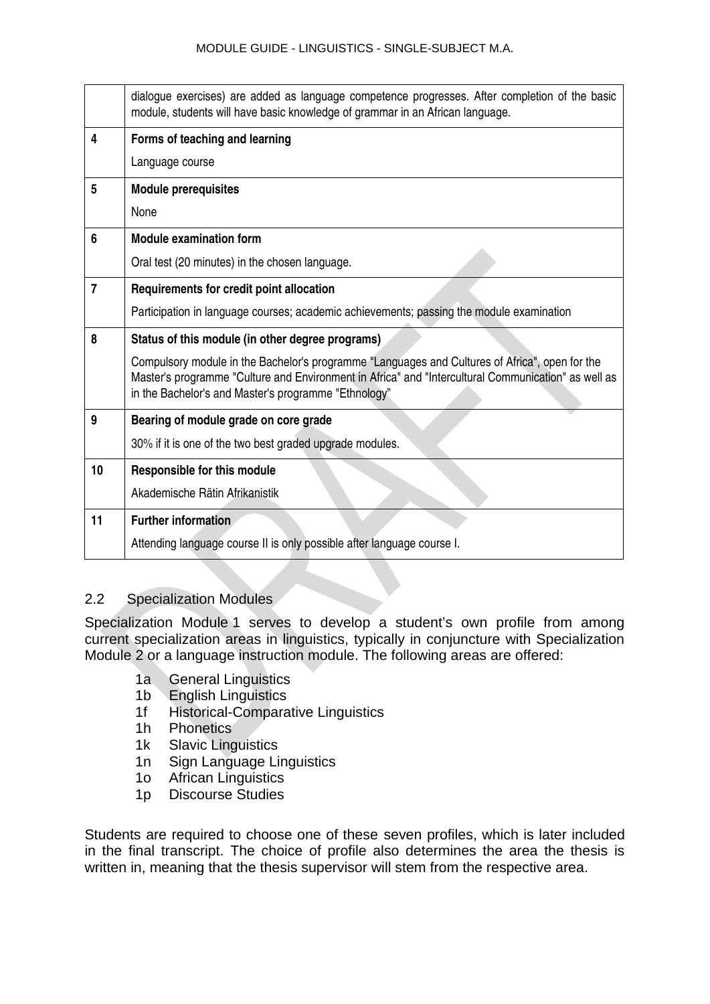|                | dialogue exercises) are added as language competence progresses. After completion of the basic<br>module, students will have basic knowledge of grammar in an African language.                                                                               |
|----------------|---------------------------------------------------------------------------------------------------------------------------------------------------------------------------------------------------------------------------------------------------------------|
| 4              | Forms of teaching and learning                                                                                                                                                                                                                                |
|                | Language course                                                                                                                                                                                                                                               |
| 5              | <b>Module prerequisites</b>                                                                                                                                                                                                                                   |
|                | None                                                                                                                                                                                                                                                          |
| 6              | <b>Module examination form</b>                                                                                                                                                                                                                                |
|                | Oral test (20 minutes) in the chosen language.                                                                                                                                                                                                                |
| $\overline{7}$ | Requirements for credit point allocation                                                                                                                                                                                                                      |
|                | Participation in language courses; academic achievements; passing the module examination                                                                                                                                                                      |
| 8              | Status of this module (in other degree programs)                                                                                                                                                                                                              |
|                | Compulsory module in the Bachelor's programme "Languages and Cultures of Africa", open for the<br>Master's programme "Culture and Environment in Africa" and "Intercultural Communication" as well as<br>in the Bachelor's and Master's programme "Ethnology" |
| 9              | Bearing of module grade on core grade                                                                                                                                                                                                                         |
|                | 30% if it is one of the two best graded upgrade modules.                                                                                                                                                                                                      |
| 10             | <b>Responsible for this module</b>                                                                                                                                                                                                                            |
|                | Akademische Rätin Afrikanistik                                                                                                                                                                                                                                |
| 11             | <b>Further information</b>                                                                                                                                                                                                                                    |
|                | Attending language course II is only possible after language course I.                                                                                                                                                                                        |

# <span id="page-17-0"></span>2.2 Specialization Modules

Specialization Module 1 serves to develop a student's own profile from among current specialization areas in linguistics, typically in conjuncture with Specialization Module 2 or a language instruction module. The following areas are offered:

- 1a General Linguistics
- 1b English Linguistics
- 1f Historical-Comparative Linguistics
- 1h Phonetics
- 1k Slavic Linguistics
- 1n Sign Language Linguistics
- 1o African Linguistics
- 1p Discourse Studies

Students are required to choose one of these seven profiles, which is later included in the final transcript. The choice of profile also determines the area the thesis is written in, meaning that the thesis supervisor will stem from the respective area.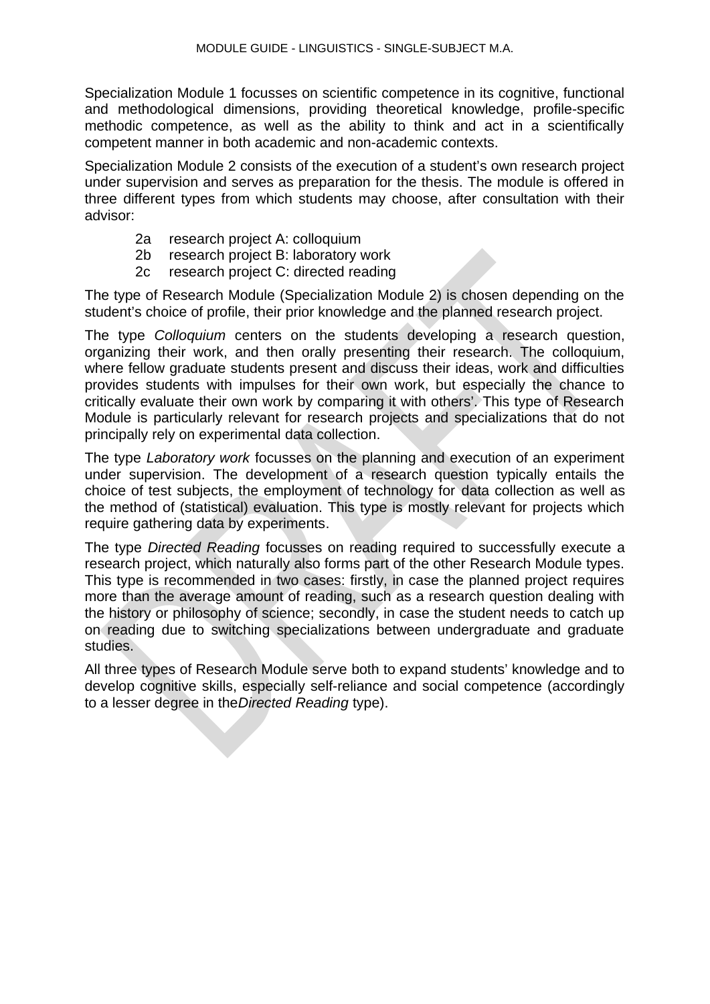Specialization Module 1 focusses on scientific competence in its cognitive, functional and methodological dimensions, providing theoretical knowledge, profile-specific methodic competence, as well as the ability to think and act in a scientifically competent manner in both academic and non-academic contexts.

Specialization Module 2 consists of the execution of a student's own research project under supervision and serves as preparation for the thesis. The module is offered in three different types from which students may choose, after consultation with their advisor:

- 2a research project A: colloquium
- 2b research project B: laboratory work
- 2c research project C: directed reading

The type of Research Module (Specialization Module 2) is chosen depending on the student's choice of profile, their prior knowledge and the planned research project.

The type *Colloquium* centers on the students developing a research question, organizing their work, and then orally presenting their research. The colloquium, where fellow graduate students present and discuss their ideas, work and difficulties provides students with impulses for their own work, but especially the chance to critically evaluate their own work by comparing it with others'. This type of Research Module is particularly relevant for research projects and specializations that do not principally rely on experimental data collection.

The type *Laboratory work* focusses on the planning and execution of an experiment under supervision. The development of a research question typically entails the choice of test subjects, the employment of technology for data collection as well as the method of (statistical) evaluation. This type is mostly relevant for projects which require gathering data by experiments.

The type *Directed Reading* focusses on reading required to successfully execute a research project, which naturally also forms part of the other Research Module types. This type is recommended in two cases: firstly, in case the planned project requires more than the average amount of reading, such as a research question dealing with the history or philosophy of science; secondly, in case the student needs to catch up on reading due to switching specializations between undergraduate and graduate studies.

All three types of Research Module serve both to expand students' knowledge and to develop cognitive skills, especially self-reliance and social competence (accordingly to a lesser degree in the*Directed Reading* type).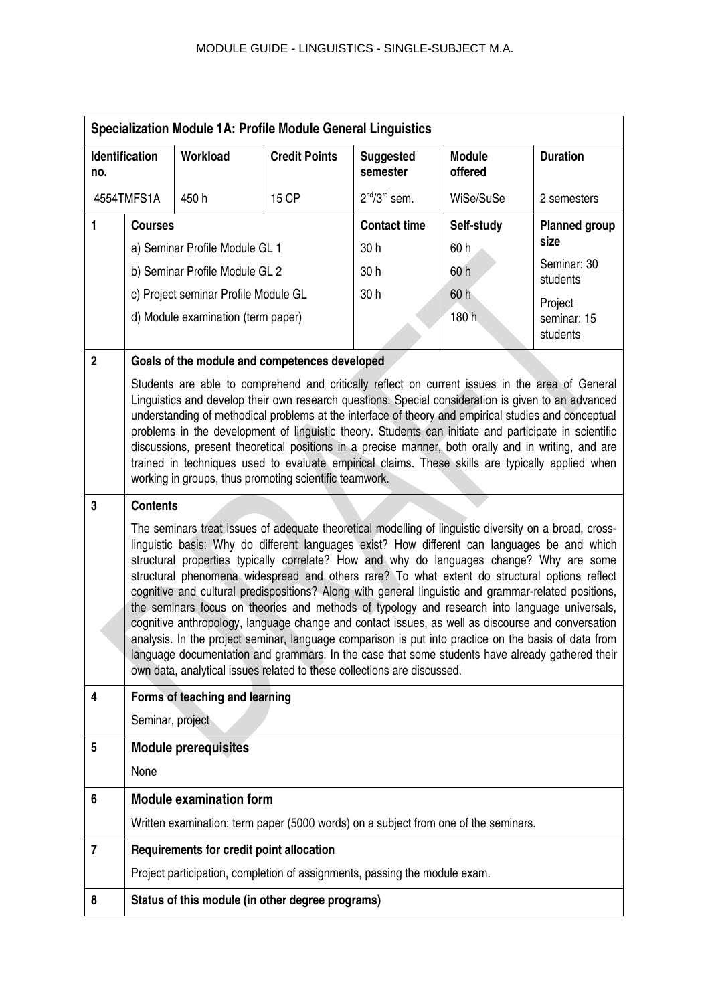|                | <b>Specialization Module 1A: Profile Module General Linguistics</b>                                                                                                                                                                                                                                                                                                                                                                                                                                                                                                                                                                                                                                                                                                                                                                                                                                                                                                                                     |                                          |                                                  |                                                                                     |                          |                         |
|----------------|---------------------------------------------------------------------------------------------------------------------------------------------------------------------------------------------------------------------------------------------------------------------------------------------------------------------------------------------------------------------------------------------------------------------------------------------------------------------------------------------------------------------------------------------------------------------------------------------------------------------------------------------------------------------------------------------------------------------------------------------------------------------------------------------------------------------------------------------------------------------------------------------------------------------------------------------------------------------------------------------------------|------------------------------------------|--------------------------------------------------|-------------------------------------------------------------------------------------|--------------------------|-------------------------|
| no.            | <b>Identification</b>                                                                                                                                                                                                                                                                                                                                                                                                                                                                                                                                                                                                                                                                                                                                                                                                                                                                                                                                                                                   | Workload                                 | <b>Credit Points</b>                             | <b>Suggested</b><br>semester                                                        | <b>Module</b><br>offered | <b>Duration</b>         |
|                | 4554TMFS1A                                                                                                                                                                                                                                                                                                                                                                                                                                                                                                                                                                                                                                                                                                                                                                                                                                                                                                                                                                                              | 450h                                     | 15 CP                                            | $2nd/3rd$ sem.                                                                      | WiSe/SuSe                | 2 semesters             |
| 1              | <b>Courses</b>                                                                                                                                                                                                                                                                                                                                                                                                                                                                                                                                                                                                                                                                                                                                                                                                                                                                                                                                                                                          |                                          |                                                  | <b>Contact time</b>                                                                 | Self-study               | <b>Planned group</b>    |
|                |                                                                                                                                                                                                                                                                                                                                                                                                                                                                                                                                                                                                                                                                                                                                                                                                                                                                                                                                                                                                         | a) Seminar Profile Module GL 1           |                                                  | 30h                                                                                 | 60 h                     | size                    |
|                |                                                                                                                                                                                                                                                                                                                                                                                                                                                                                                                                                                                                                                                                                                                                                                                                                                                                                                                                                                                                         | b) Seminar Profile Module GL 2           |                                                  | 30h                                                                                 | 60h                      | Seminar: 30<br>students |
|                |                                                                                                                                                                                                                                                                                                                                                                                                                                                                                                                                                                                                                                                                                                                                                                                                                                                                                                                                                                                                         | c) Project seminar Profile Module GL     |                                                  | 30h                                                                                 | 60 h                     | Project                 |
|                |                                                                                                                                                                                                                                                                                                                                                                                                                                                                                                                                                                                                                                                                                                                                                                                                                                                                                                                                                                                                         | d) Module examination (term paper)       |                                                  |                                                                                     | 180 h                    | seminar: 15<br>students |
| $\overline{2}$ |                                                                                                                                                                                                                                                                                                                                                                                                                                                                                                                                                                                                                                                                                                                                                                                                                                                                                                                                                                                                         |                                          | Goals of the module and competences developed    |                                                                                     |                          |                         |
|                | Students are able to comprehend and critically reflect on current issues in the area of General<br>Linguistics and develop their own research questions. Special consideration is given to an advanced<br>understanding of methodical problems at the interface of theory and empirical studies and conceptual<br>problems in the development of linguistic theory. Students can initiate and participate in scientific<br>discussions, present theoretical positions in a precise manner, both orally and in writing, and are<br>trained in techniques used to evaluate empirical claims. These skills are typically applied when<br>working in groups, thus promoting scientific teamwork.                                                                                                                                                                                                                                                                                                            |                                          |                                                  |                                                                                     |                          |                         |
| 3              | <b>Contents</b>                                                                                                                                                                                                                                                                                                                                                                                                                                                                                                                                                                                                                                                                                                                                                                                                                                                                                                                                                                                         |                                          |                                                  |                                                                                     |                          |                         |
|                | The seminars treat issues of adequate theoretical modelling of linguistic diversity on a broad, cross-<br>linguistic basis: Why do different languages exist? How different can languages be and which<br>structural properties typically correlate? How and why do languages change? Why are some<br>structural phenomena widespread and others rare? To what extent do structural options reflect<br>cognitive and cultural predispositions? Along with general linguistic and grammar-related positions,<br>the seminars focus on theories and methods of typology and research into language universals,<br>cognitive anthropology, language change and contact issues, as well as discourse and conversation<br>analysis. In the project seminar, language comparison is put into practice on the basis of data from<br>language documentation and grammars. In the case that some students have already gathered their<br>own data, analytical issues related to these collections are discussed. |                                          |                                                  |                                                                                     |                          |                         |
| 4              |                                                                                                                                                                                                                                                                                                                                                                                                                                                                                                                                                                                                                                                                                                                                                                                                                                                                                                                                                                                                         | Forms of teaching and learning           |                                                  |                                                                                     |                          |                         |
|                | Seminar, project                                                                                                                                                                                                                                                                                                                                                                                                                                                                                                                                                                                                                                                                                                                                                                                                                                                                                                                                                                                        |                                          |                                                  |                                                                                     |                          |                         |
| 5              |                                                                                                                                                                                                                                                                                                                                                                                                                                                                                                                                                                                                                                                                                                                                                                                                                                                                                                                                                                                                         | <b>Module prerequisites</b>              |                                                  |                                                                                     |                          |                         |
|                | None                                                                                                                                                                                                                                                                                                                                                                                                                                                                                                                                                                                                                                                                                                                                                                                                                                                                                                                                                                                                    |                                          |                                                  |                                                                                     |                          |                         |
| 6              |                                                                                                                                                                                                                                                                                                                                                                                                                                                                                                                                                                                                                                                                                                                                                                                                                                                                                                                                                                                                         | <b>Module examination form</b>           |                                                  |                                                                                     |                          |                         |
|                |                                                                                                                                                                                                                                                                                                                                                                                                                                                                                                                                                                                                                                                                                                                                                                                                                                                                                                                                                                                                         |                                          |                                                  | Written examination: term paper (5000 words) on a subject from one of the seminars. |                          |                         |
| $\overline{7}$ |                                                                                                                                                                                                                                                                                                                                                                                                                                                                                                                                                                                                                                                                                                                                                                                                                                                                                                                                                                                                         | Requirements for credit point allocation |                                                  |                                                                                     |                          |                         |
|                |                                                                                                                                                                                                                                                                                                                                                                                                                                                                                                                                                                                                                                                                                                                                                                                                                                                                                                                                                                                                         |                                          |                                                  | Project participation, completion of assignments, passing the module exam.          |                          |                         |
| 8              |                                                                                                                                                                                                                                                                                                                                                                                                                                                                                                                                                                                                                                                                                                                                                                                                                                                                                                                                                                                                         |                                          | Status of this module (in other degree programs) |                                                                                     |                          |                         |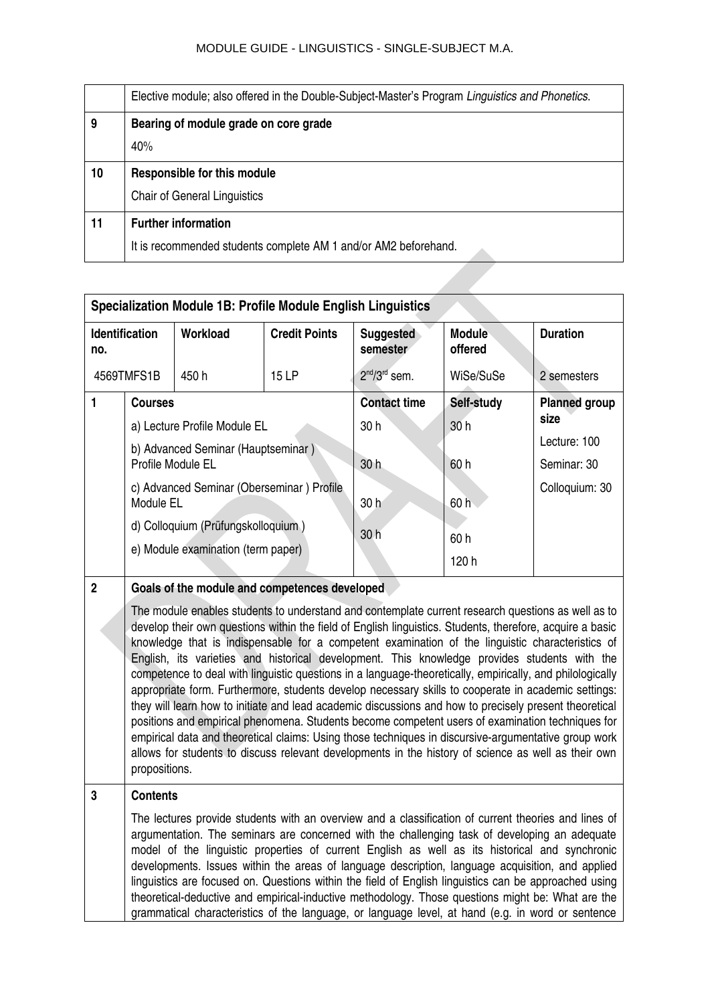|    | Elective module; also offered in the Double-Subject-Master's Program Linguistics and Phonetics. |
|----|-------------------------------------------------------------------------------------------------|
| 9  | Bearing of module grade on core grade                                                           |
|    | 40%                                                                                             |
| 10 | Responsible for this module                                                                     |
|    | <b>Chair of General Linguistics</b>                                                             |
| 11 | <b>Further information</b>                                                                      |
|    | It is recommended students complete AM 1 and/or AM2 beforehand.                                 |

|                                                                                                                                                                                                                                                                                                                                                                                                                                                                                                                                                                                                                                                                                                                                                                                                                                                                                                                                                                                                                                                                                                                                                          | <b>Specialization Module 1B: Profile Module English Linguistics</b>                                                                                                                                                                                                                                                                                                                                                                                                                                                                                                                                                                          |                                                                                                                                                                                         |                       |                                                   |                                         |                                                                               |
|----------------------------------------------------------------------------------------------------------------------------------------------------------------------------------------------------------------------------------------------------------------------------------------------------------------------------------------------------------------------------------------------------------------------------------------------------------------------------------------------------------------------------------------------------------------------------------------------------------------------------------------------------------------------------------------------------------------------------------------------------------------------------------------------------------------------------------------------------------------------------------------------------------------------------------------------------------------------------------------------------------------------------------------------------------------------------------------------------------------------------------------------------------|----------------------------------------------------------------------------------------------------------------------------------------------------------------------------------------------------------------------------------------------------------------------------------------------------------------------------------------------------------------------------------------------------------------------------------------------------------------------------------------------------------------------------------------------------------------------------------------------------------------------------------------------|-----------------------------------------------------------------------------------------------------------------------------------------------------------------------------------------|-----------------------|---------------------------------------------------|-----------------------------------------|-------------------------------------------------------------------------------|
| no.                                                                                                                                                                                                                                                                                                                                                                                                                                                                                                                                                                                                                                                                                                                                                                                                                                                                                                                                                                                                                                                                                                                                                      | <b>Identification</b><br>Workload<br><b>Credit Points</b>                                                                                                                                                                                                                                                                                                                                                                                                                                                                                                                                                                                    |                                                                                                                                                                                         | Suggested<br>semester | <b>Module</b><br>offered                          | <b>Duration</b>                         |                                                                               |
|                                                                                                                                                                                                                                                                                                                                                                                                                                                                                                                                                                                                                                                                                                                                                                                                                                                                                                                                                                                                                                                                                                                                                          | 4569TMFS1B<br>15 LP<br>450h                                                                                                                                                                                                                                                                                                                                                                                                                                                                                                                                                                                                                  |                                                                                                                                                                                         | $2nd/3rd$ sem.        | WiSe/SuSe                                         | 2 semesters                             |                                                                               |
| $\blacksquare$                                                                                                                                                                                                                                                                                                                                                                                                                                                                                                                                                                                                                                                                                                                                                                                                                                                                                                                                                                                                                                                                                                                                           | <b>Courses</b>                                                                                                                                                                                                                                                                                                                                                                                                                                                                                                                                                                                                                               | a) Lecture Profile Module EL<br>b) Advanced Seminar (Hauptseminar)<br>Profile Module EL<br>c) Advanced Seminar (Oberseminar) Profile<br>Module EL<br>d) Colloquium (Prüfungskolloquium) |                       | <b>Contact time</b><br>30h<br>30h<br>30 h<br>30 h | Self-study<br>30h<br>60 h<br>60h<br>60h | <b>Planned group</b><br>size<br>Lecture: 100<br>Seminar: 30<br>Colloquium: 30 |
|                                                                                                                                                                                                                                                                                                                                                                                                                                                                                                                                                                                                                                                                                                                                                                                                                                                                                                                                                                                                                                                                                                                                                          |                                                                                                                                                                                                                                                                                                                                                                                                                                                                                                                                                                                                                                              | e) Module examination (term paper)                                                                                                                                                      |                       |                                                   | 120 h                                   |                                                                               |
| $\overline{2}$<br>Goals of the module and competences developed<br>The module enables students to understand and contemplate current research questions as well as to<br>develop their own questions within the field of English linguistics. Students, therefore, acquire a basic<br>knowledge that is indispensable for a competent examination of the linguistic characteristics of<br>English, its varieties and historical development. This knowledge provides students with the<br>competence to deal with linguistic questions in a language-theoretically, empirically, and philologically<br>appropriate form. Furthermore, students develop necessary skills to cooperate in academic settings:<br>they will learn how to initiate and lead academic discussions and how to precisely present theoretical<br>positions and empirical phenomena. Students become competent users of examination techniques for<br>empirical data and theoretical claims: Using those techniques in discursive-argumentative group work<br>allows for students to discuss relevant developments in the history of science as well as their own<br>propositions. |                                                                                                                                                                                                                                                                                                                                                                                                                                                                                                                                                                                                                                              |                                                                                                                                                                                         |                       |                                                   |                                         |                                                                               |
| 3                                                                                                                                                                                                                                                                                                                                                                                                                                                                                                                                                                                                                                                                                                                                                                                                                                                                                                                                                                                                                                                                                                                                                        | <b>Contents</b><br>The lectures provide students with an overview and a classification of current theories and lines of<br>argumentation. The seminars are concerned with the challenging task of developing an adequate<br>model of the linguistic properties of current English as well as its historical and synchronic<br>developments. Issues within the areas of language description, language acquisition, and applied<br>linguistics are focused on. Questions within the field of English linguistics can be approached using<br>theoretical-deductive and empirical-inductive methodology. Those questions might be: What are the |                                                                                                                                                                                         |                       |                                                   |                                         |                                                                               |

grammatical characteristics of the language, or language level, at hand (e.g. in word or sentence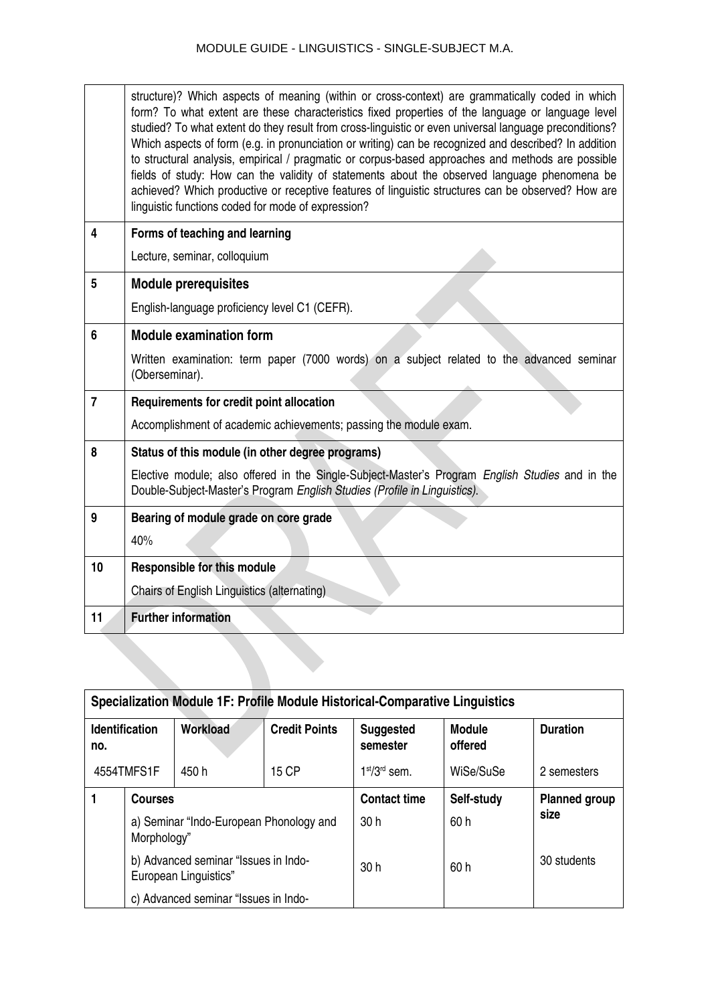|                | structure)? Which aspects of meaning (within or cross-context) are grammatically coded in which<br>form? To what extent are these characteristics fixed properties of the language or language level<br>studied? To what extent do they result from cross-linguistic or even universal language preconditions?<br>Which aspects of form (e.g. in pronunciation or writing) can be recognized and described? In addition<br>to structural analysis, empirical / pragmatic or corpus-based approaches and methods are possible<br>fields of study: How can the validity of statements about the observed language phenomena be<br>achieved? Which productive or receptive features of linguistic structures can be observed? How are<br>linguistic functions coded for mode of expression? |
|----------------|------------------------------------------------------------------------------------------------------------------------------------------------------------------------------------------------------------------------------------------------------------------------------------------------------------------------------------------------------------------------------------------------------------------------------------------------------------------------------------------------------------------------------------------------------------------------------------------------------------------------------------------------------------------------------------------------------------------------------------------------------------------------------------------|
| 4              | Forms of teaching and learning                                                                                                                                                                                                                                                                                                                                                                                                                                                                                                                                                                                                                                                                                                                                                           |
|                | Lecture, seminar, colloquium                                                                                                                                                                                                                                                                                                                                                                                                                                                                                                                                                                                                                                                                                                                                                             |
| 5              | <b>Module prerequisites</b>                                                                                                                                                                                                                                                                                                                                                                                                                                                                                                                                                                                                                                                                                                                                                              |
|                | English-language proficiency level C1 (CEFR).                                                                                                                                                                                                                                                                                                                                                                                                                                                                                                                                                                                                                                                                                                                                            |
| 6              | <b>Module examination form</b>                                                                                                                                                                                                                                                                                                                                                                                                                                                                                                                                                                                                                                                                                                                                                           |
|                | Written examination: term paper (7000 words) on a subject related to the advanced seminar<br>(Oberseminar).                                                                                                                                                                                                                                                                                                                                                                                                                                                                                                                                                                                                                                                                              |
| $\overline{7}$ | Requirements for credit point allocation                                                                                                                                                                                                                                                                                                                                                                                                                                                                                                                                                                                                                                                                                                                                                 |
|                | Accomplishment of academic achievements; passing the module exam.                                                                                                                                                                                                                                                                                                                                                                                                                                                                                                                                                                                                                                                                                                                        |
| 8              | Status of this module (in other degree programs)                                                                                                                                                                                                                                                                                                                                                                                                                                                                                                                                                                                                                                                                                                                                         |
|                | Elective module; also offered in the Single-Subject-Master's Program English Studies and in the<br>Double-Subject-Master's Program English Studies (Profile in Linguistics).                                                                                                                                                                                                                                                                                                                                                                                                                                                                                                                                                                                                             |
| 9              | Bearing of module grade on core grade                                                                                                                                                                                                                                                                                                                                                                                                                                                                                                                                                                                                                                                                                                                                                    |
|                | 40%                                                                                                                                                                                                                                                                                                                                                                                                                                                                                                                                                                                                                                                                                                                                                                                      |
| 10             | <b>Responsible for this module</b>                                                                                                                                                                                                                                                                                                                                                                                                                                                                                                                                                                                                                                                                                                                                                       |
|                | Chairs of English Linguistics (alternating)                                                                                                                                                                                                                                                                                                                                                                                                                                                                                                                                                                                                                                                                                                                                              |
| 11             | <b>Further information</b>                                                                                                                                                                                                                                                                                                                                                                                                                                                                                                                                                                                                                                                                                                                                                               |

| Specialization Module 1F: Profile Module Historical-Comparative Linguistics |                                                               |                                                        |                      |                              |                          |                      |
|-----------------------------------------------------------------------------|---------------------------------------------------------------|--------------------------------------------------------|----------------------|------------------------------|--------------------------|----------------------|
| no.                                                                         | <b>Identification</b>                                         | Workload                                               | <b>Credit Points</b> | <b>Suggested</b><br>semester | <b>Module</b><br>offered | <b>Duration</b>      |
|                                                                             | 4554TMFS1F                                                    | 450 h                                                  | 15 CP                | $1st/3rd$ sem.               | WiSe/SuSe                | 2 semesters          |
|                                                                             | <b>Courses</b>                                                |                                                        |                      | <b>Contact time</b>          | Self-study               | <b>Planned group</b> |
|                                                                             |                                                               | a) Seminar "Indo-European Phonology and<br>Morphology" |                      | 30h                          | 60 h                     | size                 |
|                                                                             | b) Advanced seminar "Issues in Indo-<br>European Linguistics" |                                                        | 30h                  | 60 h                         | 30 students              |                      |
|                                                                             |                                                               | c) Advanced seminar "Issues in Indo-                   |                      |                              |                          |                      |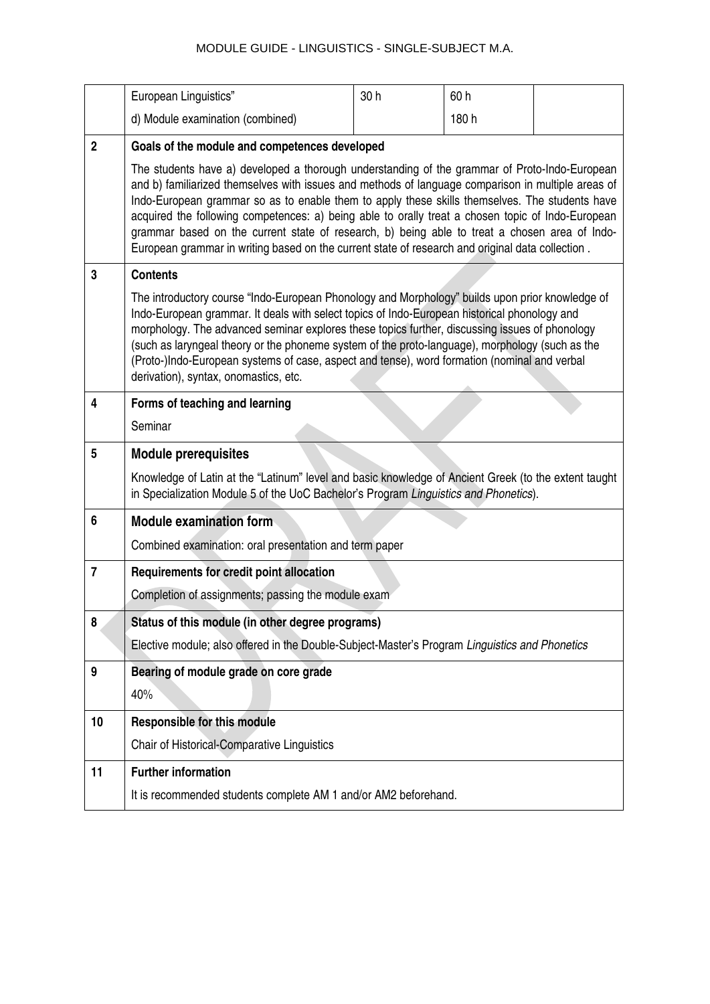|                | European Linguistics"                                                                                                                                                                                                                                                                                                                                                                                                                                                                                                                                                                                           | 30h | 60h   |  |  |
|----------------|-----------------------------------------------------------------------------------------------------------------------------------------------------------------------------------------------------------------------------------------------------------------------------------------------------------------------------------------------------------------------------------------------------------------------------------------------------------------------------------------------------------------------------------------------------------------------------------------------------------------|-----|-------|--|--|
|                | d) Module examination (combined)                                                                                                                                                                                                                                                                                                                                                                                                                                                                                                                                                                                |     | 180 h |  |  |
| $\overline{2}$ | Goals of the module and competences developed                                                                                                                                                                                                                                                                                                                                                                                                                                                                                                                                                                   |     |       |  |  |
|                | The students have a) developed a thorough understanding of the grammar of Proto-Indo-European<br>and b) familiarized themselves with issues and methods of language comparison in multiple areas of<br>Indo-European grammar so as to enable them to apply these skills themselves. The students have<br>acquired the following competences: a) being able to orally treat a chosen topic of Indo-European<br>grammar based on the current state of research, b) being able to treat a chosen area of Indo-<br>European grammar in writing based on the current state of research and original data collection. |     |       |  |  |
| 3              | <b>Contents</b>                                                                                                                                                                                                                                                                                                                                                                                                                                                                                                                                                                                                 |     |       |  |  |
|                | The introductory course "Indo-European Phonology and Morphology" builds upon prior knowledge of<br>Indo-European grammar. It deals with select topics of Indo-European historical phonology and<br>morphology. The advanced seminar explores these topics further, discussing issues of phonology<br>(such as laryngeal theory or the phoneme system of the proto-language), morphology (such as the<br>(Proto-)Indo-European systems of case, aspect and tense), word formation (nominal and verbal<br>derivation), syntax, onomastics, etc.                                                                   |     |       |  |  |
| 4              | Forms of teaching and learning                                                                                                                                                                                                                                                                                                                                                                                                                                                                                                                                                                                  |     |       |  |  |
|                | Seminar                                                                                                                                                                                                                                                                                                                                                                                                                                                                                                                                                                                                         |     |       |  |  |
| 5              | <b>Module prerequisites</b>                                                                                                                                                                                                                                                                                                                                                                                                                                                                                                                                                                                     |     |       |  |  |
|                | Knowledge of Latin at the "Latinum" level and basic knowledge of Ancient Greek (to the extent taught<br>in Specialization Module 5 of the UoC Bachelor's Program Linguistics and Phonetics).                                                                                                                                                                                                                                                                                                                                                                                                                    |     |       |  |  |
|                |                                                                                                                                                                                                                                                                                                                                                                                                                                                                                                                                                                                                                 |     |       |  |  |
| 6              | <b>Module examination form</b>                                                                                                                                                                                                                                                                                                                                                                                                                                                                                                                                                                                  |     |       |  |  |
|                | Combined examination: oral presentation and term paper                                                                                                                                                                                                                                                                                                                                                                                                                                                                                                                                                          |     |       |  |  |
| 7              | Requirements for credit point allocation                                                                                                                                                                                                                                                                                                                                                                                                                                                                                                                                                                        |     |       |  |  |
|                | Completion of assignments; passing the module exam                                                                                                                                                                                                                                                                                                                                                                                                                                                                                                                                                              |     |       |  |  |
| 8              | Status of this module (in other degree programs)                                                                                                                                                                                                                                                                                                                                                                                                                                                                                                                                                                |     |       |  |  |
|                | Elective module; also offered in the Double-Subject-Master's Program Linguistics and Phonetics                                                                                                                                                                                                                                                                                                                                                                                                                                                                                                                  |     |       |  |  |
| 9              | Bearing of module grade on core grade                                                                                                                                                                                                                                                                                                                                                                                                                                                                                                                                                                           |     |       |  |  |
|                | 40%                                                                                                                                                                                                                                                                                                                                                                                                                                                                                                                                                                                                             |     |       |  |  |
| 10             | <b>Responsible for this module</b>                                                                                                                                                                                                                                                                                                                                                                                                                                                                                                                                                                              |     |       |  |  |
|                | Chair of Historical-Comparative Linguistics                                                                                                                                                                                                                                                                                                                                                                                                                                                                                                                                                                     |     |       |  |  |
| 11             | <b>Further information</b>                                                                                                                                                                                                                                                                                                                                                                                                                                                                                                                                                                                      |     |       |  |  |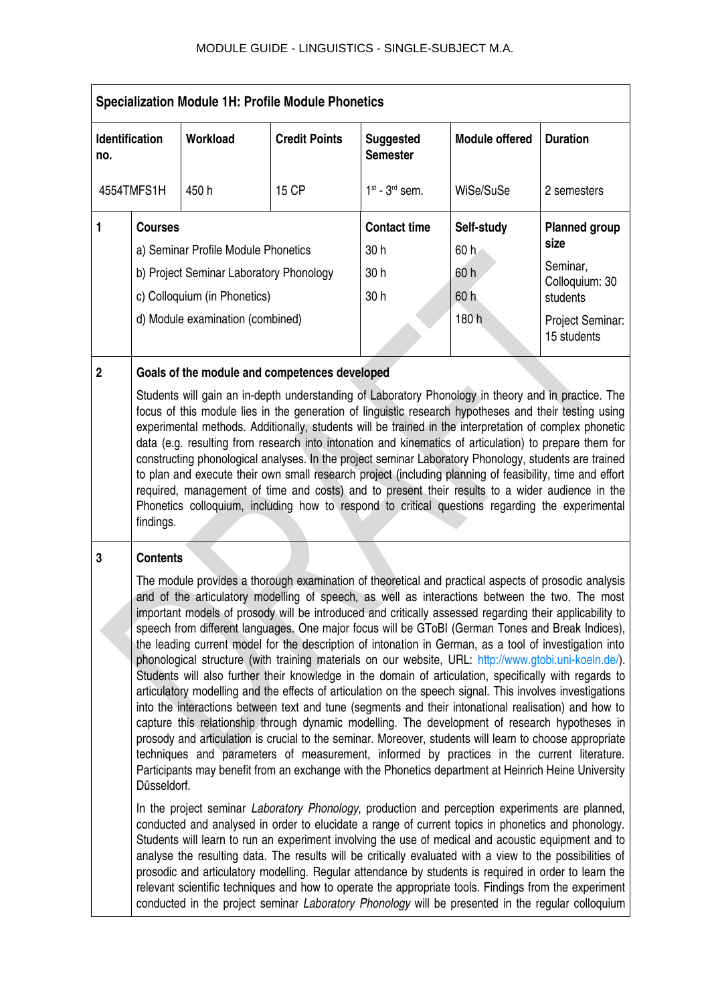|                     | <b>Specialization Module 1H: Profile Module Phonetics</b>                                                                                                            |  |                                                                                            |                                           |                                                                                                                                                                                                                                                                                                                                                                                                                                                                                                                                                                                                                                                                                                                                                                                                                                                                                                                                                                                                                                                                                                                                                                                                                                                                                                                                                                                                                                                                                                                                                                                                                                                                                                                                                                                                                          |                                                                                                                                                                                                                                                                                                                   |
|---------------------|----------------------------------------------------------------------------------------------------------------------------------------------------------------------|--|--------------------------------------------------------------------------------------------|-------------------------------------------|--------------------------------------------------------------------------------------------------------------------------------------------------------------------------------------------------------------------------------------------------------------------------------------------------------------------------------------------------------------------------------------------------------------------------------------------------------------------------------------------------------------------------------------------------------------------------------------------------------------------------------------------------------------------------------------------------------------------------------------------------------------------------------------------------------------------------------------------------------------------------------------------------------------------------------------------------------------------------------------------------------------------------------------------------------------------------------------------------------------------------------------------------------------------------------------------------------------------------------------------------------------------------------------------------------------------------------------------------------------------------------------------------------------------------------------------------------------------------------------------------------------------------------------------------------------------------------------------------------------------------------------------------------------------------------------------------------------------------------------------------------------------------------------------------------------------------|-------------------------------------------------------------------------------------------------------------------------------------------------------------------------------------------------------------------------------------------------------------------------------------------------------------------|
| no.                 | Workload<br><b>Identification</b><br><b>Credit Points</b>                                                                                                            |  | <b>Suggested</b><br><b>Semester</b>                                                        | <b>Module offered</b>                     | <b>Duration</b>                                                                                                                                                                                                                                                                                                                                                                                                                                                                                                                                                                                                                                                                                                                                                                                                                                                                                                                                                                                                                                                                                                                                                                                                                                                                                                                                                                                                                                                                                                                                                                                                                                                                                                                                                                                                          |                                                                                                                                                                                                                                                                                                                   |
|                     | 4554TMFS1H<br>450h<br>15 CP                                                                                                                                          |  | $1st$ - $3rd$ sem.                                                                         | WiSe/SuSe                                 | 2 semesters                                                                                                                                                                                                                                                                                                                                                                                                                                                                                                                                                                                                                                                                                                                                                                                                                                                                                                                                                                                                                                                                                                                                                                                                                                                                                                                                                                                                                                                                                                                                                                                                                                                                                                                                                                                                              |                                                                                                                                                                                                                                                                                                                   |
| 1<br>$\overline{2}$ | <b>Courses</b><br>a) Seminar Profile Module Phonetics<br>b) Project Seminar Laboratory Phonology<br>c) Colloquium (in Phonetics)<br>d) Module examination (combined) |  | <b>Contact time</b><br>30h<br>30 h<br>30h<br>Goals of the module and competences developed | Self-study<br>60h<br>60 h<br>60h<br>180 h | <b>Planned group</b><br>size<br>Seminar,<br>Colloquium: 30<br>students<br>Project Seminar:<br>15 students                                                                                                                                                                                                                                                                                                                                                                                                                                                                                                                                                                                                                                                                                                                                                                                                                                                                                                                                                                                                                                                                                                                                                                                                                                                                                                                                                                                                                                                                                                                                                                                                                                                                                                                |                                                                                                                                                                                                                                                                                                                   |
|                     | findings.                                                                                                                                                            |  |                                                                                            |                                           | Students will gain an in-depth understanding of Laboratory Phonology in theory and in practice. The<br>focus of this module lies in the generation of linguistic research hypotheses and their testing using<br>experimental methods. Additionally, students will be trained in the interpretation of complex phonetic<br>data (e.g. resulting from research into intonation and kinematics of articulation) to prepare them for<br>constructing phonological analyses. In the project seminar Laboratory Phonology, students are trained<br>to plan and execute their own small research project (including planning of feasibility, time and effort<br>required, management of time and costs) and to present their results to a wider audience in the<br>Phonetics colloquium, including how to respond to critical questions regarding the experimental                                                                                                                                                                                                                                                                                                                                                                                                                                                                                                                                                                                                                                                                                                                                                                                                                                                                                                                                                              |                                                                                                                                                                                                                                                                                                                   |
| 3                   | <b>Contents</b><br>Düsseldorf.                                                                                                                                       |  |                                                                                            |                                           | speech from different languages. One major focus will be GToBI (German Tones and Break Indices),<br>the leading current model for the description of intonation in German, as a tool of investigation into<br>phonological structure (with training materials on our website, URL: http://www.gtobi.uni-koeln.de/).<br>Students will also further their knowledge in the domain of articulation, specifically with regards to<br>articulatory modelling and the effects of articulation on the speech signal. This involves investigations<br>into the interactions between text and tune (segments and their intonational realisation) and how to<br>capture this relationship through dynamic modelling. The development of research hypotheses in<br>prosody and articulation is crucial to the seminar. Moreover, students will learn to choose appropriate<br>techniques and parameters of measurement, informed by practices in the current literature.<br>Participants may benefit from an exchange with the Phonetics department at Heinrich Heine University<br>In the project seminar Laboratory Phonology, production and perception experiments are planned,<br>conducted and analysed in order to elucidate a range of current topics in phonetics and phonology.<br>Students will learn to run an experiment involving the use of medical and acoustic equipment and to<br>analyse the resulting data. The results will be critically evaluated with a view to the possibilities of<br>prosodic and articulatory modelling. Regular attendance by students is required in order to learn the<br>relevant scientific techniques and how to operate the appropriate tools. Findings from the experiment<br>conducted in the project seminar Laboratory Phonology will be presented in the regular colloquium | The module provides a thorough examination of theoretical and practical aspects of prosodic analysis<br>and of the articulatory modelling of speech, as well as interactions between the two. The most<br>important models of prosody will be introduced and critically assessed regarding their applicability to |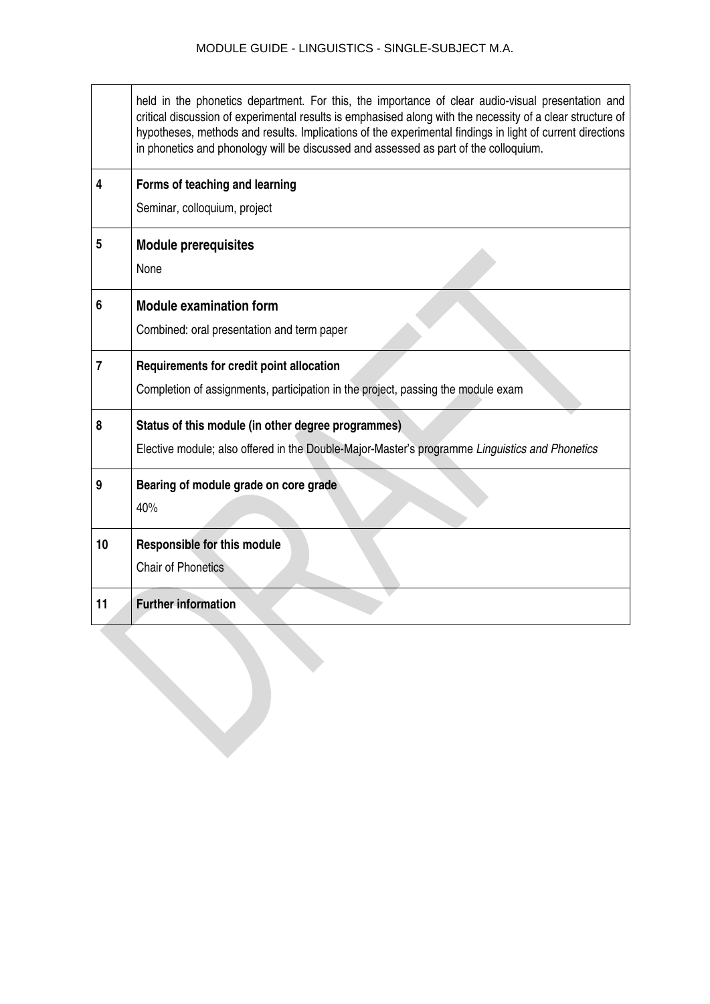|                | held in the phonetics department. For this, the importance of clear audio-visual presentation and<br>critical discussion of experimental results is emphasised along with the necessity of a clear structure of<br>hypotheses, methods and results. Implications of the experimental findings in light of current directions<br>in phonetics and phonology will be discussed and assessed as part of the colloquium. |
|----------------|----------------------------------------------------------------------------------------------------------------------------------------------------------------------------------------------------------------------------------------------------------------------------------------------------------------------------------------------------------------------------------------------------------------------|
| 4              | Forms of teaching and learning                                                                                                                                                                                                                                                                                                                                                                                       |
|                | Seminar, colloquium, project                                                                                                                                                                                                                                                                                                                                                                                         |
| 5              | <b>Module prerequisites</b>                                                                                                                                                                                                                                                                                                                                                                                          |
|                | None                                                                                                                                                                                                                                                                                                                                                                                                                 |
| 6              | <b>Module examination form</b>                                                                                                                                                                                                                                                                                                                                                                                       |
|                | Combined: oral presentation and term paper                                                                                                                                                                                                                                                                                                                                                                           |
| $\overline{7}$ | Requirements for credit point allocation                                                                                                                                                                                                                                                                                                                                                                             |
|                | Completion of assignments, participation in the project, passing the module exam                                                                                                                                                                                                                                                                                                                                     |
| 8              | Status of this module (in other degree programmes)                                                                                                                                                                                                                                                                                                                                                                   |
|                | Elective module; also offered in the Double-Major-Master's programme Linguistics and Phonetics                                                                                                                                                                                                                                                                                                                       |
| 9              | Bearing of module grade on core grade                                                                                                                                                                                                                                                                                                                                                                                |
|                | 40%                                                                                                                                                                                                                                                                                                                                                                                                                  |
| 10             | <b>Responsible for this module</b>                                                                                                                                                                                                                                                                                                                                                                                   |
|                | <b>Chair of Phonetics</b>                                                                                                                                                                                                                                                                                                                                                                                            |
| 11             | <b>Further information</b>                                                                                                                                                                                                                                                                                                                                                                                           |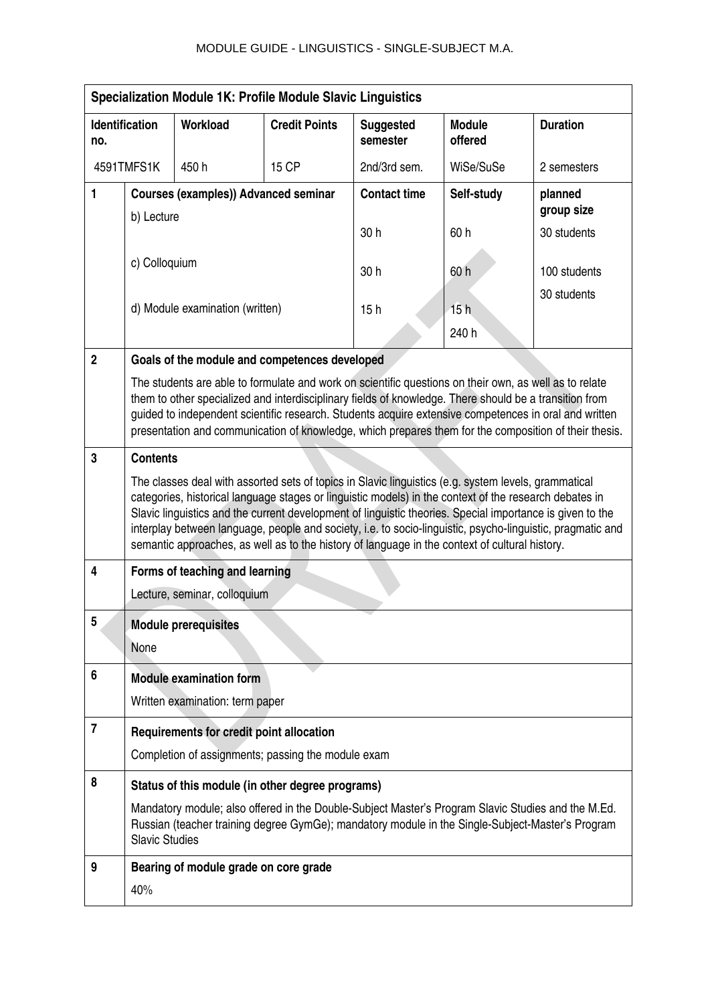| <b>Specialization Module 1K: Profile Module Slavic Linguistics</b> |                             |                                                    |                      |                              |                                                                                                                                                                                                                                                                                                                                                                                                                               |                                                                                                            |
|--------------------------------------------------------------------|-----------------------------|----------------------------------------------------|----------------------|------------------------------|-------------------------------------------------------------------------------------------------------------------------------------------------------------------------------------------------------------------------------------------------------------------------------------------------------------------------------------------------------------------------------------------------------------------------------|------------------------------------------------------------------------------------------------------------|
| no.                                                                | <b>Identification</b>       | Workload                                           | <b>Credit Points</b> | <b>Suggested</b><br>semester | <b>Module</b><br>offered                                                                                                                                                                                                                                                                                                                                                                                                      | <b>Duration</b>                                                                                            |
|                                                                    | 4591TMFS1K<br>450h<br>15 CP |                                                    | 2nd/3rd sem.         | WiSe/SuSe                    | 2 semesters                                                                                                                                                                                                                                                                                                                                                                                                                   |                                                                                                            |
| 1                                                                  |                             | <b>Courses (examples)) Advanced seminar</b>        |                      | <b>Contact time</b>          | Self-study                                                                                                                                                                                                                                                                                                                                                                                                                    | planned                                                                                                    |
|                                                                    | b) Lecture                  |                                                    |                      | 30h                          | 60h                                                                                                                                                                                                                                                                                                                                                                                                                           | group size<br>30 students                                                                                  |
|                                                                    |                             |                                                    |                      |                              |                                                                                                                                                                                                                                                                                                                                                                                                                               |                                                                                                            |
|                                                                    | c) Colloquium               |                                                    |                      | 30h                          | 60 h                                                                                                                                                                                                                                                                                                                                                                                                                          | 100 students                                                                                               |
|                                                                    |                             | d) Module examination (written)                    |                      | 15h                          | 15h                                                                                                                                                                                                                                                                                                                                                                                                                           | 30 students                                                                                                |
|                                                                    |                             |                                                    |                      |                              | 240 h                                                                                                                                                                                                                                                                                                                                                                                                                         |                                                                                                            |
| $\overline{2}$                                                     |                             | Goals of the module and competences developed      |                      |                              |                                                                                                                                                                                                                                                                                                                                                                                                                               |                                                                                                            |
|                                                                    |                             |                                                    |                      |                              | The students are able to formulate and work on scientific questions on their own, as well as to relate<br>them to other specialized and interdisciplinary fields of knowledge. There should be a transition from                                                                                                                                                                                                              |                                                                                                            |
|                                                                    |                             |                                                    |                      |                              | guided to independent scientific research. Students acquire extensive competences in oral and written                                                                                                                                                                                                                                                                                                                         | presentation and communication of knowledge, which prepares them for the composition of their thesis.      |
| 3                                                                  | <b>Contents</b>             |                                                    |                      |                              |                                                                                                                                                                                                                                                                                                                                                                                                                               |                                                                                                            |
|                                                                    |                             |                                                    |                      |                              | The classes deal with assorted sets of topics in Slavic linguistics (e.g. system levels, grammatical<br>categories, historical language stages or linguistic models) in the context of the research debates in<br>Slavic linguistics and the current development of linguistic theories. Special importance is given to the<br>semantic approaches, as well as to the history of language in the context of cultural history. | interplay between language, people and society, i.e. to socio-linguistic, psycho-linguistic, pragmatic and |
| 4                                                                  |                             | Forms of teaching and learning                     |                      |                              |                                                                                                                                                                                                                                                                                                                                                                                                                               |                                                                                                            |
|                                                                    |                             | Lecture, seminar, colloquium                       |                      |                              |                                                                                                                                                                                                                                                                                                                                                                                                                               |                                                                                                            |
| 5                                                                  |                             | <b>Module prerequisites</b>                        |                      |                              |                                                                                                                                                                                                                                                                                                                                                                                                                               |                                                                                                            |
|                                                                    | None                        |                                                    |                      |                              |                                                                                                                                                                                                                                                                                                                                                                                                                               |                                                                                                            |
| 6                                                                  |                             | <b>Module examination form</b>                     |                      |                              |                                                                                                                                                                                                                                                                                                                                                                                                                               |                                                                                                            |
|                                                                    |                             | Written examination: term paper                    |                      |                              |                                                                                                                                                                                                                                                                                                                                                                                                                               |                                                                                                            |
| $\overline{7}$                                                     |                             | Requirements for credit point allocation           |                      |                              |                                                                                                                                                                                                                                                                                                                                                                                                                               |                                                                                                            |
|                                                                    |                             | Completion of assignments; passing the module exam |                      |                              |                                                                                                                                                                                                                                                                                                                                                                                                                               |                                                                                                            |
| 8                                                                  |                             | Status of this module (in other degree programs)   |                      |                              |                                                                                                                                                                                                                                                                                                                                                                                                                               |                                                                                                            |
|                                                                    | <b>Slavic Studies</b>       |                                                    |                      |                              | Mandatory module; also offered in the Double-Subject Master's Program Slavic Studies and the M.Ed.<br>Russian (teacher training degree GymGe); mandatory module in the Single-Subject-Master's Program                                                                                                                                                                                                                        |                                                                                                            |
| 9                                                                  |                             | Bearing of module grade on core grade              |                      |                              |                                                                                                                                                                                                                                                                                                                                                                                                                               |                                                                                                            |
|                                                                    | 40%                         |                                                    |                      |                              |                                                                                                                                                                                                                                                                                                                                                                                                                               |                                                                                                            |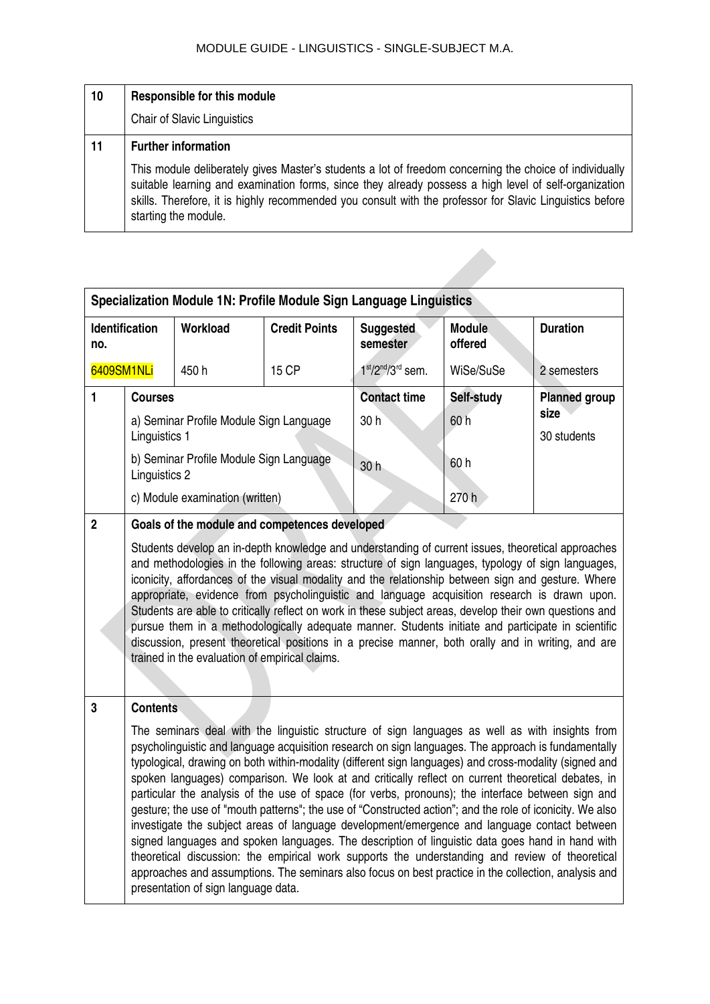| 10 | <b>Responsible for this module</b>                                                                                                                                                                                                                                                                                                                   |
|----|------------------------------------------------------------------------------------------------------------------------------------------------------------------------------------------------------------------------------------------------------------------------------------------------------------------------------------------------------|
|    | <b>Chair of Slavic Linguistics</b>                                                                                                                                                                                                                                                                                                                   |
| 11 | <b>Further information</b>                                                                                                                                                                                                                                                                                                                           |
|    | This module deliberately gives Master's students a lot of freedom concerning the choice of individually<br>suitable learning and examination forms, since they already possess a high level of self-organization<br>skills. Therefore, it is highly recommended you consult with the professor for Slavic Linguistics before<br>starting the module. |

| Specialization Module 1N: Profile Module Sign Language Linguistics |                                                                                                                                                                                                                                                                                                                                                                                                                                                                                                                                                                                                                                                                                                                                                                                         |                                 |                                               |                              |                                             |                 |
|--------------------------------------------------------------------|-----------------------------------------------------------------------------------------------------------------------------------------------------------------------------------------------------------------------------------------------------------------------------------------------------------------------------------------------------------------------------------------------------------------------------------------------------------------------------------------------------------------------------------------------------------------------------------------------------------------------------------------------------------------------------------------------------------------------------------------------------------------------------------------|---------------------------------|-----------------------------------------------|------------------------------|---------------------------------------------|-----------------|
| Identification<br>no.                                              |                                                                                                                                                                                                                                                                                                                                                                                                                                                                                                                                                                                                                                                                                                                                                                                         | Workload                        | <b>Credit Points</b>                          | <b>Suggested</b><br>semester | <b>Module</b><br>offered                    | <b>Duration</b> |
|                                                                    | 15 CP<br>6409SM1NLi<br>450h                                                                                                                                                                                                                                                                                                                                                                                                                                                                                                                                                                                                                                                                                                                                                             |                                 | $1st/2nd/3rd$ sem.                            | WiSe/SuSe                    | 2 semesters                                 |                 |
| 1                                                                  | <b>Courses</b><br>a) Seminar Profile Module Sign Language<br>Linguistics 1<br>b) Seminar Profile Module Sign Language                                                                                                                                                                                                                                                                                                                                                                                                                                                                                                                                                                                                                                                                   |                                 | <b>Contact time</b><br>30 h                   | Self-study<br>60 h<br>60h    | <b>Planned group</b><br>size<br>30 students |                 |
|                                                                    | Linguistics 2                                                                                                                                                                                                                                                                                                                                                                                                                                                                                                                                                                                                                                                                                                                                                                           | c) Module examination (written) |                                               | 30 <sub>h</sub>              | 270 h                                       |                 |
| $\overline{2}$                                                     |                                                                                                                                                                                                                                                                                                                                                                                                                                                                                                                                                                                                                                                                                                                                                                                         |                                 | Goals of the module and competences developed |                              |                                             |                 |
|                                                                    | Students develop an in-depth knowledge and understanding of current issues, theoretical approaches<br>and methodologies in the following areas: structure of sign languages, typology of sign languages,<br>iconicity, affordances of the visual modality and the relationship between sign and gesture. Where<br>appropriate, evidence from psycholinguistic and language acquisition research is drawn upon.<br>Students are able to critically reflect on work in these subject areas, develop their own questions and<br>pursue them in a methodologically adequate manner. Students initiate and participate in scientific<br>discussion, present theoretical positions in a precise manner, both orally and in writing, and are<br>trained in the evaluation of empirical claims. |                                 |                                               |                              |                                             |                 |
| $\mathbf{3}$                                                       | <b>Contents</b>                                                                                                                                                                                                                                                                                                                                                                                                                                                                                                                                                                                                                                                                                                                                                                         |                                 |                                               |                              |                                             |                 |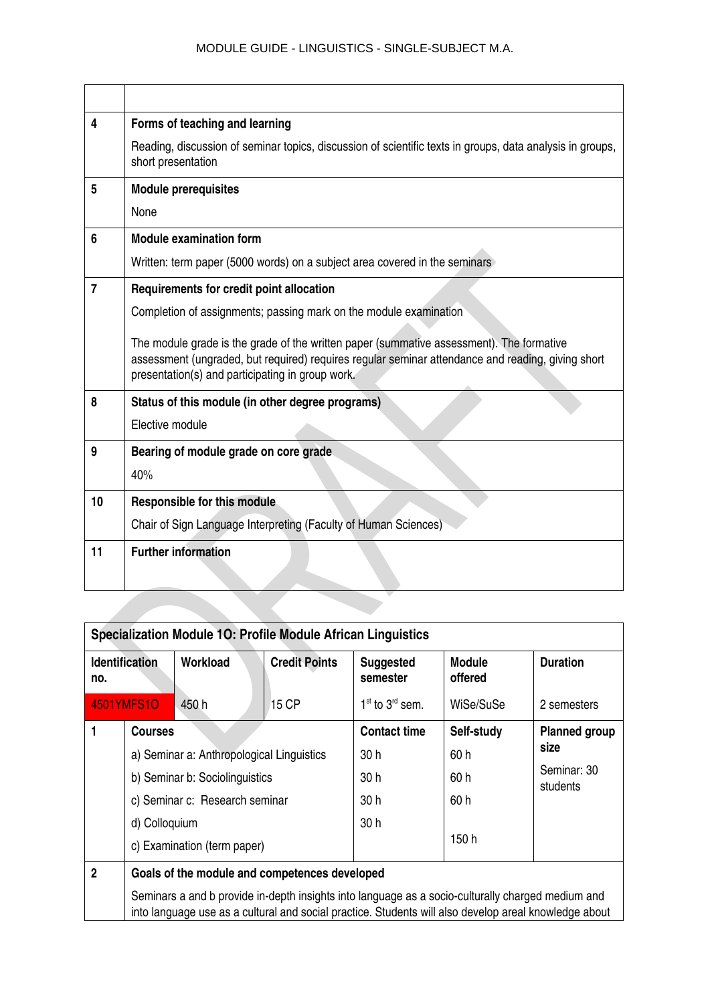| 4              | Forms of teaching and learning                                                                                                                                                                                                                    |
|----------------|---------------------------------------------------------------------------------------------------------------------------------------------------------------------------------------------------------------------------------------------------|
|                | Reading, discussion of seminar topics, discussion of scientific texts in groups, data analysis in groups,<br>short presentation                                                                                                                   |
| 5              | <b>Module prerequisites</b>                                                                                                                                                                                                                       |
|                | None                                                                                                                                                                                                                                              |
| 6              | <b>Module examination form</b>                                                                                                                                                                                                                    |
|                | Written: term paper (5000 words) on a subject area covered in the seminars                                                                                                                                                                        |
| $\overline{7}$ | Requirements for credit point allocation                                                                                                                                                                                                          |
|                | Completion of assignments; passing mark on the module examination                                                                                                                                                                                 |
|                | The module grade is the grade of the written paper (summative assessment). The formative<br>assessment (ungraded, but required) requires regular seminar attendance and reading, giving short<br>presentation(s) and participating in group work. |
| 8              | Status of this module (in other degree programs)                                                                                                                                                                                                  |
|                | Elective module                                                                                                                                                                                                                                   |
| 9              | Bearing of module grade on core grade                                                                                                                                                                                                             |
|                | 40%                                                                                                                                                                                                                                               |
| 10             | <b>Responsible for this module</b>                                                                                                                                                                                                                |
|                | Chair of Sign Language Interpreting (Faculty of Human Sciences)                                                                                                                                                                                   |
| 11             | <b>Further information</b>                                                                                                                                                                                                                        |
|                |                                                                                                                                                                                                                                                   |
|                |                                                                                                                                                                                                                                                   |

| <b>Specialization Module 10: Profile Module African Linguistics</b> |                                           |                                               |                      |                              |                                                                                                                                                                                                            |                      |
|---------------------------------------------------------------------|-------------------------------------------|-----------------------------------------------|----------------------|------------------------------|------------------------------------------------------------------------------------------------------------------------------------------------------------------------------------------------------------|----------------------|
| no.                                                                 | <b>Identification</b>                     | Workload                                      | <b>Credit Points</b> | <b>Suggested</b><br>semester | <b>Module</b><br>offered                                                                                                                                                                                   | <b>Duration</b>      |
|                                                                     | <b>4501YMFS1O</b>                         | 450 h                                         | 15 CP                | $1st$ to $3rd$ sem.          | WiSe/SuSe                                                                                                                                                                                                  | 2 semesters          |
|                                                                     | <b>Courses</b>                            |                                               |                      | <b>Contact time</b>          | Self-study                                                                                                                                                                                                 | <b>Planned group</b> |
|                                                                     | a) Seminar a: Anthropological Linguistics |                                               | 30h                  | 60 h                         | size                                                                                                                                                                                                       |                      |
|                                                                     | b) Seminar b: Sociolinguistics            |                                               | 30 h                 | 60 h                         | Seminar: 30<br>students                                                                                                                                                                                    |                      |
|                                                                     | c) Seminar c: Research seminar            |                                               | 30h                  | 60 h                         |                                                                                                                                                                                                            |                      |
|                                                                     | d) Colloquium                             |                                               | 30h                  |                              |                                                                                                                                                                                                            |                      |
|                                                                     | c) Examination (term paper)               |                                               |                      | 150 h                        |                                                                                                                                                                                                            |                      |
| $\overline{2}$                                                      |                                           | Goals of the module and competences developed |                      |                              |                                                                                                                                                                                                            |                      |
|                                                                     |                                           |                                               |                      |                              | Seminars a and b provide in-depth insights into language as a socio-culturally charged medium and<br>into language use as a cultural and social practice. Students will also develop areal knowledge about |                      |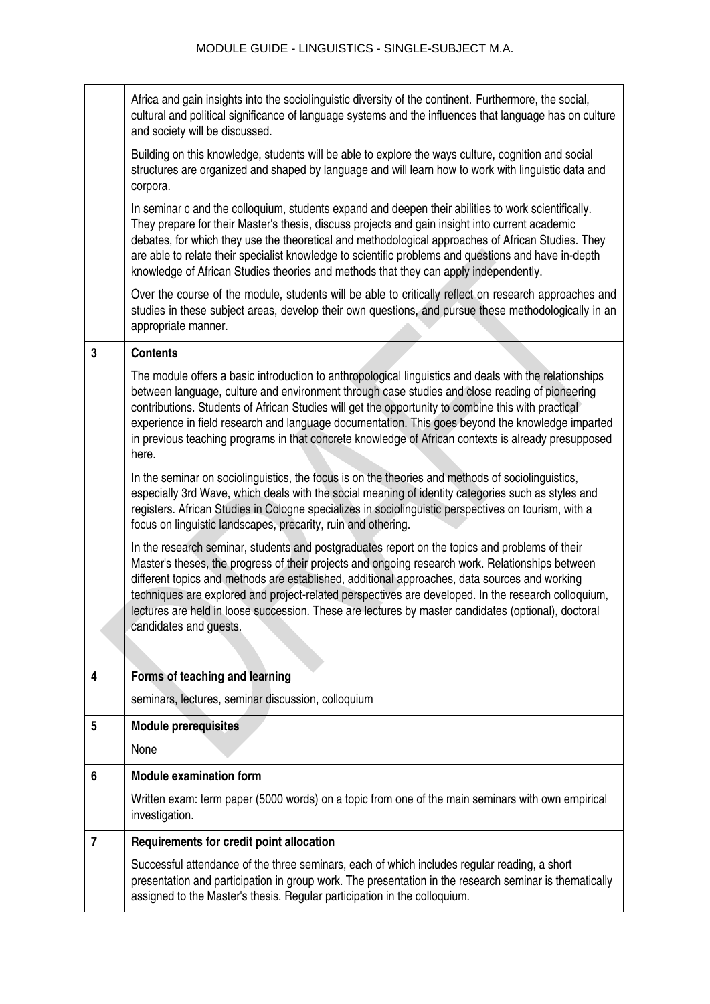|                | Africa and gain insights into the sociolinguistic diversity of the continent. Furthermore, the social,<br>cultural and political significance of language systems and the influences that language has on culture<br>and society will be discussed.                                                                                                                                                                                                                                                                                         |
|----------------|---------------------------------------------------------------------------------------------------------------------------------------------------------------------------------------------------------------------------------------------------------------------------------------------------------------------------------------------------------------------------------------------------------------------------------------------------------------------------------------------------------------------------------------------|
|                | Building on this knowledge, students will be able to explore the ways culture, cognition and social<br>structures are organized and shaped by language and will learn how to work with linguistic data and<br>corpora.                                                                                                                                                                                                                                                                                                                      |
|                | In seminar c and the colloquium, students expand and deepen their abilities to work scientifically.<br>They prepare for their Master's thesis, discuss projects and gain insight into current academic<br>debates, for which they use the theoretical and methodological approaches of African Studies. They<br>are able to relate their specialist knowledge to scientific problems and questions and have in-depth<br>knowledge of African Studies theories and methods that they can apply independently.                                |
|                | Over the course of the module, students will be able to critically reflect on research approaches and<br>studies in these subject areas, develop their own questions, and pursue these methodologically in an<br>appropriate manner.                                                                                                                                                                                                                                                                                                        |
| 3              | <b>Contents</b>                                                                                                                                                                                                                                                                                                                                                                                                                                                                                                                             |
|                | The module offers a basic introduction to anthropological linguistics and deals with the relationships<br>between language, culture and environment through case studies and close reading of pioneering<br>contributions. Students of African Studies will get the opportunity to combine this with practical<br>experience in field research and language documentation. This goes beyond the knowledge imparted<br>in previous teaching programs in that concrete knowledge of African contexts is already presupposed<br>here.          |
|                | In the seminar on sociolinguistics, the focus is on the theories and methods of sociolinguistics,<br>especially 3rd Wave, which deals with the social meaning of identity categories such as styles and<br>registers. African Studies in Cologne specializes in sociolinguistic perspectives on tourism, with a<br>focus on linguistic landscapes, precarity, ruin and othering.                                                                                                                                                            |
|                | In the research seminar, students and postgraduates report on the topics and problems of their<br>Master's theses, the progress of their projects and ongoing research work. Relationships between<br>different topics and methods are established, additional approaches, data sources and working<br>techniques are explored and project-related perspectives are developed. In the research colloquium,<br>lectures are held in loose succession. These are lectures by master candidates (optional), doctoral<br>candidates and guests. |
| 4              | Forms of teaching and learning                                                                                                                                                                                                                                                                                                                                                                                                                                                                                                              |
|                | seminars, lectures, seminar discussion, colloquium                                                                                                                                                                                                                                                                                                                                                                                                                                                                                          |
| 5              | <b>Module prerequisites</b>                                                                                                                                                                                                                                                                                                                                                                                                                                                                                                                 |
|                | None                                                                                                                                                                                                                                                                                                                                                                                                                                                                                                                                        |
| 6              | <b>Module examination form</b>                                                                                                                                                                                                                                                                                                                                                                                                                                                                                                              |
|                | Written exam: term paper (5000 words) on a topic from one of the main seminars with own empirical<br>investigation.                                                                                                                                                                                                                                                                                                                                                                                                                         |
| $\overline{7}$ | Requirements for credit point allocation                                                                                                                                                                                                                                                                                                                                                                                                                                                                                                    |
|                | Successful attendance of the three seminars, each of which includes regular reading, a short<br>presentation and participation in group work. The presentation in the research seminar is thematically<br>assigned to the Master's thesis. Regular participation in the colloquium.                                                                                                                                                                                                                                                         |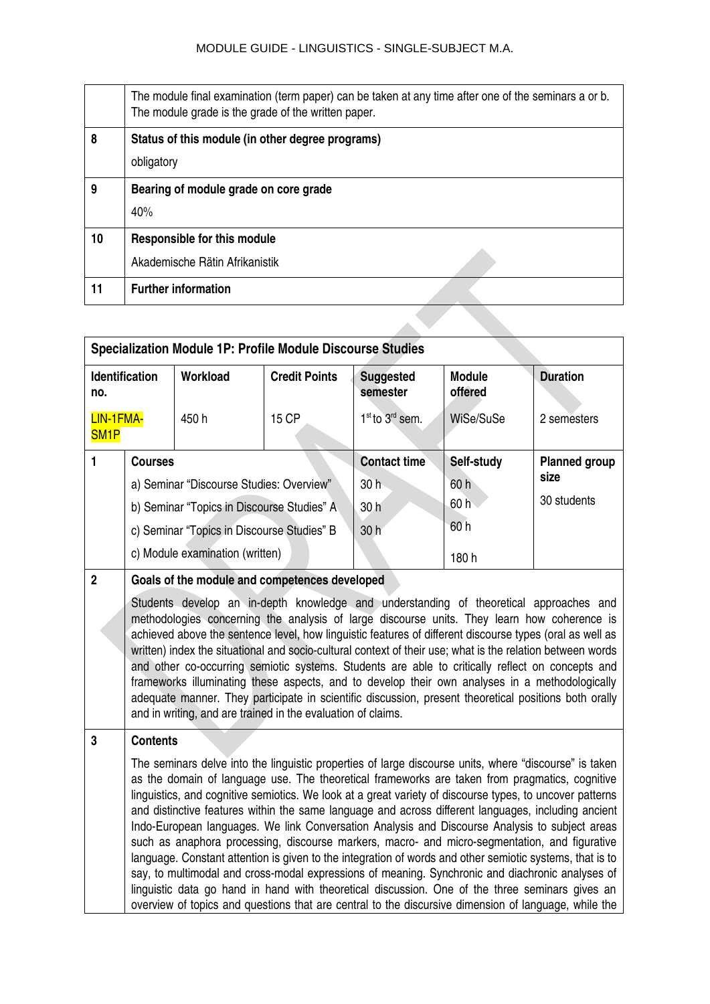|    | The module final examination (term paper) can be taken at any time after one of the seminars a or b.<br>The module grade is the grade of the written paper. |
|----|-------------------------------------------------------------------------------------------------------------------------------------------------------------|
| 8  | Status of this module (in other degree programs)                                                                                                            |
|    | obligatory                                                                                                                                                  |
| 9  | Bearing of module grade on core grade                                                                                                                       |
|    | 40%                                                                                                                                                         |
| 10 | <b>Responsible for this module</b>                                                                                                                          |
|    | Akademische Rätin Afrikanistik                                                                                                                              |
| 11 | <b>Further information</b>                                                                                                                                  |
|    |                                                                                                                                                             |

| <b>Specialization Module 1P: Profile Module Discourse Studies</b> |                                                                                                                                                                                                                                                                                                                                                                                                                                                                                                                                                                                                                                                                                                                                                                                                                                                                                                                                                                                                                                                           |                                               |                      |                                         |                          |                      |  |
|-------------------------------------------------------------------|-----------------------------------------------------------------------------------------------------------------------------------------------------------------------------------------------------------------------------------------------------------------------------------------------------------------------------------------------------------------------------------------------------------------------------------------------------------------------------------------------------------------------------------------------------------------------------------------------------------------------------------------------------------------------------------------------------------------------------------------------------------------------------------------------------------------------------------------------------------------------------------------------------------------------------------------------------------------------------------------------------------------------------------------------------------|-----------------------------------------------|----------------------|-----------------------------------------|--------------------------|----------------------|--|
| <b>Identification</b><br>no.                                      |                                                                                                                                                                                                                                                                                                                                                                                                                                                                                                                                                                                                                                                                                                                                                                                                                                                                                                                                                                                                                                                           | Workload                                      | <b>Credit Points</b> | <b>Suggested</b><br>semester            | <b>Module</b><br>offered | <b>Duration</b>      |  |
| LIN-1FMA-<br>SM <sub>1P</sub>                                     |                                                                                                                                                                                                                                                                                                                                                                                                                                                                                                                                                                                                                                                                                                                                                                                                                                                                                                                                                                                                                                                           | 450h                                          | <b>15 CP</b>         | 1 <sup>st</sup> to 3 <sup>rd</sup> sem. | WiSe/SuSe                | 2 semesters          |  |
| $\blacksquare$                                                    | <b>Courses</b>                                                                                                                                                                                                                                                                                                                                                                                                                                                                                                                                                                                                                                                                                                                                                                                                                                                                                                                                                                                                                                            |                                               |                      | <b>Contact time</b>                     | Self-study               | <b>Planned group</b> |  |
|                                                                   |                                                                                                                                                                                                                                                                                                                                                                                                                                                                                                                                                                                                                                                                                                                                                                                                                                                                                                                                                                                                                                                           | a) Seminar "Discourse Studies: Overview"      |                      | 30 <sub>h</sub>                         | 60h                      | size                 |  |
|                                                                   |                                                                                                                                                                                                                                                                                                                                                                                                                                                                                                                                                                                                                                                                                                                                                                                                                                                                                                                                                                                                                                                           | b) Seminar "Topics in Discourse Studies" A    |                      | 30 h                                    | 60h                      | 30 students          |  |
|                                                                   |                                                                                                                                                                                                                                                                                                                                                                                                                                                                                                                                                                                                                                                                                                                                                                                                                                                                                                                                                                                                                                                           | c) Seminar "Topics in Discourse Studies" B    |                      | 30 h                                    | 60h                      |                      |  |
|                                                                   |                                                                                                                                                                                                                                                                                                                                                                                                                                                                                                                                                                                                                                                                                                                                                                                                                                                                                                                                                                                                                                                           | c) Module examination (written)               |                      |                                         | 180h                     |                      |  |
| $\overline{2}$                                                    |                                                                                                                                                                                                                                                                                                                                                                                                                                                                                                                                                                                                                                                                                                                                                                                                                                                                                                                                                                                                                                                           | Goals of the module and competences developed |                      |                                         |                          |                      |  |
|                                                                   | Students develop an in-depth knowledge and understanding of theoretical approaches and<br>methodologies concerning the analysis of large discourse units. They learn how coherence is<br>achieved above the sentence level, how linguistic features of different discourse types (oral as well as<br>written) index the situational and socio-cultural context of their use; what is the relation between words<br>and other co-occurring semiotic systems. Students are able to critically reflect on concepts and<br>frameworks illuminating these aspects, and to develop their own analyses in a methodologically<br>adequate manner. They participate in scientific discussion, present theoretical positions both orally<br>and in writing, and are trained in the evaluation of claims.                                                                                                                                                                                                                                                            |                                               |                      |                                         |                          |                      |  |
| 3                                                                 | <b>Contents</b>                                                                                                                                                                                                                                                                                                                                                                                                                                                                                                                                                                                                                                                                                                                                                                                                                                                                                                                                                                                                                                           |                                               |                      |                                         |                          |                      |  |
|                                                                   | The seminars delve into the linguistic properties of large discourse units, where "discourse" is taken<br>as the domain of language use. The theoretical frameworks are taken from pragmatics, cognitive<br>linguistics, and cognitive semiotics. We look at a great variety of discourse types, to uncover patterns<br>and distinctive features within the same language and across different languages, including ancient<br>Indo-European languages. We link Conversation Analysis and Discourse Analysis to subject areas<br>such as anaphora processing, discourse markers, macro- and micro-segmentation, and figurative<br>language. Constant attention is given to the integration of words and other semiotic systems, that is to<br>say, to multimodal and cross-modal expressions of meaning. Synchronic and diachronic analyses of<br>linguistic data go hand in hand with theoretical discussion. One of the three seminars gives an<br>overview of topics and questions that are central to the discursive dimension of language, while the |                                               |                      |                                         |                          |                      |  |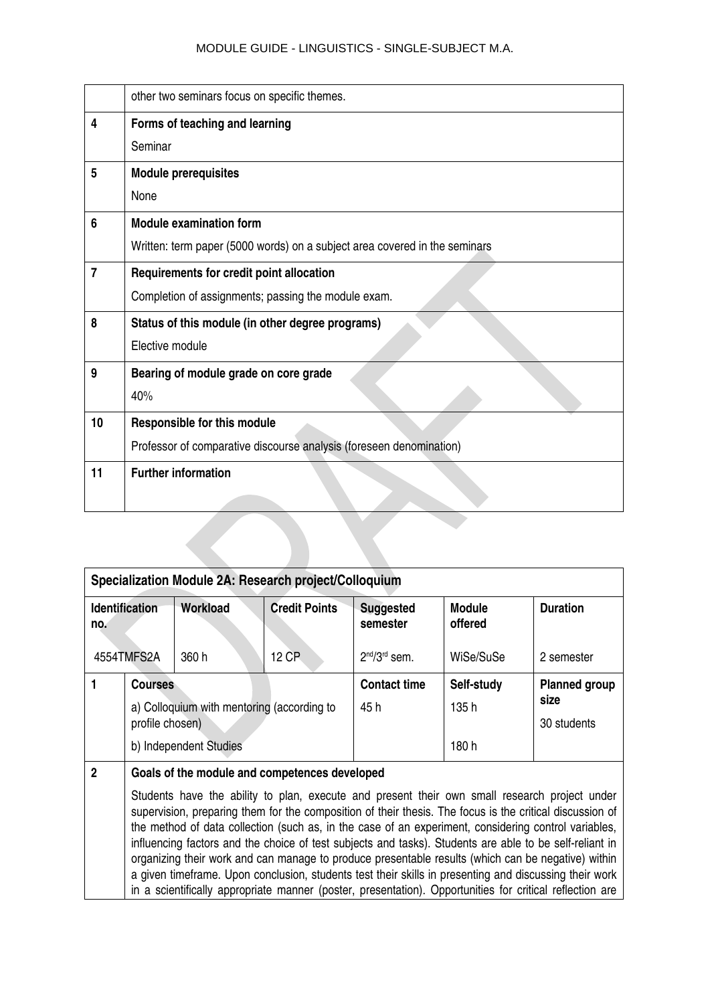|                | other two seminars focus on specific themes.                               |
|----------------|----------------------------------------------------------------------------|
| 4              | Forms of teaching and learning                                             |
|                | Seminar                                                                    |
| 5              | <b>Module prerequisites</b>                                                |
|                | None                                                                       |
| 6              | <b>Module examination form</b>                                             |
|                | Written: term paper (5000 words) on a subject area covered in the seminars |
| $\overline{7}$ | Requirements for credit point allocation                                   |
|                | Completion of assignments; passing the module exam.                        |
| 8              | Status of this module (in other degree programs)                           |
|                | Elective module                                                            |
| 9              | Bearing of module grade on core grade                                      |
|                | 40%                                                                        |
| 10             | Responsible for this module                                                |
|                | Professor of comparative discourse analysis (foreseen denomination)        |
| 11             | <b>Further information</b>                                                 |
|                |                                                                            |
|                |                                                                            |
|                |                                                                            |

| Specialization Module 2A: Research project/Colloquium |                                                                                                                                                                                                                                                                                                                                                                                                                              |                                            |                      |                              |                          |                      |  |
|-------------------------------------------------------|------------------------------------------------------------------------------------------------------------------------------------------------------------------------------------------------------------------------------------------------------------------------------------------------------------------------------------------------------------------------------------------------------------------------------|--------------------------------------------|----------------------|------------------------------|--------------------------|----------------------|--|
| no.                                                   | Identification                                                                                                                                                                                                                                                                                                                                                                                                               | Workload                                   | <b>Credit Points</b> | <b>Suggested</b><br>semester | <b>Module</b><br>offered | <b>Duration</b>      |  |
| 4554TMFS2A                                            |                                                                                                                                                                                                                                                                                                                                                                                                                              | 360 h                                      | 12 CP                | $2nd/3rd$ sem.               | WiSe/SuSe                | 2 semester           |  |
|                                                       | <b>Courses</b>                                                                                                                                                                                                                                                                                                                                                                                                               |                                            |                      | <b>Contact time</b>          | Self-study               | <b>Planned group</b> |  |
|                                                       |                                                                                                                                                                                                                                                                                                                                                                                                                              | a) Colloquium with mentoring (according to |                      | 45 h                         | 135 h                    | size                 |  |
|                                                       | profile chosen)                                                                                                                                                                                                                                                                                                                                                                                                              |                                            |                      |                              |                          | 30 students          |  |
|                                                       | b) Independent Studies                                                                                                                                                                                                                                                                                                                                                                                                       |                                            |                      |                              | 180h                     |                      |  |
| $\overline{2}$                                        | Goals of the module and competences developed                                                                                                                                                                                                                                                                                                                                                                                |                                            |                      |                              |                          |                      |  |
|                                                       | Students have the ability to plan, execute and present their own small research project under<br>supervision, preparing them for the composition of their thesis. The focus is the critical discussion of<br>the method of data collection (such as, in the case of an experiment, considering control variables,<br>influencing factors and the choice of test subjects and tasks). Students are able to be self-reliant in |                                            |                      |                              |                          |                      |  |

organizing their work and can manage to produce presentable results (which can be negative) within a given timeframe. Upon conclusion, students test their skills in presenting and discussing their work in a scientifically appropriate manner (poster, presentation). Opportunities for critical reflection are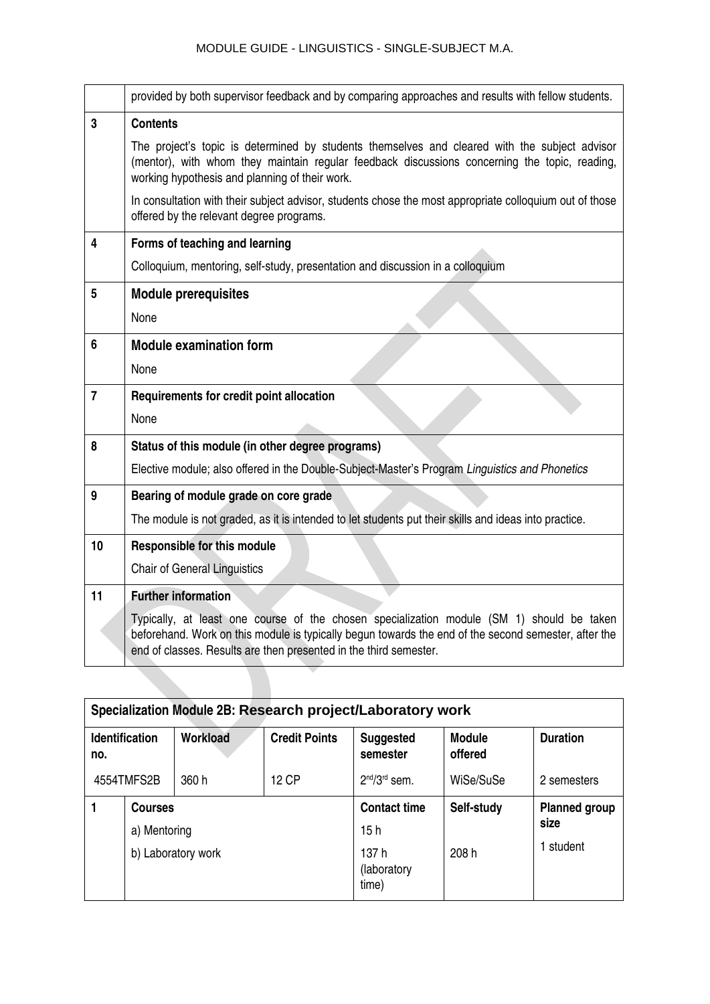|                         | provided by both supervisor feedback and by comparing approaches and results with fellow students.                                                                                                                                                                     |
|-------------------------|------------------------------------------------------------------------------------------------------------------------------------------------------------------------------------------------------------------------------------------------------------------------|
| 3                       | <b>Contents</b>                                                                                                                                                                                                                                                        |
|                         | The project's topic is determined by students themselves and cleared with the subject advisor<br>(mentor), with whom they maintain regular feedback discussions concerning the topic, reading,<br>working hypothesis and planning of their work.                       |
|                         | In consultation with their subject advisor, students chose the most appropriate colloquium out of those<br>offered by the relevant degree programs.                                                                                                                    |
| $\overline{\mathbf{4}}$ | Forms of teaching and learning                                                                                                                                                                                                                                         |
|                         | Colloquium, mentoring, self-study, presentation and discussion in a colloquium                                                                                                                                                                                         |
| 5                       | <b>Module prerequisites</b>                                                                                                                                                                                                                                            |
|                         | None                                                                                                                                                                                                                                                                   |
| 6                       | <b>Module examination form</b>                                                                                                                                                                                                                                         |
|                         | None                                                                                                                                                                                                                                                                   |
| $\overline{7}$          | Requirements for credit point allocation                                                                                                                                                                                                                               |
|                         | None                                                                                                                                                                                                                                                                   |
| 8                       | Status of this module (in other degree programs)                                                                                                                                                                                                                       |
|                         | Elective module; also offered in the Double-Subject-Master's Program Linguistics and Phonetics                                                                                                                                                                         |
| 9                       | Bearing of module grade on core grade                                                                                                                                                                                                                                  |
|                         | The module is not graded, as it is intended to let students put their skills and ideas into practice.                                                                                                                                                                  |
| 10                      | <b>Responsible for this module</b>                                                                                                                                                                                                                                     |
|                         | <b>Chair of General Linguistics</b>                                                                                                                                                                                                                                    |
| 11                      | <b>Further information</b>                                                                                                                                                                                                                                             |
|                         | Typically, at least one course of the chosen specialization module (SM 1) should be taken<br>beforehand. Work on this module is typically begun towards the end of the second semester, after the<br>end of classes. Results are then presented in the third semester. |
|                         |                                                                                                                                                                                                                                                                        |

| Specialization Module 2B: Research project/Laboratory work |                                    |          |                               |                              |                          |                 |  |
|------------------------------------------------------------|------------------------------------|----------|-------------------------------|------------------------------|--------------------------|-----------------|--|
| <b>Identification</b><br>no.                               |                                    | Workload | <b>Credit Points</b>          | <b>Suggested</b><br>semester | <b>Module</b><br>offered | <b>Duration</b> |  |
| 4554TMFS2B                                                 |                                    | 360 h    | 12 CP                         | $2nd/3rd$ sem.               | WiSe/SuSe                | 2 semesters     |  |
|                                                            | <b>Courses</b>                     |          |                               | <b>Contact time</b>          | Self-study               |                 |  |
|                                                            | a) Mentoring<br>b) Laboratory work |          | 15h                           |                              | size                     |                 |  |
|                                                            |                                    |          | 137 h<br>(laboratory<br>time) | 208 h                        | student                  |                 |  |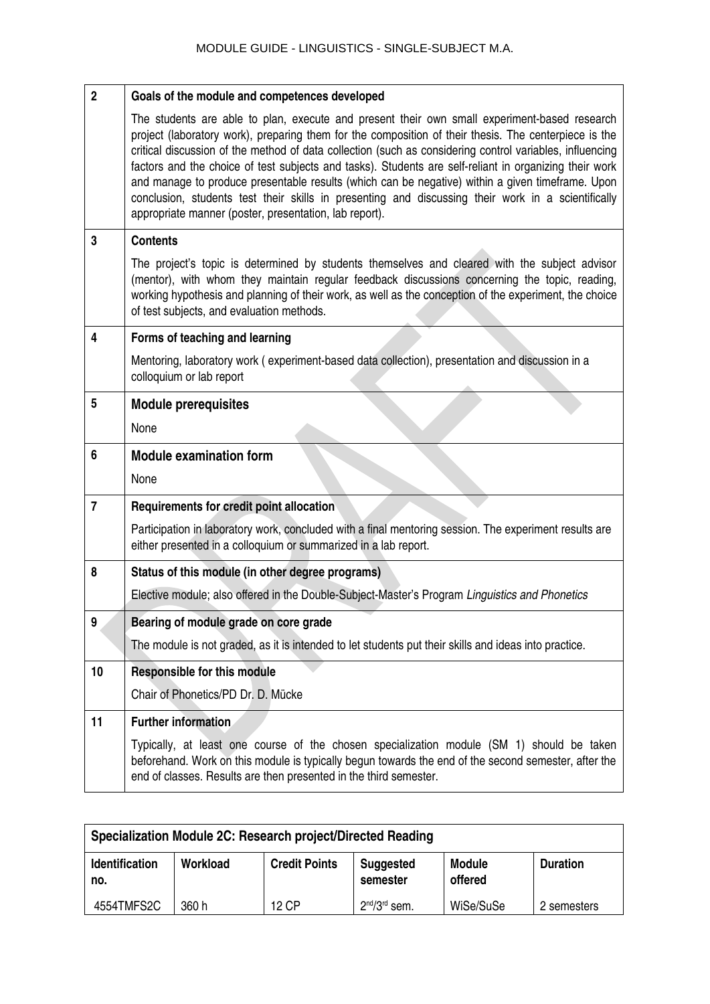| $\overline{2}$ | Goals of the module and competences developed                                                                                                                                                                                                                                                                                                                                                                                                                                                                                                                                                                                                                                                   |
|----------------|-------------------------------------------------------------------------------------------------------------------------------------------------------------------------------------------------------------------------------------------------------------------------------------------------------------------------------------------------------------------------------------------------------------------------------------------------------------------------------------------------------------------------------------------------------------------------------------------------------------------------------------------------------------------------------------------------|
|                | The students are able to plan, execute and present their own small experiment-based research<br>project (laboratory work), preparing them for the composition of their thesis. The centerpiece is the<br>critical discussion of the method of data collection (such as considering control variables, influencing<br>factors and the choice of test subjects and tasks). Students are self-reliant in organizing their work<br>and manage to produce presentable results (which can be negative) within a given timeframe. Upon<br>conclusion, students test their skills in presenting and discussing their work in a scientifically<br>appropriate manner (poster, presentation, lab report). |
| 3              | <b>Contents</b>                                                                                                                                                                                                                                                                                                                                                                                                                                                                                                                                                                                                                                                                                 |
|                | The project's topic is determined by students themselves and cleared with the subject advisor<br>(mentor), with whom they maintain regular feedback discussions concerning the topic, reading,<br>working hypothesis and planning of their work, as well as the conception of the experiment, the choice<br>of test subjects, and evaluation methods.                                                                                                                                                                                                                                                                                                                                           |
| 4              | Forms of teaching and learning                                                                                                                                                                                                                                                                                                                                                                                                                                                                                                                                                                                                                                                                  |
|                | Mentoring, laboratory work (experiment-based data collection), presentation and discussion in a<br>colloquium or lab report                                                                                                                                                                                                                                                                                                                                                                                                                                                                                                                                                                     |
| 5              | <b>Module prerequisites</b>                                                                                                                                                                                                                                                                                                                                                                                                                                                                                                                                                                                                                                                                     |
|                | None                                                                                                                                                                                                                                                                                                                                                                                                                                                                                                                                                                                                                                                                                            |
| 6              | <b>Module examination form</b>                                                                                                                                                                                                                                                                                                                                                                                                                                                                                                                                                                                                                                                                  |
|                | None                                                                                                                                                                                                                                                                                                                                                                                                                                                                                                                                                                                                                                                                                            |
| $\overline{7}$ | Requirements for credit point allocation                                                                                                                                                                                                                                                                                                                                                                                                                                                                                                                                                                                                                                                        |
|                | Participation in laboratory work, concluded with a final mentoring session. The experiment results are<br>either presented in a colloquium or summarized in a lab report.                                                                                                                                                                                                                                                                                                                                                                                                                                                                                                                       |
| 8              | Status of this module (in other degree programs)                                                                                                                                                                                                                                                                                                                                                                                                                                                                                                                                                                                                                                                |
|                | Elective module; also offered in the Double-Subject-Master's Program Linguistics and Phonetics                                                                                                                                                                                                                                                                                                                                                                                                                                                                                                                                                                                                  |
| 9              | Bearing of module grade on core grade                                                                                                                                                                                                                                                                                                                                                                                                                                                                                                                                                                                                                                                           |
|                | The module is not graded, as it is intended to let students put their skills and ideas into practice.                                                                                                                                                                                                                                                                                                                                                                                                                                                                                                                                                                                           |
| 10             | <b>Responsible for this module</b>                                                                                                                                                                                                                                                                                                                                                                                                                                                                                                                                                                                                                                                              |
|                | Chair of Phonetics/PD Dr. D. Mücke                                                                                                                                                                                                                                                                                                                                                                                                                                                                                                                                                                                                                                                              |
| 11             | Further information                                                                                                                                                                                                                                                                                                                                                                                                                                                                                                                                                                                                                                                                             |
|                | Typically, at least one course of the chosen specialization module (SM 1) should be taken<br>beforehand. Work on this module is typically begun towards the end of the second semester, after the<br>end of classes. Results are then presented in the third semester.                                                                                                                                                                                                                                                                                                                                                                                                                          |

| Specialization Module 2C: Research project/Directed Reading                       |          |                      |                              |                          |                 |  |  |
|-----------------------------------------------------------------------------------|----------|----------------------|------------------------------|--------------------------|-----------------|--|--|
| <b>Identification</b><br>no.                                                      | Workload | <b>Credit Points</b> | <b>Suggested</b><br>semester | <b>Module</b><br>offered | <b>Duration</b> |  |  |
| $2nd/3rd$ sem.<br>4554TMFS2C<br>WiSe/SuSe<br><b>12 CP</b><br>360 h<br>2 semesters |          |                      |                              |                          |                 |  |  |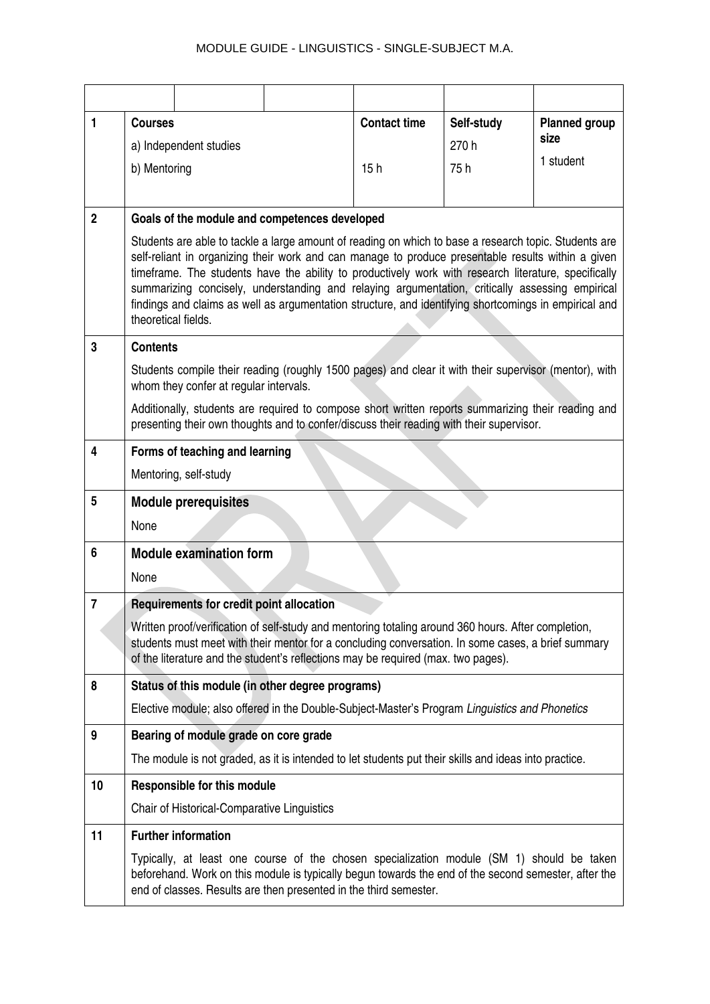| 1              | <b>Courses</b>         |                                                                                                                                                                                                                                                                                                                                                                                                                                                                                                                                 |  | <b>Contact time</b> | Self-study | <b>Planned group</b><br>size |
|----------------|------------------------|---------------------------------------------------------------------------------------------------------------------------------------------------------------------------------------------------------------------------------------------------------------------------------------------------------------------------------------------------------------------------------------------------------------------------------------------------------------------------------------------------------------------------------|--|---------------------|------------|------------------------------|
|                | a) Independent studies |                                                                                                                                                                                                                                                                                                                                                                                                                                                                                                                                 |  |                     | 270 h      |                              |
|                | b) Mentoring           |                                                                                                                                                                                                                                                                                                                                                                                                                                                                                                                                 |  | 15h                 | 75h        | 1 student                    |
|                |                        |                                                                                                                                                                                                                                                                                                                                                                                                                                                                                                                                 |  |                     |            |                              |
| $\overline{2}$ |                        | Goals of the module and competences developed                                                                                                                                                                                                                                                                                                                                                                                                                                                                                   |  |                     |            |                              |
|                | theoretical fields.    | Students are able to tackle a large amount of reading on which to base a research topic. Students are<br>self-reliant in organizing their work and can manage to produce presentable results within a given<br>timeframe. The students have the ability to productively work with research literature, specifically<br>summarizing concisely, understanding and relaying argumentation, critically assessing empirical<br>findings and claims as well as argumentation structure, and identifying shortcomings in empirical and |  |                     |            |                              |
| 3              | <b>Contents</b>        |                                                                                                                                                                                                                                                                                                                                                                                                                                                                                                                                 |  |                     |            |                              |
|                |                        | Students compile their reading (roughly 1500 pages) and clear it with their supervisor (mentor), with<br>whom they confer at regular intervals.                                                                                                                                                                                                                                                                                                                                                                                 |  |                     |            |                              |
|                |                        | Additionally, students are required to compose short written reports summarizing their reading and<br>presenting their own thoughts and to confer/discuss their reading with their supervisor.                                                                                                                                                                                                                                                                                                                                  |  |                     |            |                              |
| 4              |                        | Forms of teaching and learning                                                                                                                                                                                                                                                                                                                                                                                                                                                                                                  |  |                     |            |                              |
|                |                        | Mentoring, self-study                                                                                                                                                                                                                                                                                                                                                                                                                                                                                                           |  |                     |            |                              |
| 5              |                        | <b>Module prerequisites</b>                                                                                                                                                                                                                                                                                                                                                                                                                                                                                                     |  |                     |            |                              |
|                | None                   |                                                                                                                                                                                                                                                                                                                                                                                                                                                                                                                                 |  |                     |            |                              |
| 6              |                        | <b>Module examination form</b>                                                                                                                                                                                                                                                                                                                                                                                                                                                                                                  |  |                     |            |                              |
|                | None                   |                                                                                                                                                                                                                                                                                                                                                                                                                                                                                                                                 |  |                     |            |                              |
| $\overline{7}$ |                        | Requirements for credit point allocation                                                                                                                                                                                                                                                                                                                                                                                                                                                                                        |  |                     |            |                              |
|                |                        | Written proof/verification of self-study and mentoring totaling around 360 hours. After completion,<br>students must meet with their mentor for a concluding conversation. In some cases, a brief summary<br>of the literature and the student's reflections may be required (max. two pages).                                                                                                                                                                                                                                  |  |                     |            |                              |
| 8              |                        | Status of this module (in other degree programs)                                                                                                                                                                                                                                                                                                                                                                                                                                                                                |  |                     |            |                              |
|                |                        | Elective module; also offered in the Double-Subject-Master's Program Linguistics and Phonetics                                                                                                                                                                                                                                                                                                                                                                                                                                  |  |                     |            |                              |
| 9              |                        | Bearing of module grade on core grade                                                                                                                                                                                                                                                                                                                                                                                                                                                                                           |  |                     |            |                              |
|                |                        | The module is not graded, as it is intended to let students put their skills and ideas into practice.                                                                                                                                                                                                                                                                                                                                                                                                                           |  |                     |            |                              |
| 10             |                        | <b>Responsible for this module</b>                                                                                                                                                                                                                                                                                                                                                                                                                                                                                              |  |                     |            |                              |
|                |                        | Chair of Historical-Comparative Linguistics                                                                                                                                                                                                                                                                                                                                                                                                                                                                                     |  |                     |            |                              |
| 11             |                        | <b>Further information</b>                                                                                                                                                                                                                                                                                                                                                                                                                                                                                                      |  |                     |            |                              |
|                |                        | Typically, at least one course of the chosen specialization module (SM 1) should be taken<br>beforehand. Work on this module is typically begun towards the end of the second semester, after the<br>end of classes. Results are then presented in the third semester.                                                                                                                                                                                                                                                          |  |                     |            |                              |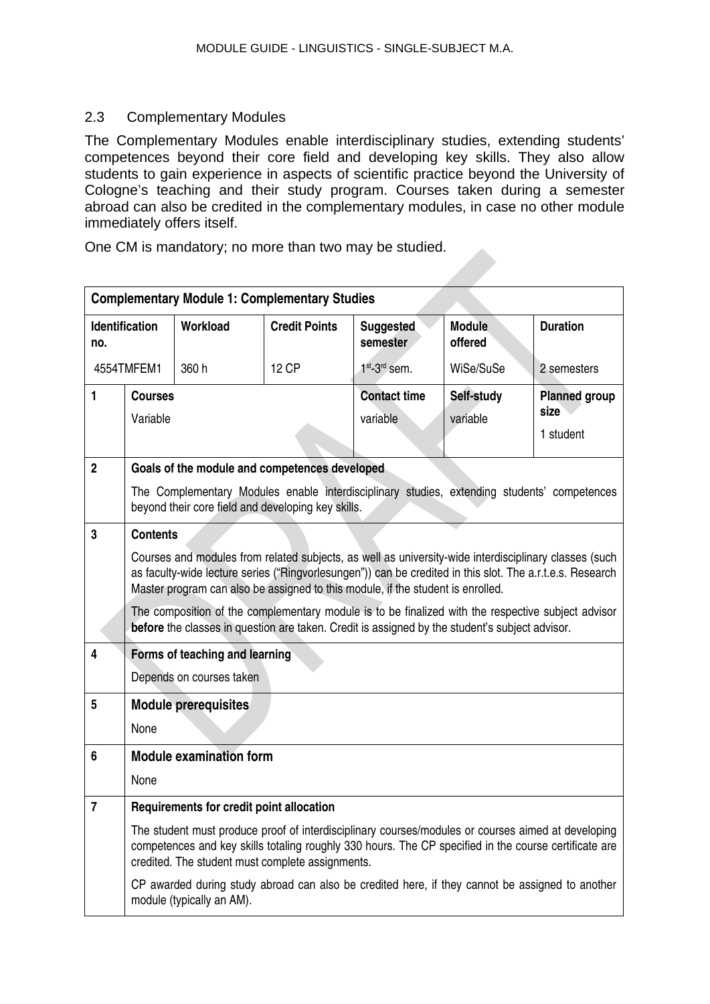## <span id="page-34-0"></span>2.3 Complementary Modules

The Complementary Modules enable interdisciplinary studies, extending students' competences beyond their core field and developing key skills. They also allow students to gain experience in aspects of scientific practice beyond the University of Cologne's teaching and their study program. Courses taken during a semester abroad can also be credited in the complementary modules, in case no other module immediately offers itself.

One CM is mandatory; no more than two may be studied.

| <b>Complementary Module 1: Complementary Studies</b> |                            |                                                                                                     |                      |                                                                                                                                                                                                                                                                                                                                                                                                                                                                                                               |                          |                                           |
|------------------------------------------------------|----------------------------|-----------------------------------------------------------------------------------------------------|----------------------|---------------------------------------------------------------------------------------------------------------------------------------------------------------------------------------------------------------------------------------------------------------------------------------------------------------------------------------------------------------------------------------------------------------------------------------------------------------------------------------------------------------|--------------------------|-------------------------------------------|
| no.                                                  | <b>Identification</b>      | Workload                                                                                            | <b>Credit Points</b> | <b>Suggested</b><br>semester                                                                                                                                                                                                                                                                                                                                                                                                                                                                                  | <b>Module</b><br>offered | <b>Duration</b>                           |
|                                                      | 4554TMFEM1                 | 360 h                                                                                               | <b>12 CP</b>         | $1st$ -3 <sup>rd</sup> sem.                                                                                                                                                                                                                                                                                                                                                                                                                                                                                   | WiSe/SuSe                | 2 semesters                               |
| 1                                                    | <b>Courses</b><br>Variable |                                                                                                     |                      | <b>Contact time</b><br>variable                                                                                                                                                                                                                                                                                                                                                                                                                                                                               | Self-study<br>variable   | <b>Planned group</b><br>size<br>1 student |
| $\overline{2}$                                       |                            | Goals of the module and competences developed<br>beyond their core field and developing key skills. |                      | The Complementary Modules enable interdisciplinary studies, extending students' competences                                                                                                                                                                                                                                                                                                                                                                                                                   |                          |                                           |
| 3                                                    | <b>Contents</b>            |                                                                                                     |                      | Courses and modules from related subjects, as well as university-wide interdisciplinary classes (such<br>as faculty-wide lecture series ("Ringvorlesungen")) can be credited in this slot. The a.r.t.e.s. Research<br>Master program can also be assigned to this module, if the student is enrolled.<br>The composition of the complementary module is to be finalized with the respective subject advisor<br>before the classes in question are taken. Credit is assigned by the student's subject advisor. |                          |                                           |
| 4                                                    |                            | Forms of teaching and learning<br>Depends on courses taken                                          |                      |                                                                                                                                                                                                                                                                                                                                                                                                                                                                                                               |                          |                                           |
| 5                                                    | None                       | <b>Module prerequisites</b>                                                                         |                      |                                                                                                                                                                                                                                                                                                                                                                                                                                                                                                               |                          |                                           |
| 6                                                    | None                       | <b>Module examination form</b>                                                                      |                      |                                                                                                                                                                                                                                                                                                                                                                                                                                                                                                               |                          |                                           |
| $\overline{7}$                                       |                            | Requirements for credit point allocation                                                            |                      |                                                                                                                                                                                                                                                                                                                                                                                                                                                                                                               |                          |                                           |
|                                                      |                            | credited. The student must complete assignments.                                                    |                      | The student must produce proof of interdisciplinary courses/modules or courses aimed at developing<br>competences and key skills totaling roughly 330 hours. The CP specified in the course certificate are                                                                                                                                                                                                                                                                                                   |                          |                                           |
|                                                      |                            | module (typically an AM).                                                                           |                      | CP awarded during study abroad can also be credited here, if they cannot be assigned to another                                                                                                                                                                                                                                                                                                                                                                                                               |                          |                                           |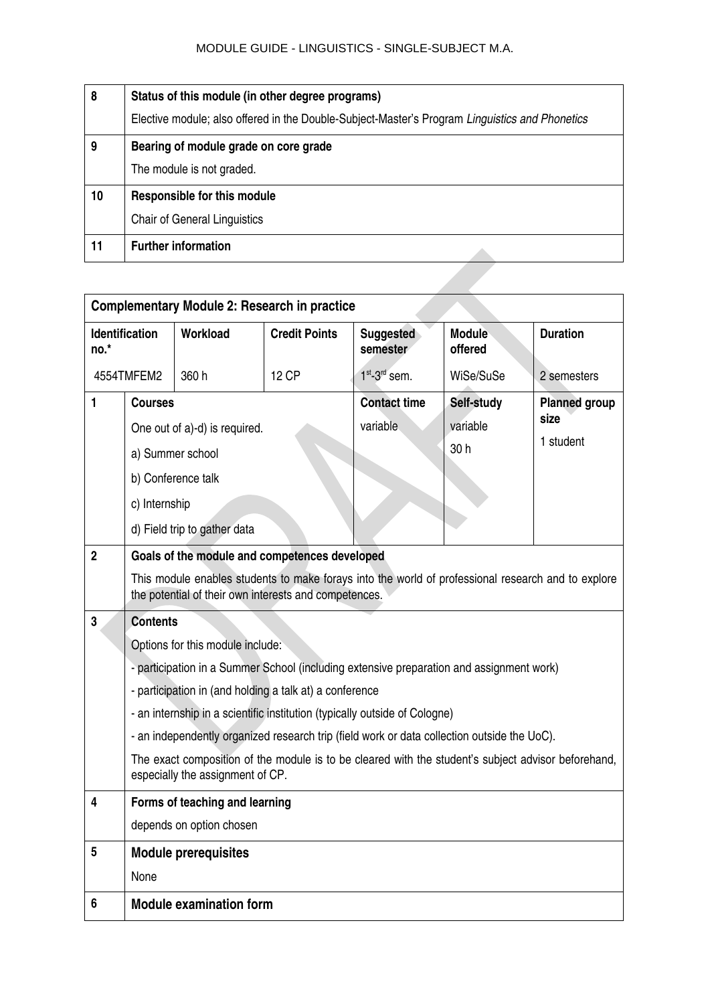| 8  | Status of this module (in other degree programs)                                               |
|----|------------------------------------------------------------------------------------------------|
|    | Elective module; also offered in the Double-Subject-Master's Program Linguistics and Phonetics |
| 9  | Bearing of module grade on core grade                                                          |
|    | The module is not graded.                                                                      |
| 10 | Responsible for this module                                                                    |
|    | <b>Chair of General Linguistics</b>                                                            |
| 11 | <b>Further information</b>                                                                     |

|                | <b>Complementary Module 2: Research in practice</b>                                                                                        |                                                                                                                                                             |                                 |                                |                                           |                 |  |  |
|----------------|--------------------------------------------------------------------------------------------------------------------------------------------|-------------------------------------------------------------------------------------------------------------------------------------------------------------|---------------------------------|--------------------------------|-------------------------------------------|-----------------|--|--|
| no.*           | <b>Identification</b>                                                                                                                      | Workload                                                                                                                                                    | <b>Credit Points</b>            | <b>Suggested</b><br>semester   | <b>Module</b><br>offered                  | <b>Duration</b> |  |  |
|                | 4554TMFEM2                                                                                                                                 | 360 h                                                                                                                                                       | 12 CP                           | $1st - 3rd$ sem.               | WiSe/SuSe                                 | 2 semesters     |  |  |
| $\blacksquare$ | <b>Courses</b><br>One out of a)-d) is required.<br>a) Summer school<br>b) Conference talk<br>c) Internship<br>d) Field trip to gather data |                                                                                                                                                             | <b>Contact time</b><br>variable | Self-study<br>variable<br>30 h | <b>Planned group</b><br>size<br>1 student |                 |  |  |
| $\overline{2}$ |                                                                                                                                            | Goals of the module and competences developed                                                                                                               |                                 |                                |                                           |                 |  |  |
|                |                                                                                                                                            | This module enables students to make forays into the world of professional research and to explore<br>the potential of their own interests and competences. |                                 |                                |                                           |                 |  |  |
| 3              | <b>Contents</b>                                                                                                                            |                                                                                                                                                             |                                 |                                |                                           |                 |  |  |
|                |                                                                                                                                            | Options for this module include:                                                                                                                            |                                 |                                |                                           |                 |  |  |
|                |                                                                                                                                            | - participation in a Summer School (including extensive preparation and assignment work)                                                                    |                                 |                                |                                           |                 |  |  |
|                |                                                                                                                                            | - participation in (and holding a talk at) a conference                                                                                                     |                                 |                                |                                           |                 |  |  |
|                |                                                                                                                                            | - an internship in a scientific institution (typically outside of Cologne)                                                                                  |                                 |                                |                                           |                 |  |  |
|                |                                                                                                                                            | - an independently organized research trip (field work or data collection outside the UoC).                                                                 |                                 |                                |                                           |                 |  |  |
|                |                                                                                                                                            | The exact composition of the module is to be cleared with the student's subject advisor beforehand,<br>especially the assignment of CP.                     |                                 |                                |                                           |                 |  |  |
| 4              |                                                                                                                                            | Forms of teaching and learning                                                                                                                              |                                 |                                |                                           |                 |  |  |
|                |                                                                                                                                            | depends on option chosen                                                                                                                                    |                                 |                                |                                           |                 |  |  |
| 5              |                                                                                                                                            | <b>Module prerequisites</b>                                                                                                                                 |                                 |                                |                                           |                 |  |  |
|                | None                                                                                                                                       |                                                                                                                                                             |                                 |                                |                                           |                 |  |  |
| 6              | <b>Module examination form</b>                                                                                                             |                                                                                                                                                             |                                 |                                |                                           |                 |  |  |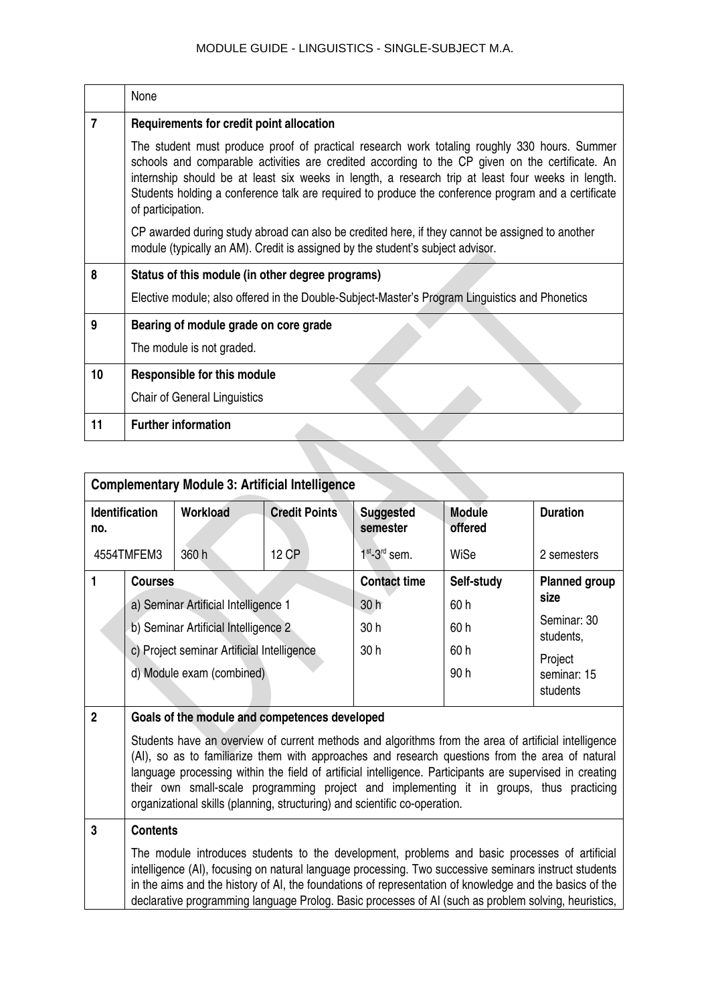|    | None                                                                                                                                                                                                                                                                                                                                                                                                                             |
|----|----------------------------------------------------------------------------------------------------------------------------------------------------------------------------------------------------------------------------------------------------------------------------------------------------------------------------------------------------------------------------------------------------------------------------------|
| 7  | Requirements for credit point allocation                                                                                                                                                                                                                                                                                                                                                                                         |
|    | The student must produce proof of practical research work totaling roughly 330 hours. Summer<br>schools and comparable activities are credited according to the CP given on the certificate. An<br>internship should be at least six weeks in length, a research trip at least four weeks in length.<br>Students holding a conference talk are required to produce the conference program and a certificate<br>of participation. |
|    | CP awarded during study abroad can also be credited here, if they cannot be assigned to another<br>module (typically an AM). Credit is assigned by the student's subject advisor.                                                                                                                                                                                                                                                |
| 8  | Status of this module (in other degree programs)                                                                                                                                                                                                                                                                                                                                                                                 |
|    | Elective module; also offered in the Double-Subject-Master's Program Linguistics and Phonetics                                                                                                                                                                                                                                                                                                                                   |
| 9  | Bearing of module grade on core grade                                                                                                                                                                                                                                                                                                                                                                                            |
|    | The module is not graded.                                                                                                                                                                                                                                                                                                                                                                                                        |
| 10 | <b>Responsible for this module</b>                                                                                                                                                                                                                                                                                                                                                                                               |
|    | <b>Chair of General Linguistics</b>                                                                                                                                                                                                                                                                                                                                                                                              |
| 11 | <b>Further information</b>                                                                                                                                                                                                                                                                                                                                                                                                       |

| <b>Complementary Module 3: Artificial Intelligence</b> |                                                                                                                                                                                                                                                                                                                                                                                                                                                                                               |                                               |                      |                              |                          |                          |  |  |  |
|--------------------------------------------------------|-----------------------------------------------------------------------------------------------------------------------------------------------------------------------------------------------------------------------------------------------------------------------------------------------------------------------------------------------------------------------------------------------------------------------------------------------------------------------------------------------|-----------------------------------------------|----------------------|------------------------------|--------------------------|--------------------------|--|--|--|
| no.                                                    | <b>Identification</b>                                                                                                                                                                                                                                                                                                                                                                                                                                                                         | Workload                                      | <b>Credit Points</b> | <b>Suggested</b><br>semester | <b>Module</b><br>offered | <b>Duration</b>          |  |  |  |
|                                                        | 4554TMFEM3                                                                                                                                                                                                                                                                                                                                                                                                                                                                                    | 360 h                                         | <b>12 CP</b>         | $1st$ -3 <sup>rd</sup> sem.  | WiSe                     | 2 semesters              |  |  |  |
| 1                                                      | <b>Courses</b>                                                                                                                                                                                                                                                                                                                                                                                                                                                                                |                                               |                      | <b>Contact time</b>          | Self-study               | <b>Planned group</b>     |  |  |  |
|                                                        |                                                                                                                                                                                                                                                                                                                                                                                                                                                                                               | a) Seminar Artificial Intelligence 1          |                      | 30h                          | 60h                      | size                     |  |  |  |
|                                                        |                                                                                                                                                                                                                                                                                                                                                                                                                                                                                               | b) Seminar Artificial Intelligence 2          |                      | 30 h                         | 60h                      | Seminar: 30<br>students, |  |  |  |
|                                                        | c) Project seminar Artificial Intelligence                                                                                                                                                                                                                                                                                                                                                                                                                                                    |                                               |                      | 30 <sub>h</sub>              | 60h                      | Project                  |  |  |  |
| d) Module exam (combined)                              |                                                                                                                                                                                                                                                                                                                                                                                                                                                                                               |                                               |                      |                              | 90h                      | seminar: 15              |  |  |  |
|                                                        |                                                                                                                                                                                                                                                                                                                                                                                                                                                                                               |                                               |                      |                              |                          | students                 |  |  |  |
| $\overline{2}$                                         |                                                                                                                                                                                                                                                                                                                                                                                                                                                                                               | Goals of the module and competences developed |                      |                              |                          |                          |  |  |  |
|                                                        | Students have an overview of current methods and algorithms from the area of artificial intelligence<br>(AI), so as to familiarize them with approaches and research questions from the area of natural<br>language processing within the field of artificial intelligence. Participants are supervised in creating<br>their own small-scale programming project and implementing it in groups, thus practicing<br>organizational skills (planning, structuring) and scientific co-operation. |                                               |                      |                              |                          |                          |  |  |  |
| 3                                                      | <b>Contents</b>                                                                                                                                                                                                                                                                                                                                                                                                                                                                               |                                               |                      |                              |                          |                          |  |  |  |
|                                                        | The module introduces students to the development, problems and basic processes of artificial<br>intelligence (AI), focusing on natural language processing. Two successive seminars instruct students<br>in the aims and the history of AI, the foundations of representation of knowledge and the basics of the<br>declarative programming language Prolog. Basic processes of AI (such as problem solving, heuristics,                                                                     |                                               |                      |                              |                          |                          |  |  |  |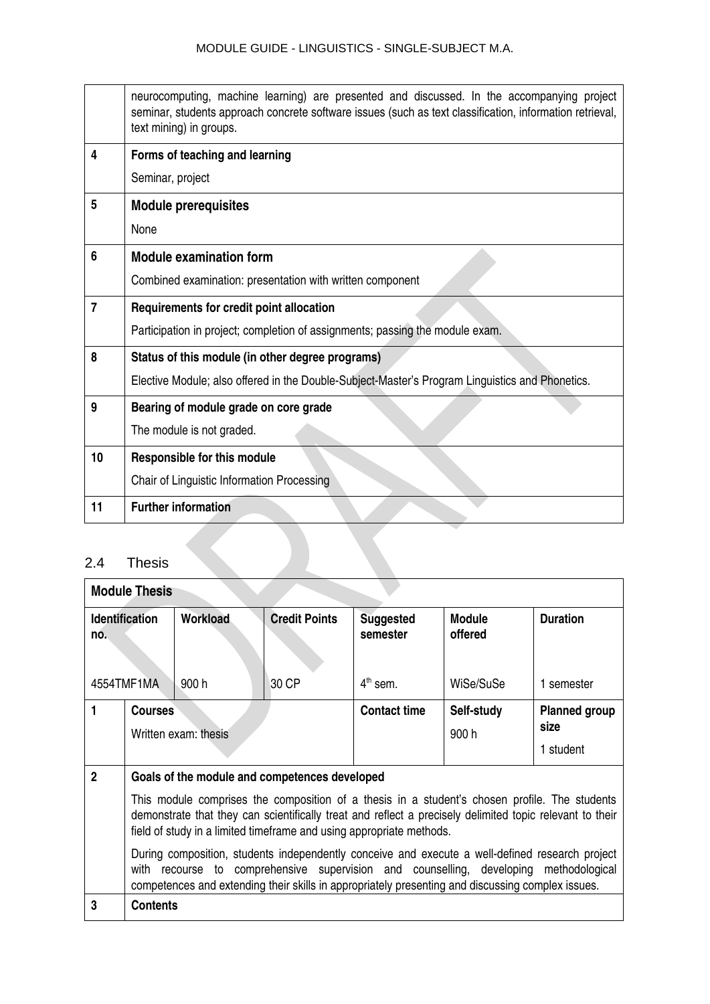|                | neurocomputing, machine learning) are presented and discussed. In the accompanying project<br>seminar, students approach concrete software issues (such as text classification, information retrieval,<br>text mining) in groups. |
|----------------|-----------------------------------------------------------------------------------------------------------------------------------------------------------------------------------------------------------------------------------|
| 4              | Forms of teaching and learning                                                                                                                                                                                                    |
|                | Seminar, project                                                                                                                                                                                                                  |
| 5              | <b>Module prerequisites</b>                                                                                                                                                                                                       |
|                | None                                                                                                                                                                                                                              |
| 6              | <b>Module examination form</b>                                                                                                                                                                                                    |
|                | Combined examination: presentation with written component                                                                                                                                                                         |
| $\overline{7}$ | Requirements for credit point allocation                                                                                                                                                                                          |
|                | Participation in project; completion of assignments; passing the module exam.                                                                                                                                                     |
| 8              | Status of this module (in other degree programs)                                                                                                                                                                                  |
|                | Elective Module; also offered in the Double-Subject-Master's Program Linguistics and Phonetics.                                                                                                                                   |
| 9              | Bearing of module grade on core grade                                                                                                                                                                                             |
|                | The module is not graded.                                                                                                                                                                                                         |
| 10             | Responsible for this module                                                                                                                                                                                                       |
|                | Chair of Linguistic Information Processing                                                                                                                                                                                        |
| 11             | <b>Further information</b>                                                                                                                                                                                                        |

# <span id="page-37-0"></span>2.4 Thesis

 $\overline{1}$ 

| <b>Module Thesis</b>         |                                                                                                                                                                                                                                                                                                                                                                                                                                                                                                                                                                                                                                           |          |                      |                              |                          |                                           |  |  |  |
|------------------------------|-------------------------------------------------------------------------------------------------------------------------------------------------------------------------------------------------------------------------------------------------------------------------------------------------------------------------------------------------------------------------------------------------------------------------------------------------------------------------------------------------------------------------------------------------------------------------------------------------------------------------------------------|----------|----------------------|------------------------------|--------------------------|-------------------------------------------|--|--|--|
| <b>Identification</b><br>no. |                                                                                                                                                                                                                                                                                                                                                                                                                                                                                                                                                                                                                                           | Workload | <b>Credit Points</b> | <b>Suggested</b><br>semester | <b>Module</b><br>offered | <b>Duration</b>                           |  |  |  |
|                              | 4554TMF1MA                                                                                                                                                                                                                                                                                                                                                                                                                                                                                                                                                                                                                                | .900 h   | 30 CP                | $4th$ sem.                   | WiSe/SuSe                | 1 semester                                |  |  |  |
|                              | <b>Courses</b><br>Written exam: thesis                                                                                                                                                                                                                                                                                                                                                                                                                                                                                                                                                                                                    |          |                      | <b>Contact time</b>          | Self-study<br>900h       | <b>Planned group</b><br>size<br>1 student |  |  |  |
| $\overline{2}$               | Goals of the module and competences developed<br>This module comprises the composition of a thesis in a student's chosen profile. The students<br>demonstrate that they can scientifically treat and reflect a precisely delimited topic relevant to their<br>field of study in a limited timeframe and using appropriate methods.<br>During composition, students independently conceive and execute a well-defined research project<br>recourse to comprehensive supervision and counselling, developing<br>methodological<br>with<br>competences and extending their skills in appropriately presenting and discussing complex issues. |          |                      |                              |                          |                                           |  |  |  |
| 3                            | <b>Contents</b>                                                                                                                                                                                                                                                                                                                                                                                                                                                                                                                                                                                                                           |          |                      |                              |                          |                                           |  |  |  |

┑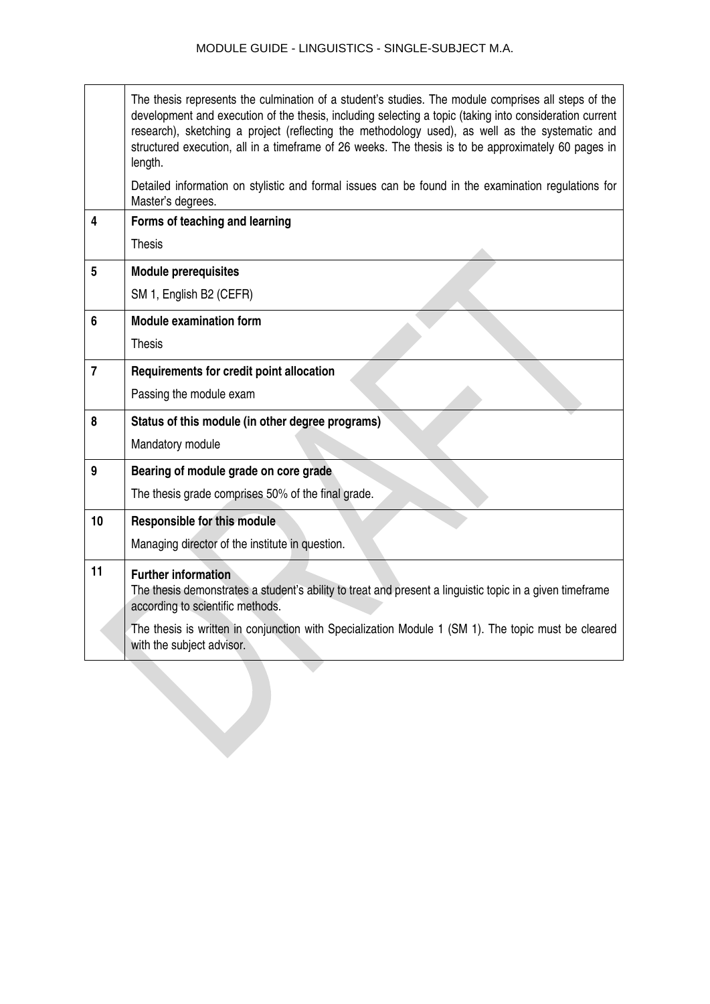|                | The thesis represents the culmination of a student's studies. The module comprises all steps of the<br>development and execution of the thesis, including selecting a topic (taking into consideration current<br>research), sketching a project (reflecting the methodology used), as well as the systematic and<br>structured execution, all in a timeframe of 26 weeks. The thesis is to be approximately 60 pages in<br>length. |
|----------------|-------------------------------------------------------------------------------------------------------------------------------------------------------------------------------------------------------------------------------------------------------------------------------------------------------------------------------------------------------------------------------------------------------------------------------------|
|                | Detailed information on stylistic and formal issues can be found in the examination regulations for<br>Master's degrees.                                                                                                                                                                                                                                                                                                            |
| 4              | Forms of teaching and learning                                                                                                                                                                                                                                                                                                                                                                                                      |
|                | <b>Thesis</b>                                                                                                                                                                                                                                                                                                                                                                                                                       |
| 5              | <b>Module prerequisites</b>                                                                                                                                                                                                                                                                                                                                                                                                         |
|                | SM 1, English B2 (CEFR)                                                                                                                                                                                                                                                                                                                                                                                                             |
| 6              | <b>Module examination form</b>                                                                                                                                                                                                                                                                                                                                                                                                      |
|                | <b>Thesis</b>                                                                                                                                                                                                                                                                                                                                                                                                                       |
| $\overline{7}$ | Requirements for credit point allocation                                                                                                                                                                                                                                                                                                                                                                                            |
|                | Passing the module exam                                                                                                                                                                                                                                                                                                                                                                                                             |
| 8              | Status of this module (in other degree programs)                                                                                                                                                                                                                                                                                                                                                                                    |
|                | Mandatory module                                                                                                                                                                                                                                                                                                                                                                                                                    |
| 9              | Bearing of module grade on core grade                                                                                                                                                                                                                                                                                                                                                                                               |
|                | The thesis grade comprises 50% of the final grade.                                                                                                                                                                                                                                                                                                                                                                                  |
| 10             | Responsible for this module                                                                                                                                                                                                                                                                                                                                                                                                         |
|                | Managing director of the institute in question.                                                                                                                                                                                                                                                                                                                                                                                     |
| 11             | <b>Further information</b><br>The thesis demonstrates a student's ability to treat and present a linguistic topic in a given timeframe<br>according to scientific methods.                                                                                                                                                                                                                                                          |
|                | The thesis is written in conjunction with Specialization Module 1 (SM 1). The topic must be cleared<br>with the subject advisor.                                                                                                                                                                                                                                                                                                    |
|                |                                                                                                                                                                                                                                                                                                                                                                                                                                     |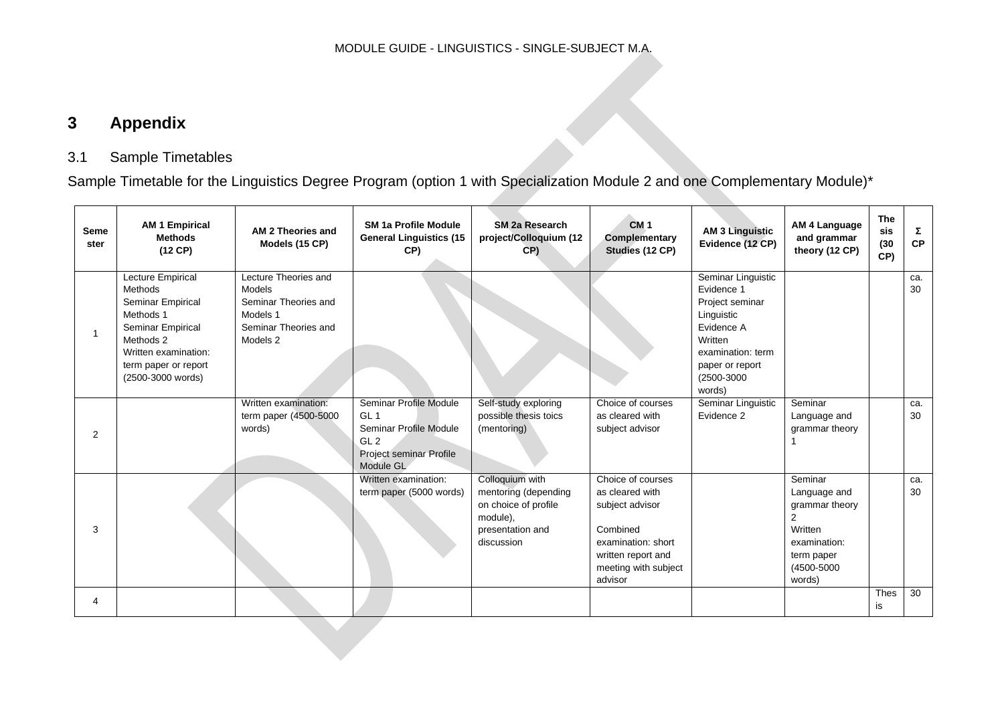# **3 Appendix**

# 3.1 Sample Timetables

Sample Timetable for the Linguistics Degree Program (option 1 with Specialization Module 2 and one Complementary Module)\*

<span id="page-39-1"></span><span id="page-39-0"></span>

| Seme<br>ster   | <b>AM 1 Empirical</b><br><b>Methods</b><br>$(12$ CP $)$                                                                                                               | AM 2 Theories and<br>Models (15 CP)                                                                           | <b>SM 1a Profile Module</b><br><b>General Linguistics (15</b><br>CP)                                                           | <b>SM 2a Research</b><br>project/Colloquium (12<br>CP)                                                        | CM <sub>1</sub><br>Complementary<br>Studies (12 CP)                                                                                                | <b>AM 3 Linguistic</b><br>Evidence (12 CP)                                                                                                                 | AM 4 Language<br>and grammar<br>theory (12 CP)                                                                  | <b>The</b><br>sis<br>(30)<br>CP) | Σ<br>CP   |
|----------------|-----------------------------------------------------------------------------------------------------------------------------------------------------------------------|---------------------------------------------------------------------------------------------------------------|--------------------------------------------------------------------------------------------------------------------------------|---------------------------------------------------------------------------------------------------------------|----------------------------------------------------------------------------------------------------------------------------------------------------|------------------------------------------------------------------------------------------------------------------------------------------------------------|-----------------------------------------------------------------------------------------------------------------|----------------------------------|-----------|
|                | Lecture Empirical<br>Methods<br>Seminar Empirical<br>Methods 1<br>Seminar Empirical<br>Methods 2<br>Written examination:<br>term paper or report<br>(2500-3000 words) | Lecture Theories and<br><b>Models</b><br>Seminar Theories and<br>Models 1<br>Seminar Theories and<br>Models 2 |                                                                                                                                |                                                                                                               |                                                                                                                                                    | Seminar Linguistic<br>Evidence 1<br>Project seminar<br>Linguistic<br>Evidence A<br>Written<br>examination: term<br>paper or report<br>(2500-3000<br>words) |                                                                                                                 |                                  | ca.<br>30 |
| $\overline{2}$ |                                                                                                                                                                       | Written examination:<br>term paper (4500-5000<br>words)                                                       | Seminar Profile Module<br>GL <sub>1</sub><br>Seminar Profile Module<br>GL <sub>2</sub><br>Project seminar Profile<br>Module GL | Self-study exploring<br>possible thesis toics<br>(mentoring)                                                  | Choice of courses<br>as cleared with<br>subject advisor                                                                                            | Seminar Linguistic<br>Evidence 2                                                                                                                           | Seminar<br>Language and<br>grammar theory                                                                       |                                  | ca.<br>30 |
| 3              |                                                                                                                                                                       |                                                                                                               | Written examination:<br>term paper (5000 words)                                                                                | Colloquium with<br>mentoring (depending<br>on choice of profile<br>module),<br>presentation and<br>discussion | Choice of courses<br>as cleared with<br>subject advisor<br>Combined<br>examination: short<br>written report and<br>meeting with subject<br>advisor |                                                                                                                                                            | Seminar<br>Language and<br>grammar theory<br>2<br>Written<br>examination:<br>term paper<br>(4500-5000<br>words) |                                  | ca.<br>30 |
| 4              |                                                                                                                                                                       |                                                                                                               |                                                                                                                                |                                                                                                               |                                                                                                                                                    |                                                                                                                                                            |                                                                                                                 | <b>Thes</b><br>is                | 30        |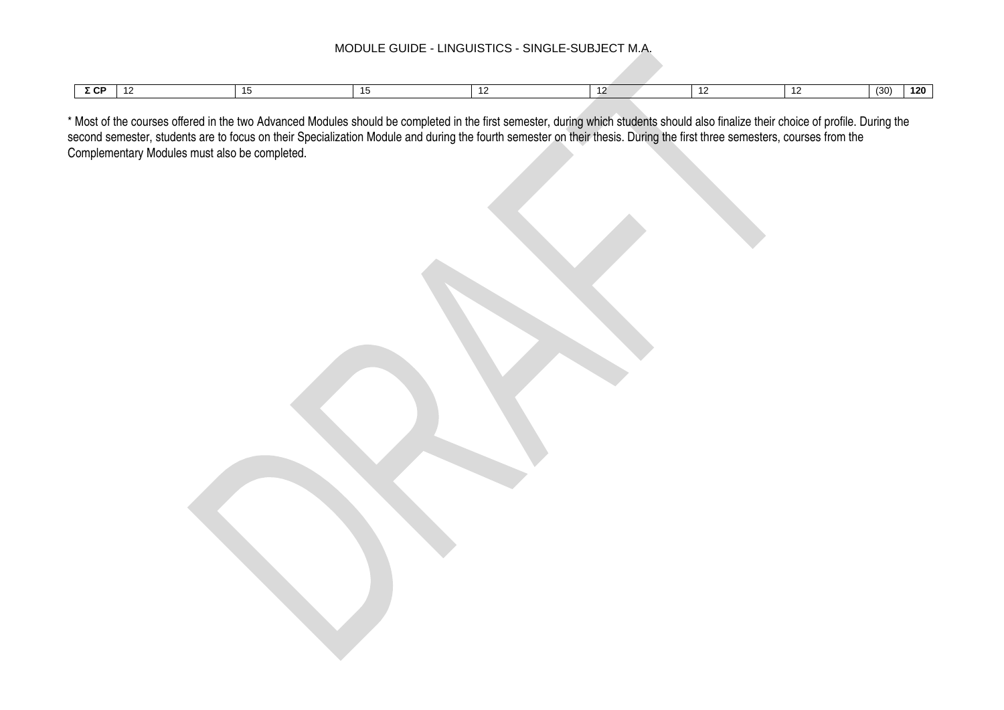| $ -$<br>--- |  |  |  |  | (30) | $-101$<br>. ZU |
|-------------|--|--|--|--|------|----------------|

\* Most of the courses offered in the two Advanced Modules should be completed in the first semester, during which students should also finalize their choice of profile. During the second semester, students are to focus on their Specialization Module and during the fourth semester on their thesis. During the first three semesters, courses from the Complementary Modules must also be completed.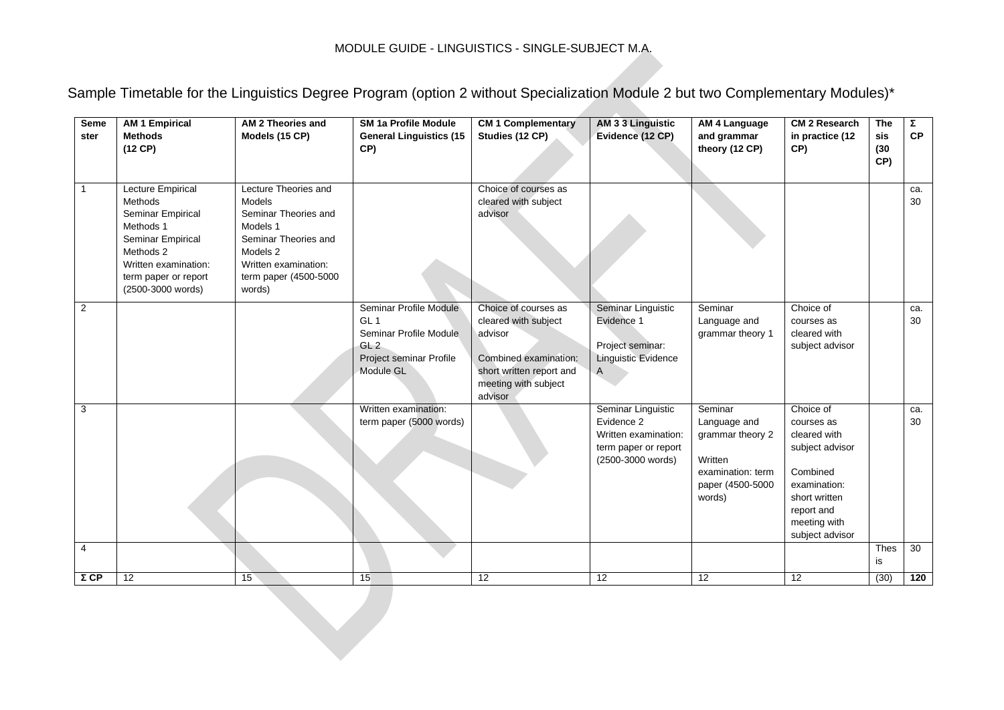Sample Timetable for the Linguistics Degree Program (option 2 without Specialization Module 2 but two Complementary Modules)\*

| Seme<br>ster   | <b>AM 1 Empirical</b><br><b>Methods</b><br>(12 CP)                                                                                                                           | AM 2 Theories and<br>Models (15 CP)                                                                                                                               | <b>SM 1a Profile Module</b><br><b>General Linguistics (15</b><br>CP)                                                           | <b>CM 1 Complementary</b><br>Studies (12 CP)                                                                                                    | AM 3 3 Linguistic<br>Evidence (12 CP)                                                                 | AM 4 Language<br>and grammar<br>theory (12 CP)                                                            | <b>CM 2 Research</b><br>in practice (12<br>CP)                                                                                                           | <b>The</b><br>sis<br>(30)<br>CP) | Σ<br><b>CP</b> |
|----------------|------------------------------------------------------------------------------------------------------------------------------------------------------------------------------|-------------------------------------------------------------------------------------------------------------------------------------------------------------------|--------------------------------------------------------------------------------------------------------------------------------|-------------------------------------------------------------------------------------------------------------------------------------------------|-------------------------------------------------------------------------------------------------------|-----------------------------------------------------------------------------------------------------------|----------------------------------------------------------------------------------------------------------------------------------------------------------|----------------------------------|----------------|
| $\mathbf{1}$   | <b>Lecture Empirical</b><br>Methods<br>Seminar Empirical<br>Methods 1<br>Seminar Empirical<br>Methods 2<br>Written examination:<br>term paper or report<br>(2500-3000 words) | Lecture Theories and<br>Models<br>Seminar Theories and<br>Models 1<br>Seminar Theories and<br>Models 2<br>Written examination:<br>term paper (4500-5000<br>words) |                                                                                                                                | Choice of courses as<br>cleared with subject<br>advisor                                                                                         |                                                                                                       |                                                                                                           |                                                                                                                                                          |                                  | ca.<br>30      |
| $\overline{2}$ |                                                                                                                                                                              |                                                                                                                                                                   | Seminar Profile Module<br>GL <sub>1</sub><br>Seminar Profile Module<br>GL <sub>2</sub><br>Project seminar Profile<br>Module GL | Choice of courses as<br>cleared with subject<br>advisor<br>Combined examination:<br>short written report and<br>meeting with subject<br>advisor | Seminar Linguistic<br>Evidence 1<br>Project seminar:<br><b>Linguistic Evidence</b><br>A               | Seminar<br>Language and<br>grammar theory 1                                                               | Choice of<br>courses as<br>cleared with<br>subject advisor                                                                                               |                                  | ca.<br>30      |
| 3              |                                                                                                                                                                              |                                                                                                                                                                   | Written examination:<br>term paper (5000 words)                                                                                |                                                                                                                                                 | Seminar Linguistic<br>Evidence 2<br>Written examination:<br>term paper or report<br>(2500-3000 words) | Seminar<br>Language and<br>grammar theory 2<br>Written<br>examination: term<br>paper (4500-5000<br>words) | Choice of<br>courses as<br>cleared with<br>subject advisor<br>Combined<br>examination:<br>short written<br>report and<br>meeting with<br>subject advisor |                                  | ca.<br>30      |
| 4              |                                                                                                                                                                              |                                                                                                                                                                   |                                                                                                                                |                                                                                                                                                 |                                                                                                       |                                                                                                           |                                                                                                                                                          | Thes<br>is                       | 30             |
| $\Sigma$ CP    | 12                                                                                                                                                                           | 15                                                                                                                                                                | 15                                                                                                                             | 12                                                                                                                                              | 12                                                                                                    | 12                                                                                                        | 12                                                                                                                                                       | (30)                             | 120            |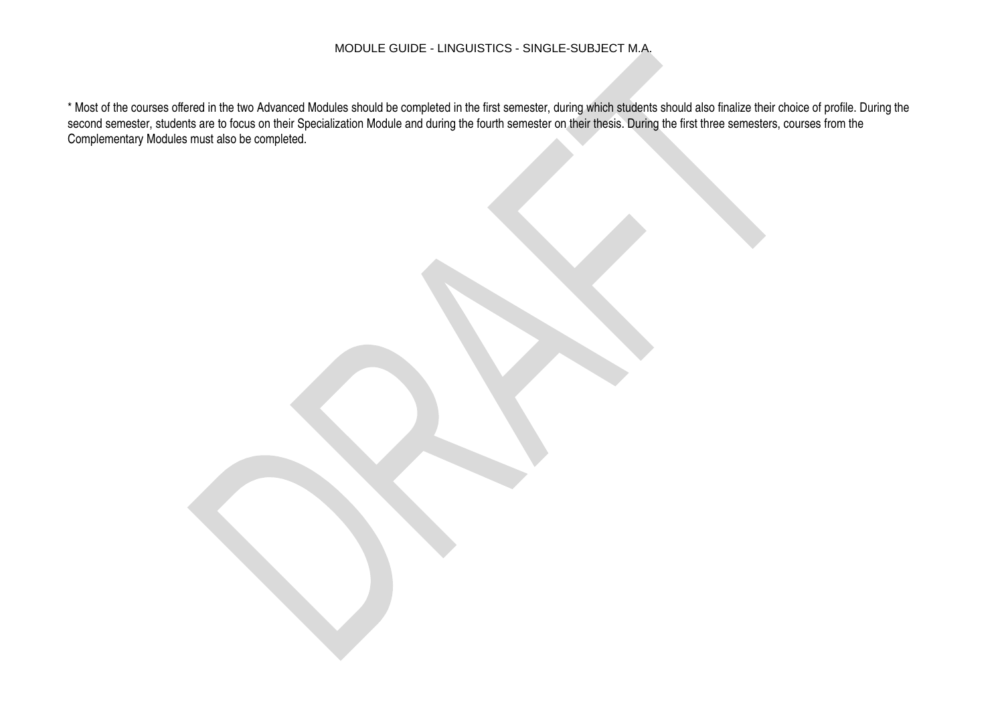\* Most of the courses offered in the two Advanced Modules should be completed in the first semester, during which students should also finalize their choice of profile. During the second semester, students are to focus on their Specialization Module and during the fourth semester on their thesis. During the first three semesters, courses from the Complementary Modules must also be completed.